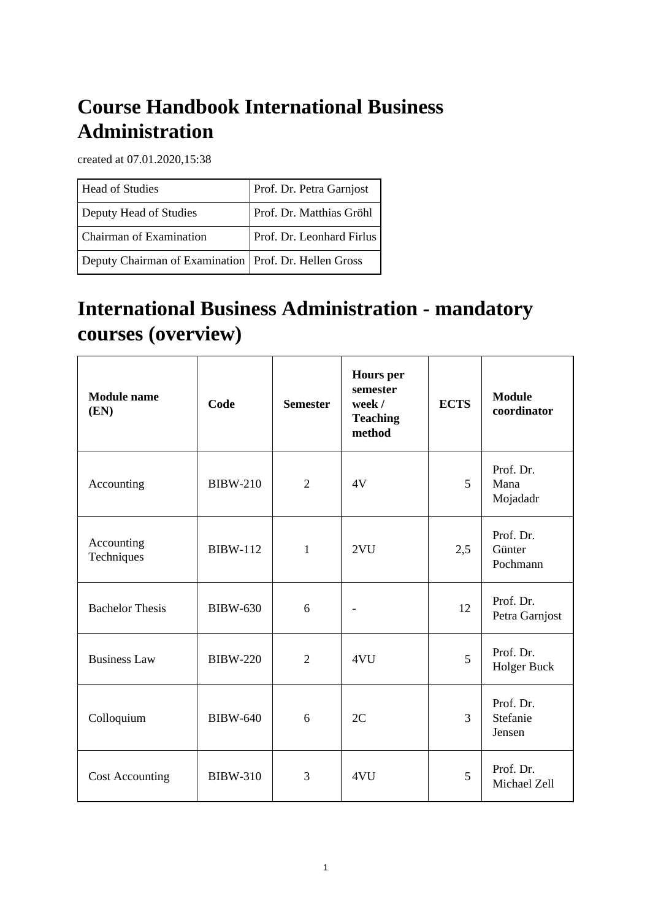# **Course Handbook International Business Administration**

created at 07.01.2020,15:38

| <b>Head of Studies</b>                                  | Prof. Dr. Petra Garnjost  |
|---------------------------------------------------------|---------------------------|
| Deputy Head of Studies                                  | Prof. Dr. Matthias Gröhl  |
| Chairman of Examination                                 | Prof. Dr. Leonhard Firlus |
| Deputy Chairman of Examination   Prof. Dr. Hellen Gross |                           |

# **International Business Administration - mandatory courses (overview)**

| <b>Module</b> name<br>(EN) | Code            | <b>Semester</b> | <b>Hours</b> per<br>semester<br>week /<br><b>Teaching</b><br>method | <b>ECTS</b> | <b>Module</b><br>coordinator    |
|----------------------------|-----------------|-----------------|---------------------------------------------------------------------|-------------|---------------------------------|
| Accounting                 | <b>BIBW-210</b> | $\overline{2}$  | 4V                                                                  | 5           | Prof. Dr.<br>Mana<br>Mojadadr   |
| Accounting<br>Techniques   | <b>BIBW-112</b> | $\mathbf{1}$    | 2VU                                                                 | 2,5         | Prof. Dr.<br>Günter<br>Pochmann |
| <b>Bachelor Thesis</b>     | <b>BIBW-630</b> | 6               |                                                                     | 12          | Prof. Dr.<br>Petra Garnjost     |
| <b>Business Law</b>        | <b>BIBW-220</b> | $\overline{2}$  | 4VU                                                                 | 5           | Prof. Dr.<br>Holger Buck        |
| Colloquium                 | <b>BIBW-640</b> | 6               | 2C                                                                  | 3           | Prof. Dr.<br>Stefanie<br>Jensen |
| <b>Cost Accounting</b>     | <b>BIBW-310</b> | 3               | 4VU                                                                 | 5           | Prof. Dr.<br>Michael Zell       |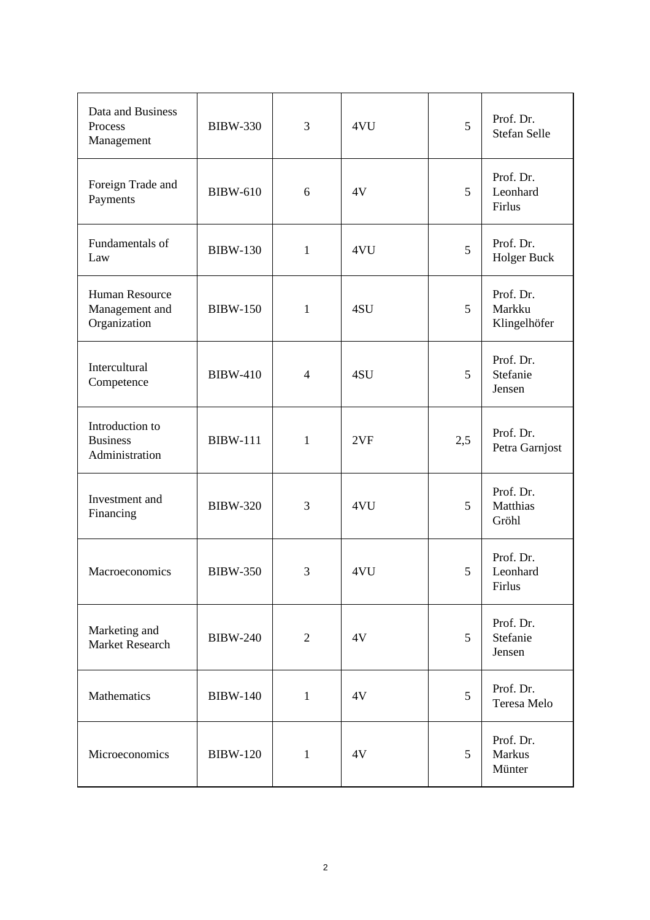| Data and Business<br>Process<br>Management           | <b>BIBW-330</b> | 3              | 4VU | 5   | Prof. Dr.<br><b>Stefan Selle</b>    |
|------------------------------------------------------|-----------------|----------------|-----|-----|-------------------------------------|
| Foreign Trade and<br>Payments                        | <b>BIBW-610</b> | 6              | 4V  | 5   | Prof. Dr.<br>Leonhard<br>Firlus     |
| Fundamentals of<br>Law                               | <b>BIBW-130</b> | $\mathbf{1}$   | 4VU | 5   | Prof. Dr.<br>Holger Buck            |
| Human Resource<br>Management and<br>Organization     | <b>BIBW-150</b> | $\mathbf{1}$   | 4SU | 5   | Prof. Dr.<br>Markku<br>Klingelhöfer |
| Intercultural<br>Competence                          | <b>BIBW-410</b> | $\overline{4}$ | 4SU | 5   | Prof. Dr.<br>Stefanie<br>Jensen     |
| Introduction to<br><b>Business</b><br>Administration | <b>BIBW-111</b> | 1              | 2VF | 2,5 | Prof. Dr.<br>Petra Garnjost         |
| Investment and<br>Financing                          | <b>BIBW-320</b> | 3              | 4VU | 5   | Prof. Dr.<br>Matthias<br>Gröhl      |
| Macroeconomics                                       | <b>BIBW-350</b> | 3              | 4VU | 5   | Prof. Dr.<br>Leonhard<br>Firlus     |
| Marketing and<br><b>Market Research</b>              | <b>BIBW-240</b> | $\overline{2}$ | 4V  | 5   | Prof. Dr.<br>Stefanie<br>Jensen     |
| Mathematics                                          | <b>BIBW-140</b> | $\mathbf{1}$   | 4V  | 5   | Prof. Dr.<br>Teresa Melo            |
| Microeconomics                                       | <b>BIBW-120</b> | $\mathbf{1}$   | 4V  | 5   | Prof. Dr.<br>Markus<br>Münter       |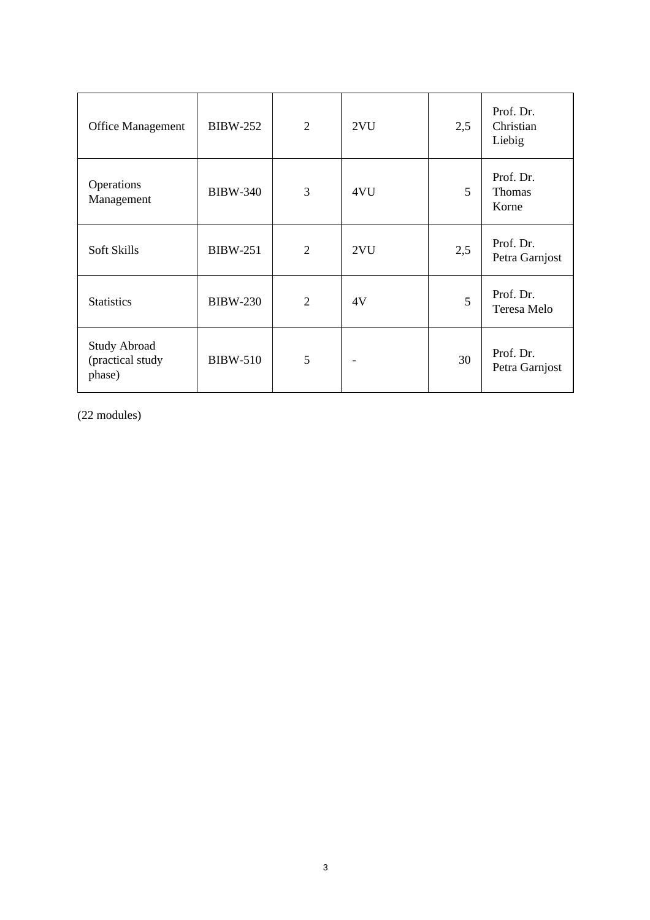| <b>Office Management</b>                          | <b>BIBW-252</b> | $\overline{2}$ | 2VU | 2,5 | Prof. Dr.<br>Christian<br>Liebig |
|---------------------------------------------------|-----------------|----------------|-----|-----|----------------------------------|
| Operations<br>Management                          | <b>BIBW-340</b> | 3              | 4VU | 5   | Prof. Dr.<br>Thomas<br>Korne     |
| Soft Skills                                       | <b>BIBW-251</b> | $\overline{2}$ | 2VU | 2,5 | Prof. Dr.<br>Petra Garnjost      |
| <b>Statistics</b>                                 | <b>BIBW-230</b> | $\overline{2}$ | 4V  | 5   | Prof. Dr.<br>Teresa Melo         |
| <b>Study Abroad</b><br>(practical study<br>phase) | <b>BIBW-510</b> | 5              |     | 30  | Prof. Dr.<br>Petra Garnjost      |

(22 modules)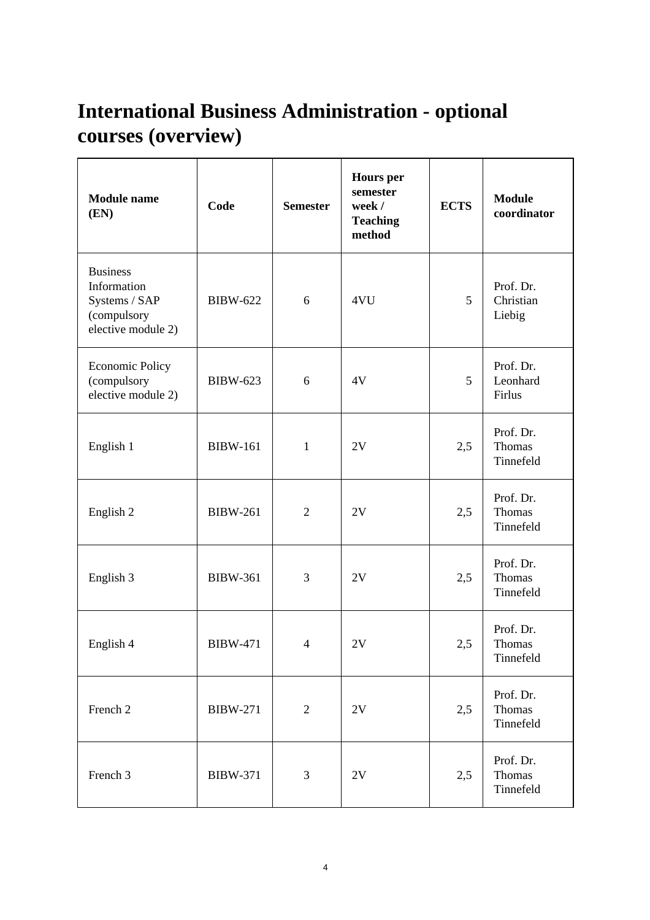# **International Business Administration - optional courses (overview)**

| <b>Module</b> name<br>(EN)                                                           | Code            | <b>Semester</b>          | <b>Hours</b> per<br>semester<br>week /<br><b>Teaching</b><br>method | <b>ECTS</b> | <b>Module</b><br>coordinator            |
|--------------------------------------------------------------------------------------|-----------------|--------------------------|---------------------------------------------------------------------|-------------|-----------------------------------------|
| <b>Business</b><br>Information<br>Systems / SAP<br>(compulsory<br>elective module 2) | <b>BIBW-622</b> | 6                        | 4VU                                                                 | 5           | Prof. Dr.<br>Christian<br>Liebig        |
| <b>Economic Policy</b><br>(compulsory<br>elective module 2)                          | <b>BIBW-623</b> | 6                        | 4V                                                                  | 5           | Prof. Dr.<br>Leonhard<br>Firlus         |
| English 1                                                                            | <b>BIBW-161</b> | $\mathbf{1}$             | 2V                                                                  | 2,5         | Prof. Dr.<br><b>Thomas</b><br>Tinnefeld |
| English 2                                                                            | <b>BIBW-261</b> | $\overline{2}$           | 2V                                                                  | 2,5         | Prof. Dr.<br>Thomas<br>Tinnefeld        |
| English 3                                                                            | <b>BIBW-361</b> | 3                        | 2V                                                                  | 2,5         | Prof. Dr.<br><b>Thomas</b><br>Tinnefeld |
| English 4                                                                            | <b>BIBW-471</b> | $\overline{\mathcal{A}}$ | 2V                                                                  | 2,5         | Prof. Dr.<br><b>Thomas</b><br>Tinnefeld |
| French 2                                                                             | <b>BIBW-271</b> | $\overline{2}$           | $2{\rm V}$                                                          | 2,5         | Prof. Dr.<br>Thomas<br>Tinnefeld        |
| French 3                                                                             | <b>BIBW-371</b> | 3                        | $2{\rm V}$                                                          | 2,5         | Prof. Dr.<br>Thomas<br>Tinnefeld        |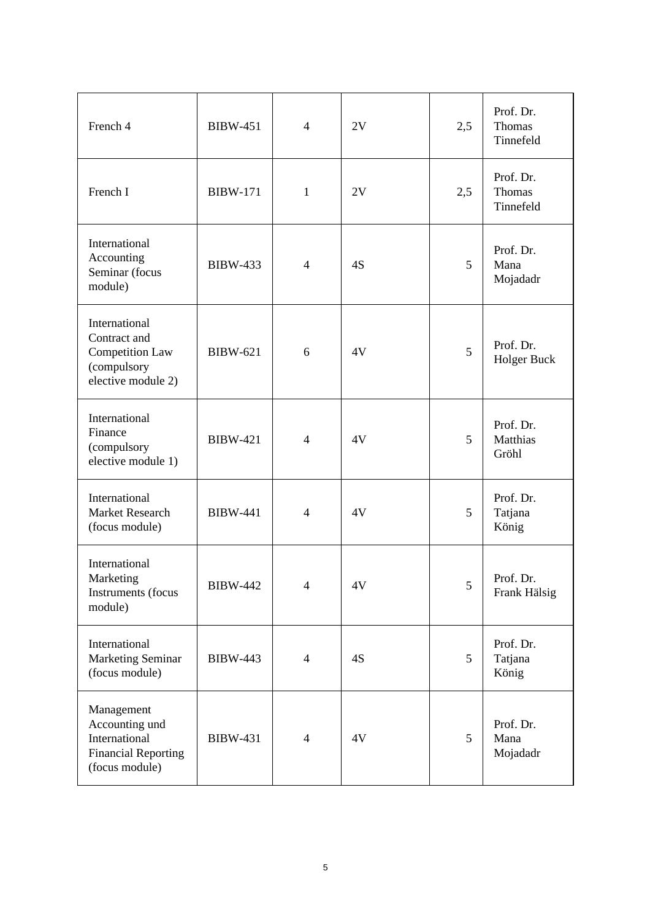| French 4                                                                                      | <b>BIBW-451</b> | $\overline{4}$ | 2V | 2,5 | Prof. Dr.<br><b>Thomas</b><br>Tinnefeld |
|-----------------------------------------------------------------------------------------------|-----------------|----------------|----|-----|-----------------------------------------|
| French I                                                                                      | <b>BIBW-171</b> | 1              | 2V | 2,5 | Prof. Dr.<br><b>Thomas</b><br>Tinnefeld |
| International<br>Accounting<br>Seminar (focus<br>module)                                      | <b>BIBW-433</b> | $\overline{4}$ | 4S | 5   | Prof. Dr.<br>Mana<br>Mojadadr           |
| International<br>Contract and<br>Competition Law<br>(compulsory<br>elective module 2)         | <b>BIBW-621</b> | 6              | 4V | 5   | Prof. Dr.<br><b>Holger Buck</b>         |
| International<br>Finance<br>(compulsory<br>elective module 1)                                 | <b>BIBW-421</b> | $\overline{4}$ | 4V | 5   | Prof. Dr.<br>Matthias<br>Gröhl          |
| International<br>Market Research<br>(focus module)                                            | <b>BIBW-441</b> | $\overline{4}$ | 4V | 5   | Prof. Dr.<br>Tatjana<br>König           |
| International<br>Marketing<br>Instruments (focus<br>module)                                   | <b>BIBW-442</b> | 4              | 4V | 5   | Prof. Dr.<br>Frank Hälsig               |
| International<br>Marketing Seminar<br>(focus module)                                          | <b>BIBW-443</b> | $\overline{4}$ | 4S | 5   | Prof. Dr.<br>Tatjana<br>König           |
| Management<br>Accounting und<br>International<br><b>Financial Reporting</b><br>(focus module) | <b>BIBW-431</b> | $\overline{4}$ | 4V | 5   | Prof. Dr.<br>Mana<br>Mojadadr           |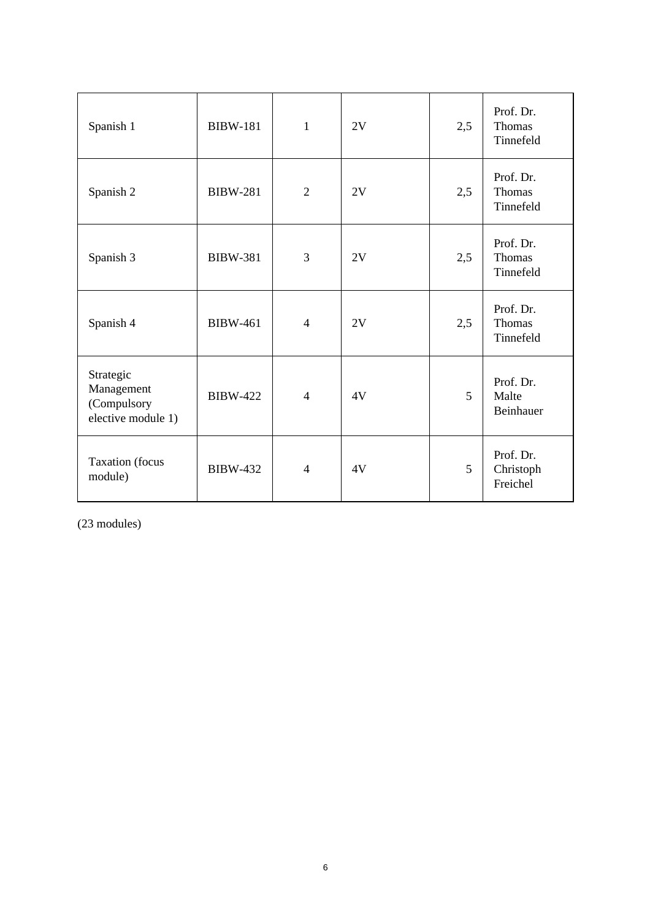| Spanish 1                                                    | <b>BIBW-181</b> | $\mathbf{1}$   | 2V | 2,5 | Prof. Dr.<br><b>Thomas</b><br>Tinnefeld |
|--------------------------------------------------------------|-----------------|----------------|----|-----|-----------------------------------------|
| Spanish 2                                                    | <b>BIBW-281</b> | $\overline{2}$ | 2V | 2,5 | Prof. Dr.<br><b>Thomas</b><br>Tinnefeld |
| Spanish 3                                                    | <b>BIBW-381</b> | 3              | 2V | 2,5 | Prof. Dr.<br>Thomas<br>Tinnefeld        |
| Spanish 4                                                    | <b>BIBW-461</b> | $\overline{4}$ | 2V | 2,5 | Prof. Dr.<br>Thomas<br>Tinnefeld        |
| Strategic<br>Management<br>(Compulsory<br>elective module 1) | <b>BIBW-422</b> | $\overline{4}$ | 4V | 5   | Prof. Dr.<br>Malte<br>Beinhauer         |
| <b>Taxation</b> (focus<br>module)                            | <b>BIBW-432</b> | $\overline{4}$ | 4V | 5   | Prof. Dr.<br>Christoph<br>Freichel      |

(23 modules)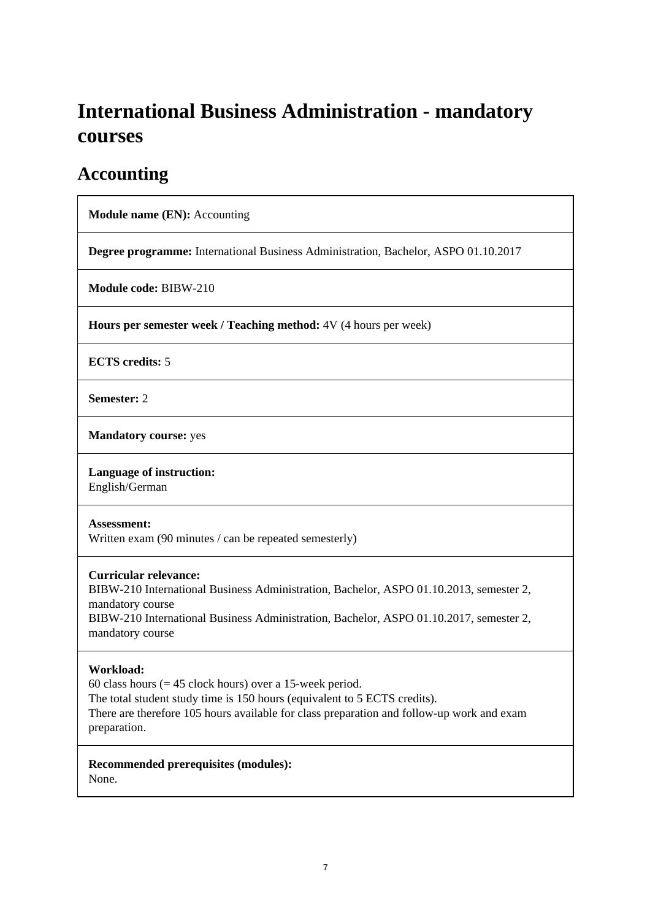# **International Business Administration - mandatory courses**

### **Accounting**

**Module name (EN):** Accounting

**Degree programme:** International Business Administration, Bachelor, ASPO 01.10.2017

**Module code:** BIBW-210

**Hours per semester week / Teaching method:** 4V (4 hours per week)

**ECTS credits:** 5

**Semester:** 2

**Mandatory course:** yes

#### **Language of instruction:**

English/German

#### **Assessment:**

Written exam (90 minutes / can be repeated semesterly)

#### **Curricular relevance:**

BIBW-210 International Business Administration, Bachelor, ASPO 01.10.2013, semester 2, mandatory course BIBW-210 International Business Administration, Bachelor, ASPO 01.10.2017, semester 2,

mandatory course

#### **Workload:**

60 class hours  $(= 45$  clock hours) over a 15-week period. The total student study time is 150 hours (equivalent to 5 ECTS credits). There are therefore 105 hours available for class preparation and follow-up work and exam preparation.

**Recommended prerequisites (modules):**  None.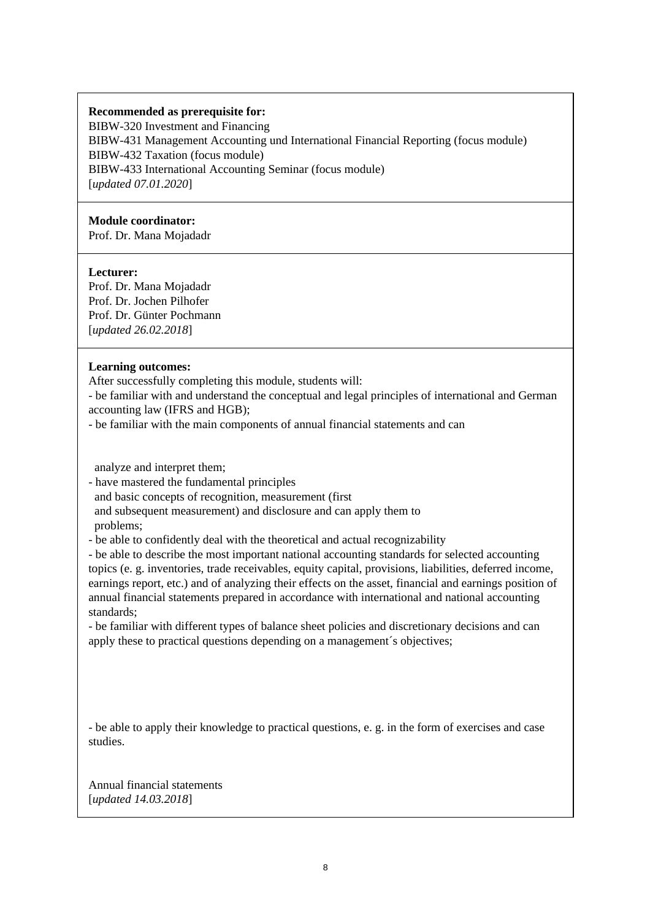#### **Recommended as prerequisite for:**

BIBW-320 Investment and Financing BIBW-431 Management Accounting und International Financial Reporting (focus module) BIBW-432 Taxation (focus module) BIBW-433 International Accounting Seminar (focus module) [*updated 07.01.2020*]

#### **Module coordinator:**

Prof. Dr. Mana Mojadadr

#### **Lecturer:**

Prof. Dr. Mana Mojadadr Prof. Dr. Jochen Pilhofer Prof. Dr. Günter Pochmann [*updated 26.02.2018*]

#### **Learning outcomes:**

After successfully completing this module, students will:

- be familiar with and understand the conceptual and legal principles of international and German accounting law (IFRS and HGB);

- be familiar with the main components of annual financial statements and can

analyze and interpret them;

- have mastered the fundamental principles

and basic concepts of recognition, measurement (first

 and subsequent measurement) and disclosure and can apply them to problems;

- be able to confidently deal with the theoretical and actual recognizability

- be able to describe the most important national accounting standards for selected accounting topics (e. g. inventories, trade receivables, equity capital, provisions, liabilities, deferred income, earnings report, etc.) and of analyzing their effects on the asset, financial and earnings position of annual financial statements prepared in accordance with international and national accounting standards;

- be familiar with different types of balance sheet policies and discretionary decisions and can apply these to practical questions depending on a management´s objectives;

- be able to apply their knowledge to practical questions, e. g. in the form of exercises and case studies.

Annual financial statements [*updated 14.03.2018*]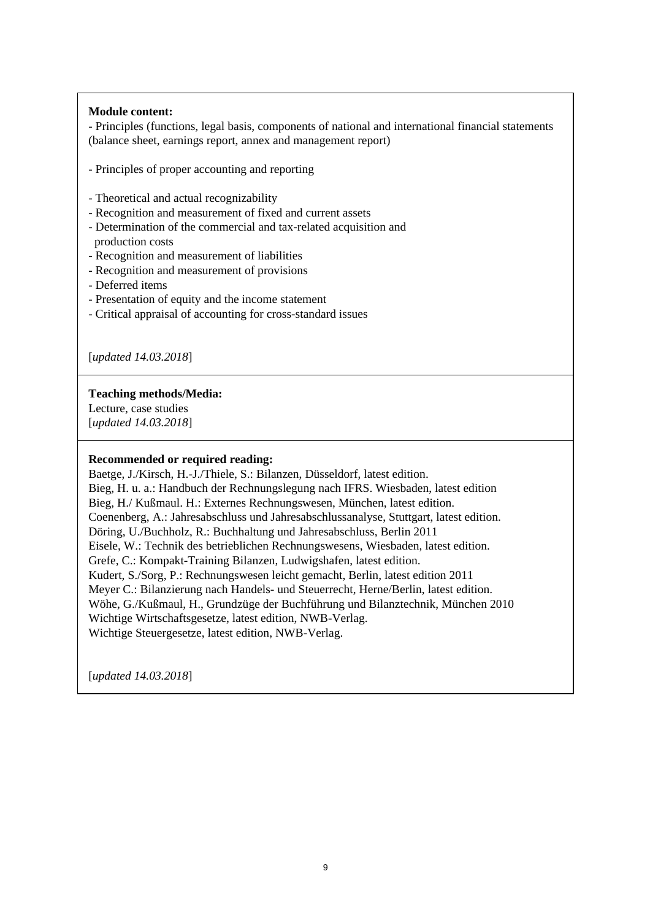#### **Module content:**

- Principles (functions, legal basis, components of national and international financial statements (balance sheet, earnings report, annex and management report)

- Principles of proper accounting and reporting
- Theoretical and actual recognizability
- Recognition and measurement of fixed and current assets
- Determination of the commercial and tax-related acquisition and production costs
- Recognition and measurement of liabilities
- Recognition and measurement of provisions
- Deferred items
- Presentation of equity and the income statement
- Critical appraisal of accounting for cross-standard issues

[*updated 14.03.2018*]

#### **Teaching methods/Media:**

Lecture, case studies [*updated 14.03.2018*]

#### **Recommended or required reading:**

Baetge, J./Kirsch, H.-J./Thiele, S.: Bilanzen, Düsseldorf, latest edition. Bieg, H. u. a.: Handbuch der Rechnungslegung nach IFRS. Wiesbaden, latest edition Bieg, H./ Kußmaul. H.: Externes Rechnungswesen, München, latest edition. Coenenberg, A.: Jahresabschluss und Jahresabschlussanalyse, Stuttgart, latest edition. Döring, U./Buchholz, R.: Buchhaltung und Jahresabschluss, Berlin 2011 Eisele, W.: Technik des betrieblichen Rechnungswesens, Wiesbaden, latest edition. Grefe, C.: Kompakt-Training Bilanzen, Ludwigshafen, latest edition. Kudert, S./Sorg, P.: Rechnungswesen leicht gemacht, Berlin, latest edition 2011 Meyer C.: Bilanzierung nach Handels- und Steuerrecht, Herne/Berlin, latest edition. Wöhe, G./Kußmaul, H., Grundzüge der Buchführung und Bilanztechnik, München 2010 Wichtige Wirtschaftsgesetze, latest edition, NWB-Verlag. Wichtige Steuergesetze, latest edition, NWB-Verlag.

[*updated 14.03.2018*]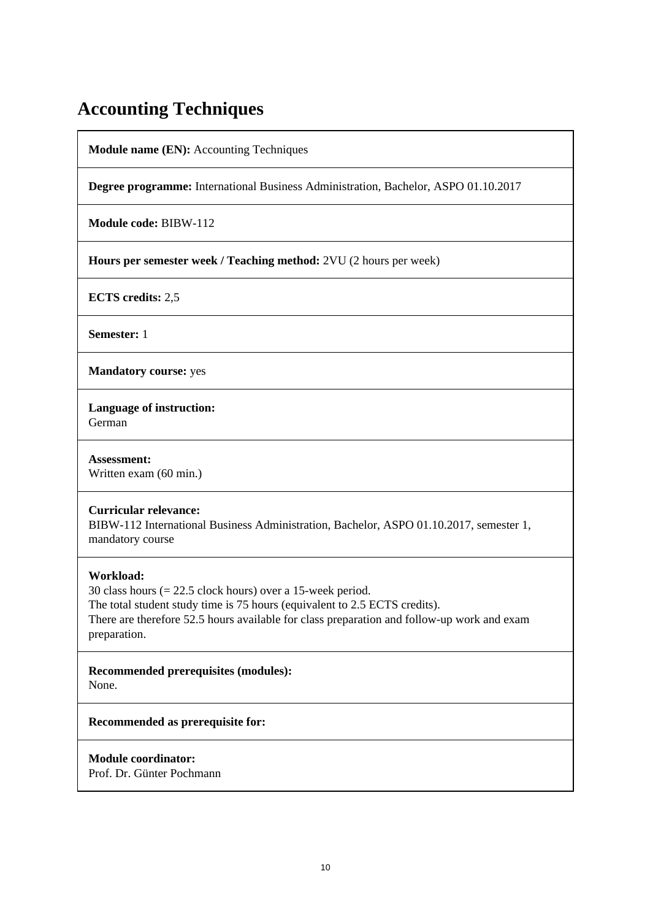### **Accounting Techniques**

**Module name (EN):** Accounting Techniques

**Degree programme:** International Business Administration, Bachelor, ASPO 01.10.2017

**Module code:** BIBW-112

**Hours per semester week / Teaching method:** 2VU (2 hours per week)

**ECTS credits:** 2,5

**Semester:** 1

**Mandatory course:** yes

**Language of instruction:**  German

**Assessment:**  Written exam (60 min.)

#### **Curricular relevance:**

BIBW-112 International Business Administration, Bachelor, ASPO 01.10.2017, semester 1, mandatory course

#### **Workload:**

30 class hours (= 22.5 clock hours) over a 15-week period. The total student study time is 75 hours (equivalent to 2.5 ECTS credits). There are therefore 52.5 hours available for class preparation and follow-up work and exam preparation.

**Recommended prerequisites (modules):**  None.

**Recommended as prerequisite for:** 

#### **Module coordinator:**

Prof. Dr. Günter Pochmann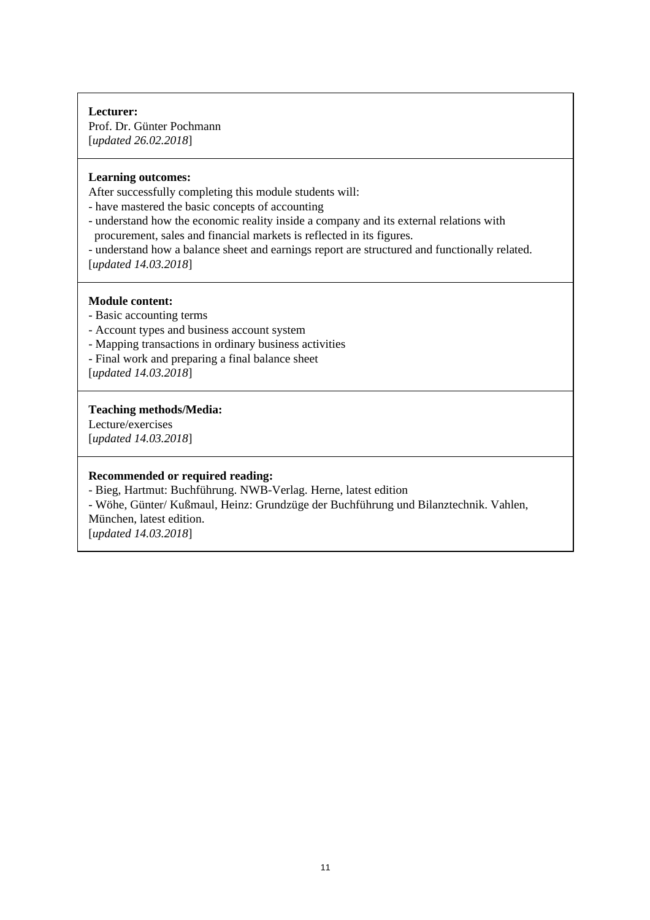#### **Lecturer:**  Prof. Dr. Günter Pochmann [*updated 26.02.2018*]

#### **Learning outcomes:**

After successfully completing this module students will:

- have mastered the basic concepts of accounting
- understand how the economic reality inside a company and its external relations with procurement, sales and financial markets is reflected in its figures.
- understand how a balance sheet and earnings report are structured and functionally related. [*updated 14.03.2018*]
- 

#### **Module content:**

- Basic accounting terms
- Account types and business account system
- Mapping transactions in ordinary business activities
- Final work and preparing a final balance sheet

[*updated 14.03.2018*]

#### **Teaching methods/Media:**

Lecture/exercises [*updated 14.03.2018*]

#### **Recommended or required reading:**

- Bieg, Hartmut: Buchführung. NWB-Verlag. Herne, latest edition

- Wöhe, Günter/ Kußmaul, Heinz: Grundzüge der Buchführung und Bilanztechnik. Vahlen,

München, latest edition. [*updated 14.03.2018*]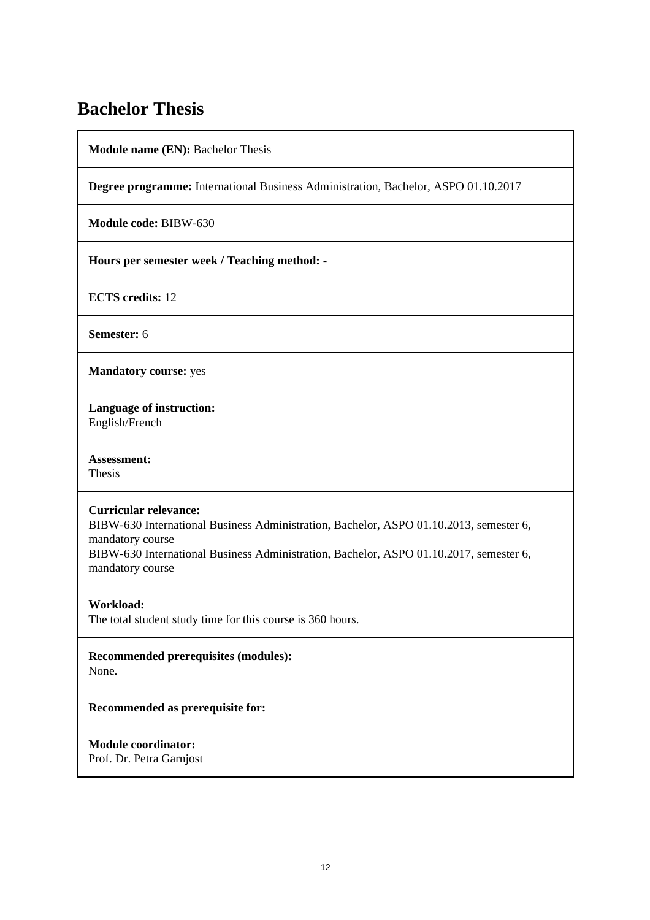### **Bachelor Thesis**

**Module name (EN):** Bachelor Thesis

**Degree programme:** International Business Administration, Bachelor, ASPO 01.10.2017

**Module code:** BIBW-630

**Hours per semester week / Teaching method:** -

**ECTS credits:** 12

**Semester:** 6

**Mandatory course:** yes

**Language of instruction:**  English/French

**Assessment:**  Thesis

#### **Curricular relevance:**

BIBW-630 International Business Administration, Bachelor, ASPO 01.10.2013, semester 6, mandatory course

BIBW-630 International Business Administration, Bachelor, ASPO 01.10.2017, semester 6, mandatory course

#### **Workload:**

The total student study time for this course is 360 hours.

## **Recommended prerequisites (modules):**

None.

#### **Recommended as prerequisite for:**

**Module coordinator:**  Prof. Dr. Petra Garnjost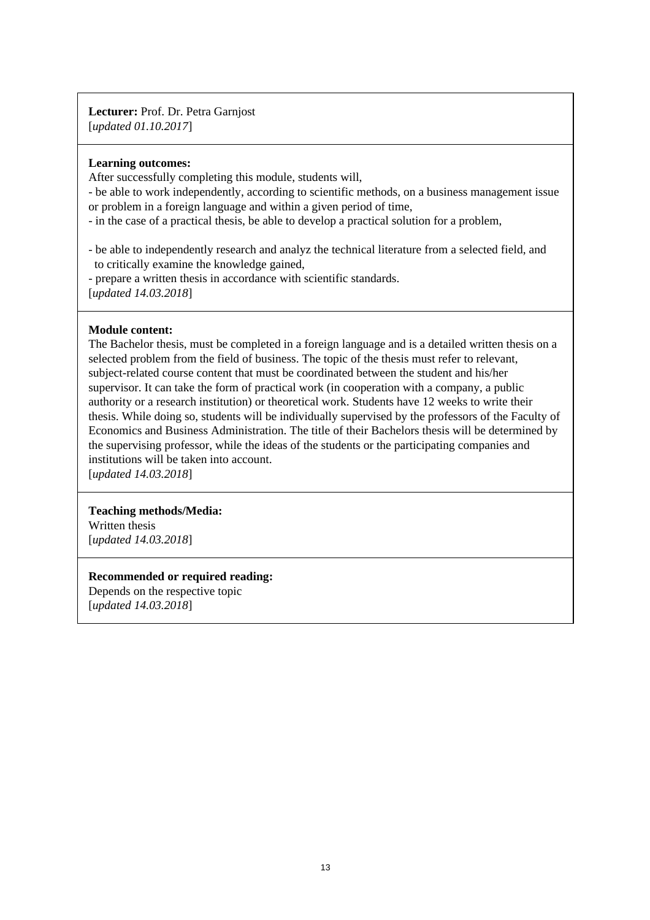**Lecturer:** Prof. Dr. Petra Garnjost [*updated 01.10.2017*]

#### **Learning outcomes:**

After successfully completing this module, students will,

- be able to work independently, according to scientific methods, on a business management issue or problem in a foreign language and within a given period of time,

- in the case of a practical thesis, be able to develop a practical solution for a problem,

- be able to independently research and analyz the technical literature from a selected field, and to critically examine the knowledge gained,

- prepare a written thesis in accordance with scientific standards.

[*updated 14.03.2018*]

#### **Module content:**

The Bachelor thesis, must be completed in a foreign language and is a detailed written thesis on a selected problem from the field of business. The topic of the thesis must refer to relevant, subject-related course content that must be coordinated between the student and his/her supervisor. It can take the form of practical work (in cooperation with a company, a public authority or a research institution) or theoretical work. Students have 12 weeks to write their thesis. While doing so, students will be individually supervised by the professors of the Faculty of Economics and Business Administration. The title of their Bachelors thesis will be determined by the supervising professor, while the ideas of the students or the participating companies and institutions will be taken into account.

[*updated 14.03.2018*]

#### **Teaching methods/Media:**

Written thesis [*updated 14.03.2018*]

#### **Recommended or required reading:**

Depends on the respective topic [*updated 14.03.2018*]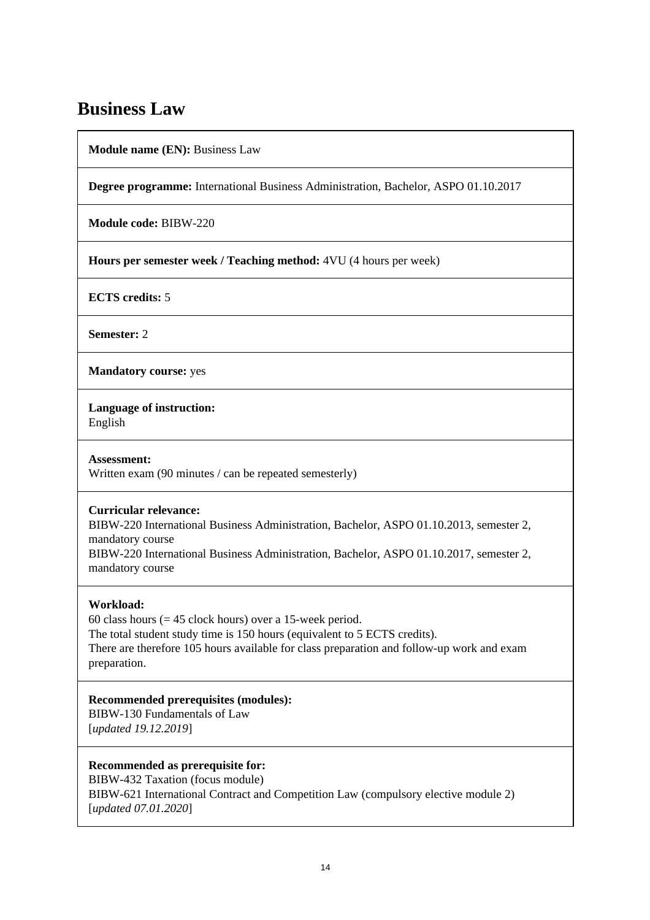### **Business Law**

**Module name (EN):** Business Law

**Degree programme:** International Business Administration, Bachelor, ASPO 01.10.2017

**Module code:** BIBW-220

**Hours per semester week / Teaching method:** 4VU (4 hours per week)

**ECTS credits:** 5

**Semester:** 2

**Mandatory course:** yes

**Language of instruction:** 

English

**Assessment:**  Written exam (90 minutes / can be repeated semesterly)

#### **Curricular relevance:**

BIBW-220 International Business Administration, Bachelor, ASPO 01.10.2013, semester 2, mandatory course

BIBW-220 International Business Administration, Bachelor, ASPO 01.10.2017, semester 2, mandatory course

#### **Workload:**

60 class hours ( $= 45$  clock hours) over a 15-week period. The total student study time is 150 hours (equivalent to 5 ECTS credits). There are therefore 105 hours available for class preparation and follow-up work and exam preparation.

**Recommended prerequisites (modules):** 

BIBW-130 Fundamentals of Law [*updated 19.12.2019*]

#### **Recommended as prerequisite for:**

BIBW-432 Taxation (focus module) BIBW-621 International Contract and Competition Law (compulsory elective module 2) [*updated 07.01.2020*]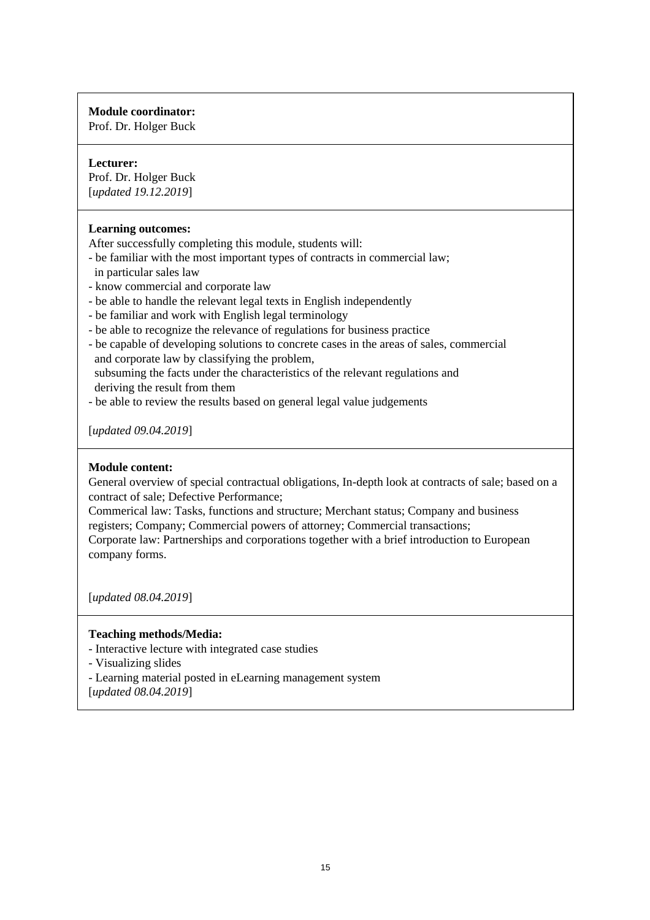#### **Module coordinator:**

Prof. Dr. Holger Buck

#### **Lecturer:**

Prof. Dr. Holger Buck [*updated 19.12.2019*]

#### **Learning outcomes:**

After successfully completing this module, students will:

- be familiar with the most important types of contracts in commercial law;
- in particular sales law
- know commercial and corporate law
- be able to handle the relevant legal texts in English independently
- be familiar and work with English legal terminology
- be able to recognize the relevance of regulations for business practice
- be capable of developing solutions to concrete cases in the areas of sales, commercial and corporate law by classifying the problem, subsuming the facts under the characteristics of the relevant regulations and deriving the result from them
- be able to review the results based on general legal value judgements

[*updated 09.04.2019*]

#### **Module content:**

General overview of special contractual obligations, In-depth look at contracts of sale; based on a contract of sale; Defective Performance;

Commerical law: Tasks, functions and structure; Merchant status; Company and business registers; Company; Commercial powers of attorney; Commercial transactions;

Corporate law: Partnerships and corporations together with a brief introduction to European company forms.

[*updated 08.04.2019*]

#### **Teaching methods/Media:**

- Interactive lecture with integrated case studies

- Visualizing slides

- Learning material posted in eLearning management system

[*updated 08.04.2019*]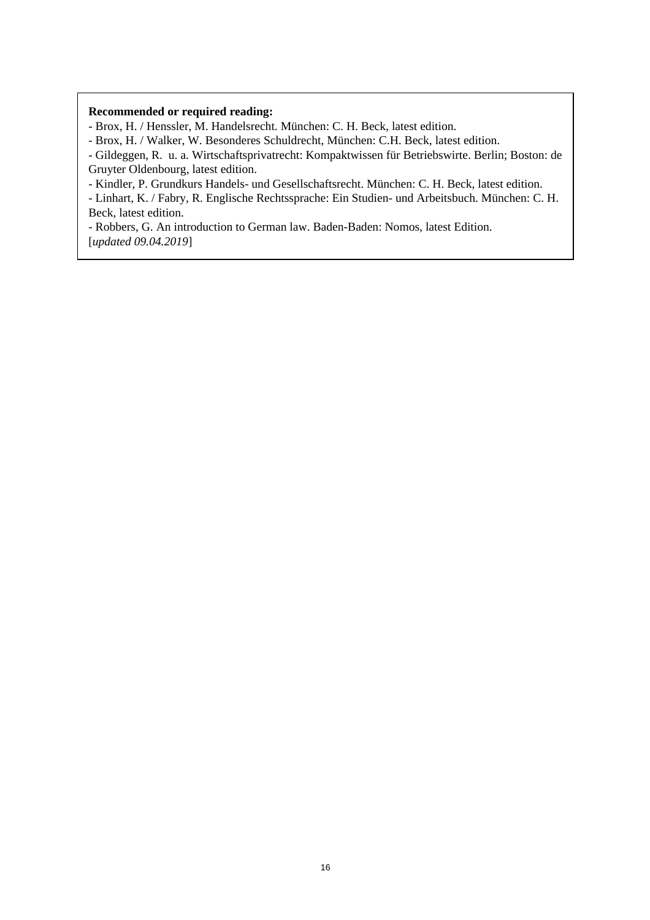#### **Recommended or required reading:**

- Brox, H. / Henssler, M. Handelsrecht. München: C. H. Beck, latest edition.

- Brox, H. / Walker, W. Besonderes Schuldrecht, München: C.H. Beck, latest edition.

- Gildeggen, R. u. a. Wirtschaftsprivatrecht: Kompaktwissen für Betriebswirte. Berlin; Boston: de Gruyter Oldenbourg, latest edition.

- Kindler, P. Grundkurs Handels- und Gesellschaftsrecht. München: C. H. Beck, latest edition.

- Linhart, K. / Fabry, R. Englische Rechtssprache: Ein Studien- und Arbeitsbuch. München: C. H. Beck, latest edition.

- Robbers, G. An introduction to German law. Baden-Baden: Nomos, latest Edition. [*updated 09.04.2019*]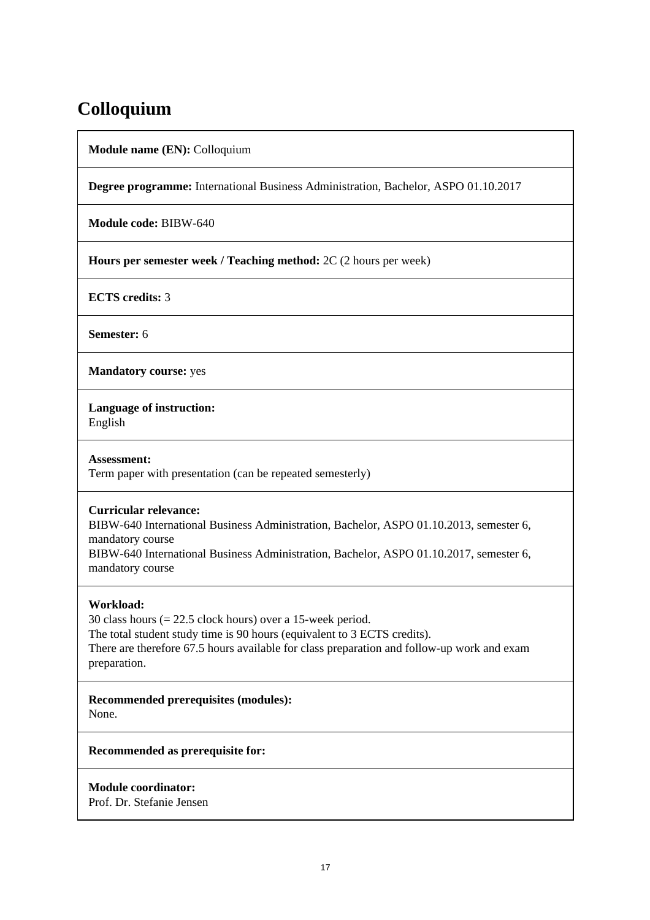### **Colloquium**

**Module name (EN):** Colloquium

**Degree programme:** International Business Administration, Bachelor, ASPO 01.10.2017

**Module code:** BIBW-640

**Hours per semester week / Teaching method:** 2C (2 hours per week)

**ECTS credits:** 3

**Semester:** 6

**Mandatory course:** yes

**Language of instruction:** 

English

**Assessment:**  Term paper with presentation (can be repeated semesterly)

#### **Curricular relevance:**

BIBW-640 International Business Administration, Bachelor, ASPO 01.10.2013, semester 6, mandatory course

BIBW-640 International Business Administration, Bachelor, ASPO 01.10.2017, semester 6, mandatory course

#### **Workload:**

30 class hours (= 22.5 clock hours) over a 15-week period. The total student study time is 90 hours (equivalent to 3 ECTS credits). There are therefore 67.5 hours available for class preparation and follow-up work and exam preparation.

**Recommended prerequisites (modules):**  None.

**Recommended as prerequisite for:** 

**Module coordinator:**  Prof. Dr. Stefanie Jensen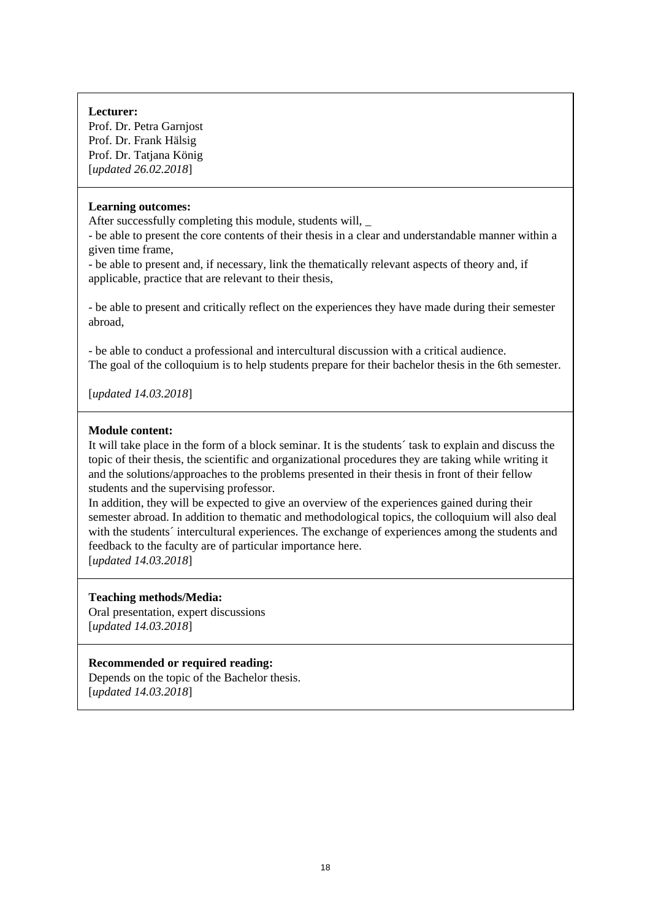#### **Lecturer:**

Prof. Dr. Petra Garnjost Prof. Dr. Frank Hälsig Prof. Dr. Tatjana König [*updated 26.02.2018*]

#### **Learning outcomes:**

After successfully completing this module, students will, \_

- be able to present the core contents of their thesis in a clear and understandable manner within a given time frame,

- be able to present and, if necessary, link the thematically relevant aspects of theory and, if applicable, practice that are relevant to their thesis,

- be able to present and critically reflect on the experiences they have made during their semester abroad,

- be able to conduct a professional and intercultural discussion with a critical audience. The goal of the colloquium is to help students prepare for their bachelor thesis in the 6th semester.

[*updated 14.03.2018*]

#### **Module content:**

It will take place in the form of a block seminar. It is the students´ task to explain and discuss the topic of their thesis, the scientific and organizational procedures they are taking while writing it and the solutions/approaches to the problems presented in their thesis in front of their fellow students and the supervising professor.

In addition, they will be expected to give an overview of the experiences gained during their semester abroad. In addition to thematic and methodological topics, the colloquium will also deal with the students' intercultural experiences. The exchange of experiences among the students and feedback to the faculty are of particular importance here. [*updated 14.03.2018*]

**Teaching methods/Media:** 

Oral presentation, expert discussions [*updated 14.03.2018*]

#### **Recommended or required reading:**

Depends on the topic of the Bachelor thesis. [*updated 14.03.2018*]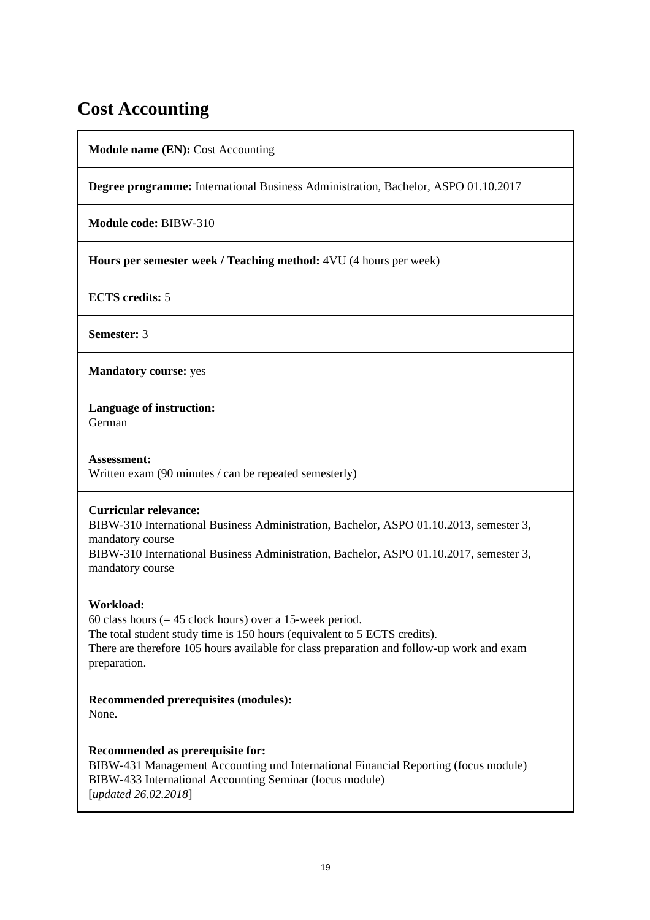### **Cost Accounting**

**Module name (EN):** Cost Accounting

**Degree programme:** International Business Administration, Bachelor, ASPO 01.10.2017

**Module code:** BIBW-310

**Hours per semester week / Teaching method:** 4VU (4 hours per week)

**ECTS credits:** 5

**Semester:** 3

**Mandatory course:** yes

**Language of instruction:** 

German

**Assessment:**  Written exam (90 minutes / can be repeated semesterly)

#### **Curricular relevance:**

BIBW-310 International Business Administration, Bachelor, ASPO 01.10.2013, semester 3, mandatory course

BIBW-310 International Business Administration, Bachelor, ASPO 01.10.2017, semester 3, mandatory course

#### **Workload:**

60 class hours ( $= 45$  clock hours) over a 15-week period. The total student study time is 150 hours (equivalent to 5 ECTS credits). There are therefore 105 hours available for class preparation and follow-up work and exam preparation.

**Recommended prerequisites (modules):**  None.

**Recommended as prerequisite for:** 

BIBW-431 Management Accounting und International Financial Reporting (focus module) BIBW-433 International Accounting Seminar (focus module) [*updated 26.02.2018*]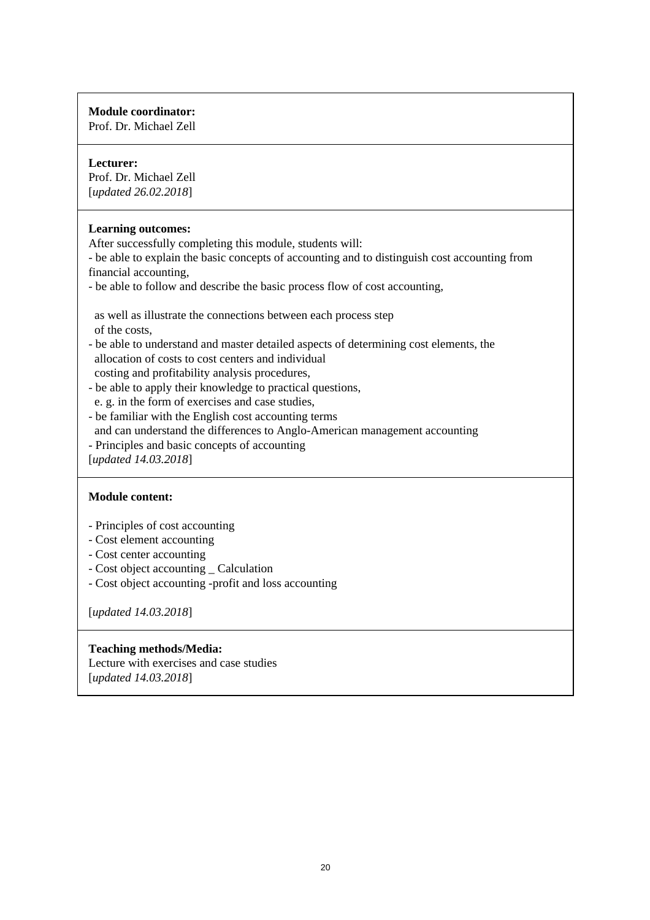#### **Module coordinator:**

Prof. Dr. Michael Zell

#### **Lecturer:**

Prof. Dr. Michael Zell [*updated 26.02.2018*]

#### **Learning outcomes:**

After successfully completing this module, students will:

- be able to explain the basic concepts of accounting and to distinguish cost accounting from financial accounting,

- be able to follow and describe the basic process flow of cost accounting,

 as well as illustrate the connections between each process step of the costs,

- be able to understand and master detailed aspects of determining cost elements, the allocation of costs to cost centers and individual costing and profitability analysis procedures,

- be able to apply their knowledge to practical questions, e. g. in the form of exercises and case studies,
- be familiar with the English cost accounting terms and can understand the differences to Anglo-American management accounting
- Principles and basic concepts of accounting

[*updated 14.03.2018*]

#### **Module content:**

- Principles of cost accounting
- Cost element accounting
- Cost center accounting
- Cost object accounting \_ Calculation
- Cost object accounting -profit and loss accounting

[*updated 14.03.2018*]

#### **Teaching methods/Media:**

Lecture with exercises and case studies [*updated 14.03.2018*]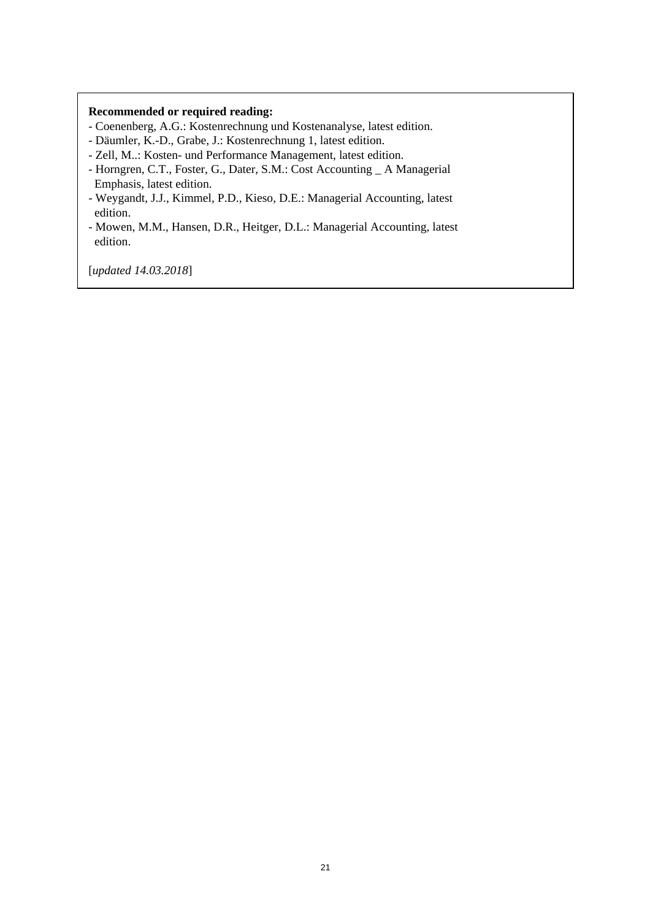#### **Recommended or required reading:**

- Coenenberg, A.G.: Kostenrechnung und Kostenanalyse, latest edition.
- Däumler, K.-D., Grabe, J.: Kostenrechnung 1, latest edition.
- Zell, M..: Kosten- und Performance Management, latest edition.
- Horngren, C.T., Foster, G., Dater, S.M.: Cost Accounting \_ A Managerial Emphasis, latest edition.
- Weygandt, J.J., Kimmel, P.D., Kieso, D.E.: Managerial Accounting, latest edition.
- Mowen, M.M., Hansen, D.R., Heitger, D.L.: Managerial Accounting, latest edition.

[*updated 14.03.2018*]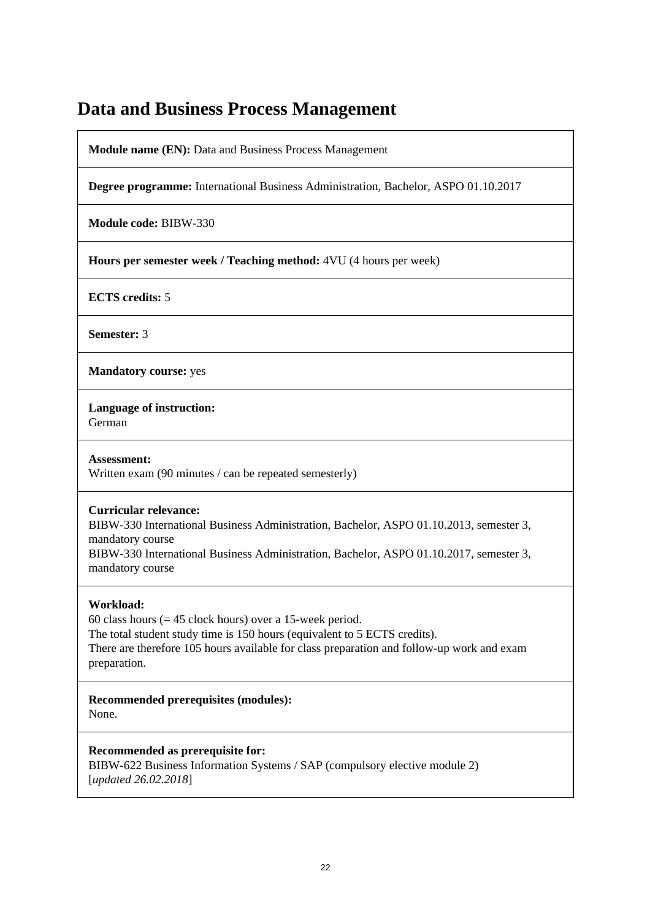### **Data and Business Process Management**

**Module name (EN):** Data and Business Process Management

**Degree programme:** International Business Administration, Bachelor, ASPO 01.10.2017

**Module code:** BIBW-330

**Hours per semester week / Teaching method:** 4VU (4 hours per week)

**ECTS credits:** 5

**Semester:** 3

**Mandatory course:** yes

**Language of instruction:** 

German

**Assessment:**  Written exam (90 minutes / can be repeated semesterly)

#### **Curricular relevance:**

BIBW-330 International Business Administration, Bachelor, ASPO 01.10.2013, semester 3, mandatory course

BIBW-330 International Business Administration, Bachelor, ASPO 01.10.2017, semester 3, mandatory course

#### **Workload:**

60 class hours  $(= 45$  clock hours) over a 15-week period. The total student study time is 150 hours (equivalent to 5 ECTS credits). There are therefore 105 hours available for class preparation and follow-up work and exam preparation.

**Recommended prerequisites (modules):**  None.

**Recommended as prerequisite for:** 

BIBW-622 Business Information Systems / SAP (compulsory elective module 2) [*updated 26.02.2018*]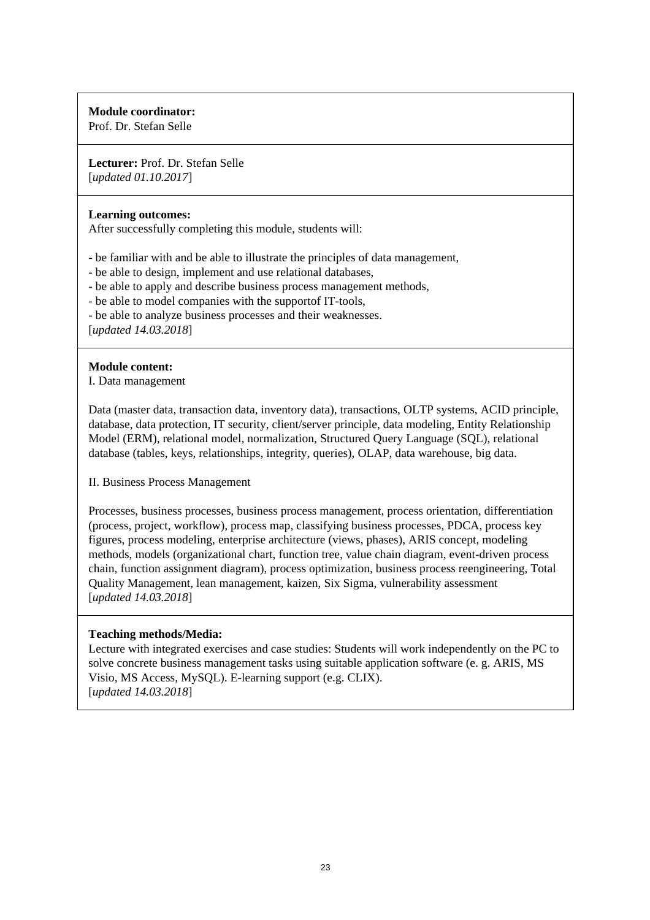#### **Module coordinator:**

Prof. Dr. Stefan Selle

**Lecturer:** Prof. Dr. Stefan Selle [*updated 01.10.2017*]

#### **Learning outcomes:**

After successfully completing this module, students will:

- be familiar with and be able to illustrate the principles of data management,
- be able to design, implement and use relational databases,
- be able to apply and describe business process management methods,
- be able to model companies with the supportof IT-tools,
- be able to analyze business processes and their weaknesses.

[*updated 14.03.2018*]

#### **Module content:**

I. Data management

Data (master data, transaction data, inventory data), transactions, OLTP systems, ACID principle, database, data protection, IT security, client/server principle, data modeling, Entity Relationship Model (ERM), relational model, normalization, Structured Query Language (SQL), relational database (tables, keys, relationships, integrity, queries), OLAP, data warehouse, big data.

II. Business Process Management

Processes, business processes, business process management, process orientation, differentiation (process, project, workflow), process map, classifying business processes, PDCA, process key figures, process modeling, enterprise architecture (views, phases), ARIS concept, modeling methods, models (organizational chart, function tree, value chain diagram, event-driven process chain, function assignment diagram), process optimization, business process reengineering, Total Quality Management, lean management, kaizen, Six Sigma, vulnerability assessment [*updated 14.03.2018*]

#### **Teaching methods/Media:**

Lecture with integrated exercises and case studies: Students will work independently on the PC to solve concrete business management tasks using suitable application software (e. g. ARIS, MS Visio, MS Access, MySQL). E-learning support (e.g. CLIX). [*updated 14.03.2018*]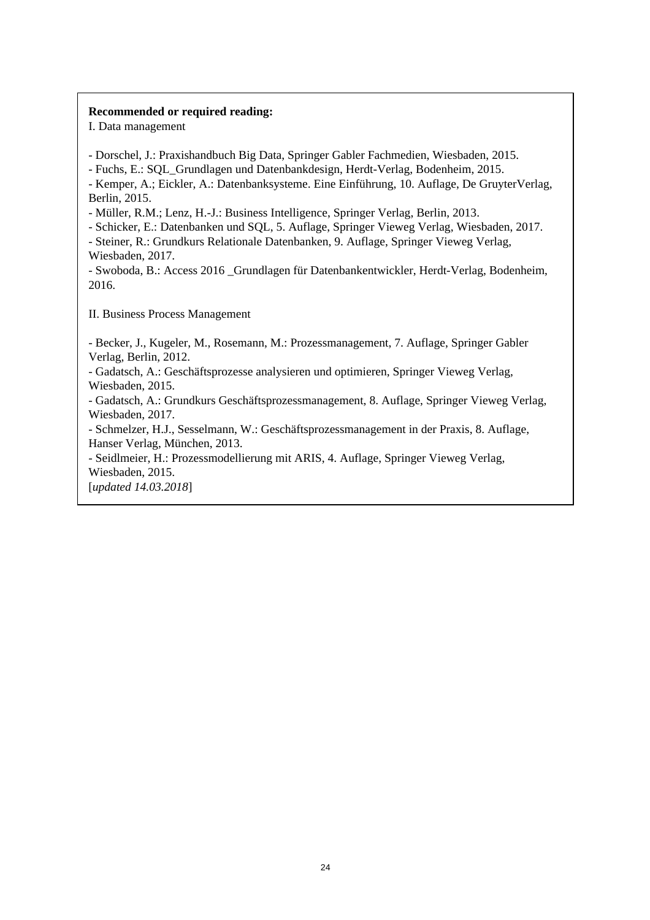#### **Recommended or required reading:**

I. Data management

- Dorschel, J.: Praxishandbuch Big Data, Springer Gabler Fachmedien, Wiesbaden, 2015.

- Fuchs, E.: SQL\_Grundlagen und Datenbankdesign, Herdt-Verlag, Bodenheim, 2015.

- Kemper, A.; Eickler, A.: Datenbanksysteme. Eine Einführung, 10. Auflage, De GruyterVerlag, Berlin, 2015.

- Müller, R.M.; Lenz, H.-J.: Business Intelligence, Springer Verlag, Berlin, 2013.

- Schicker, E.: Datenbanken und SQL, 5. Auflage, Springer Vieweg Verlag, Wiesbaden, 2017.

- Steiner, R.: Grundkurs Relationale Datenbanken, 9. Auflage, Springer Vieweg Verlag, Wiesbaden, 2017.

- Swoboda, B.: Access 2016 \_Grundlagen für Datenbankentwickler, Herdt-Verlag, Bodenheim, 2016.

II. Business Process Management

- Becker, J., Kugeler, M., Rosemann, M.: Prozessmanagement, 7. Auflage, Springer Gabler Verlag, Berlin, 2012.

- Gadatsch, A.: Geschäftsprozesse analysieren und optimieren, Springer Vieweg Verlag, Wiesbaden, 2015.

- Gadatsch, A.: Grundkurs Geschäftsprozessmanagement, 8. Auflage, Springer Vieweg Verlag, Wiesbaden, 2017.

- Schmelzer, H.J., Sesselmann, W.: Geschäftsprozessmanagement in der Praxis, 8. Auflage, Hanser Verlag, München, 2013.

- Seidlmeier, H.: Prozessmodellierung mit ARIS, 4. Auflage, Springer Vieweg Verlag, Wiesbaden, 2015.

[*updated 14.03.2018*]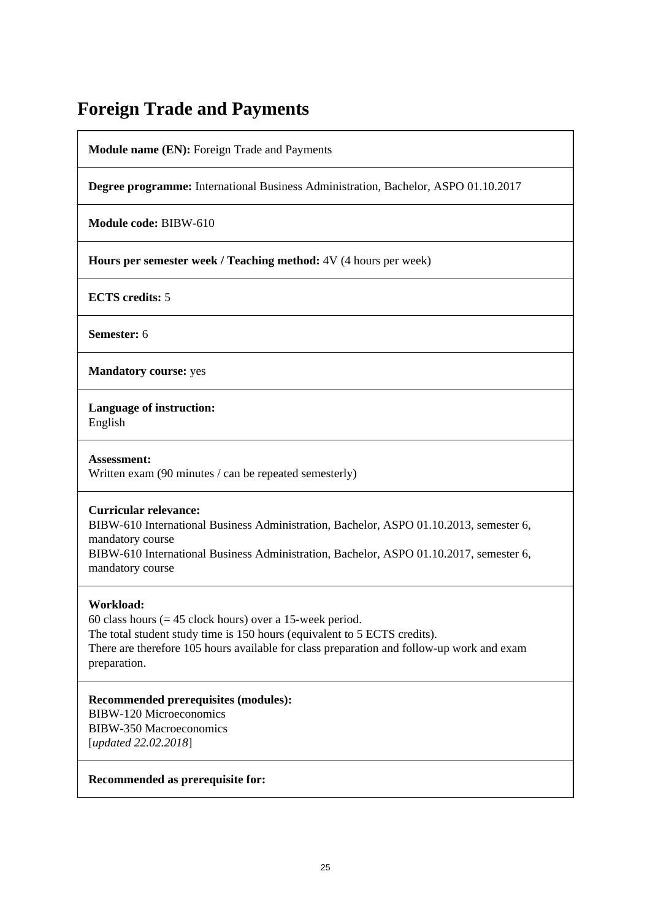### **Foreign Trade and Payments**

**Module name (EN):** Foreign Trade and Payments

**Degree programme:** International Business Administration, Bachelor, ASPO 01.10.2017

**Module code:** BIBW-610

**Hours per semester week / Teaching method:** 4V (4 hours per week)

**ECTS credits:** 5

**Semester:** 6

**Mandatory course:** yes

**Language of instruction:** 

English

**Assessment:**  Written exam (90 minutes / can be repeated semesterly)

#### **Curricular relevance:**

BIBW-610 International Business Administration, Bachelor, ASPO 01.10.2013, semester 6, mandatory course

BIBW-610 International Business Administration, Bachelor, ASPO 01.10.2017, semester 6, mandatory course

#### **Workload:**

60 class hours  $(= 45$  clock hours) over a 15-week period. The total student study time is 150 hours (equivalent to 5 ECTS credits). There are therefore 105 hours available for class preparation and follow-up work and exam preparation.

**Recommended prerequisites (modules):**  BIBW-120 Microeconomics BIBW-350 Macroeconomics [*updated 22.02.2018*]

**Recommended as prerequisite for:**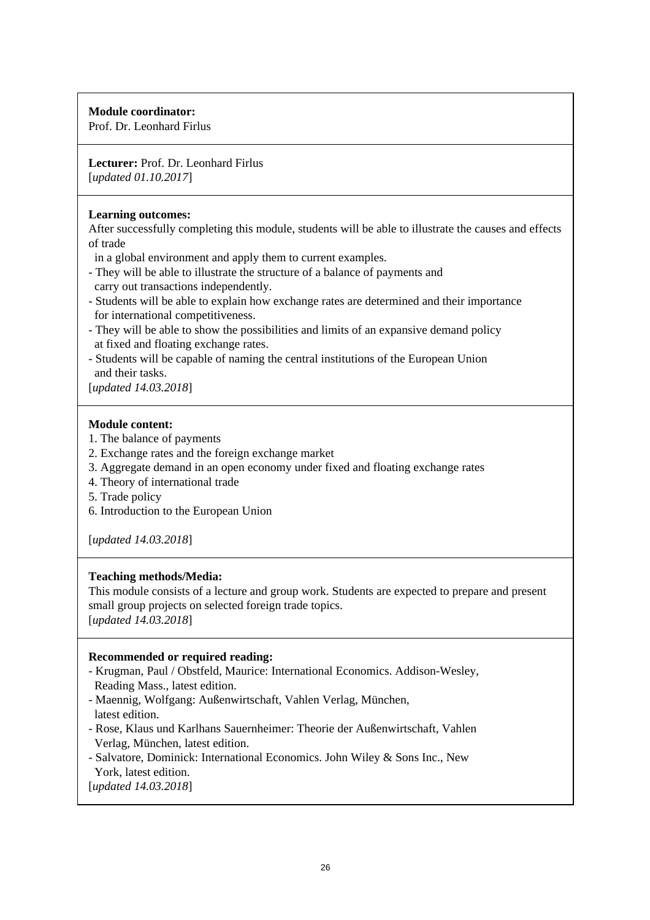#### **Module coordinator:**

Prof. Dr. Leonhard Firlus

#### **Lecturer:** Prof. Dr. Leonhard Firlus [*updated 01.10.2017*]

#### **Learning outcomes:**

After successfully completing this module, students will be able to illustrate the causes and effects of trade

in a global environment and apply them to current examples.

- They will be able to illustrate the structure of a balance of payments and carry out transactions independently.
- Students will be able to explain how exchange rates are determined and their importance for international competitiveness.
- They will be able to show the possibilities and limits of an expansive demand policy at fixed and floating exchange rates.
- Students will be capable of naming the central institutions of the European Union and their tasks.

[*updated 14.03.2018*]

#### **Module content:**

- 1. The balance of payments
- 2. Exchange rates and the foreign exchange market
- 3. Aggregate demand in an open economy under fixed and floating exchange rates
- 4. Theory of international trade
- 5. Trade policy
- 6. Introduction to the European Union

[*updated 14.03.2018*]

#### **Teaching methods/Media:**

This module consists of a lecture and group work. Students are expected to prepare and present small group projects on selected foreign trade topics.

[*updated 14.03.2018*]

#### **Recommended or required reading:**

- Krugman, Paul / Obstfeld, Maurice: International Economics. Addison-Wesley, Reading Mass., latest edition.
- Maennig, Wolfgang: Außenwirtschaft, Vahlen Verlag, München, latest edition.
- Rose, Klaus und Karlhans Sauernheimer: Theorie der Außenwirtschaft, Vahlen Verlag, München, latest edition.
- Salvatore, Dominick: International Economics. John Wiley & Sons Inc., New York, latest edition.

[*updated 14.03.2018*]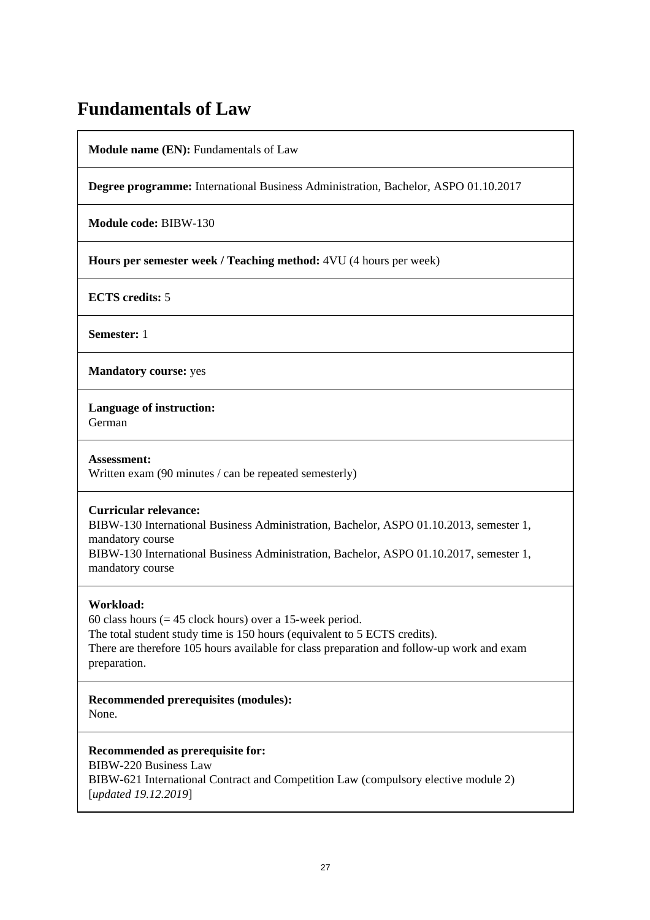### **Fundamentals of Law**

**Module name (EN):** Fundamentals of Law

**Degree programme:** International Business Administration, Bachelor, ASPO 01.10.2017

**Module code:** BIBW-130

**Hours per semester week / Teaching method:** 4VU (4 hours per week)

**ECTS credits:** 5

**Semester:** 1

**Mandatory course:** yes

**Language of instruction:** 

German

**Assessment:**  Written exam (90 minutes / can be repeated semesterly)

#### **Curricular relevance:**

BIBW-130 International Business Administration, Bachelor, ASPO 01.10.2013, semester 1, mandatory course

BIBW-130 International Business Administration, Bachelor, ASPO 01.10.2017, semester 1, mandatory course

#### **Workload:**

60 class hours ( $= 45$  clock hours) over a 15-week period. The total student study time is 150 hours (equivalent to 5 ECTS credits). There are therefore 105 hours available for class preparation and follow-up work and exam preparation.

**Recommended prerequisites (modules):**  None.

**Recommended as prerequisite for:** 

BIBW-220 Business Law BIBW-621 International Contract and Competition Law (compulsory elective module 2) [*updated 19.12.2019*]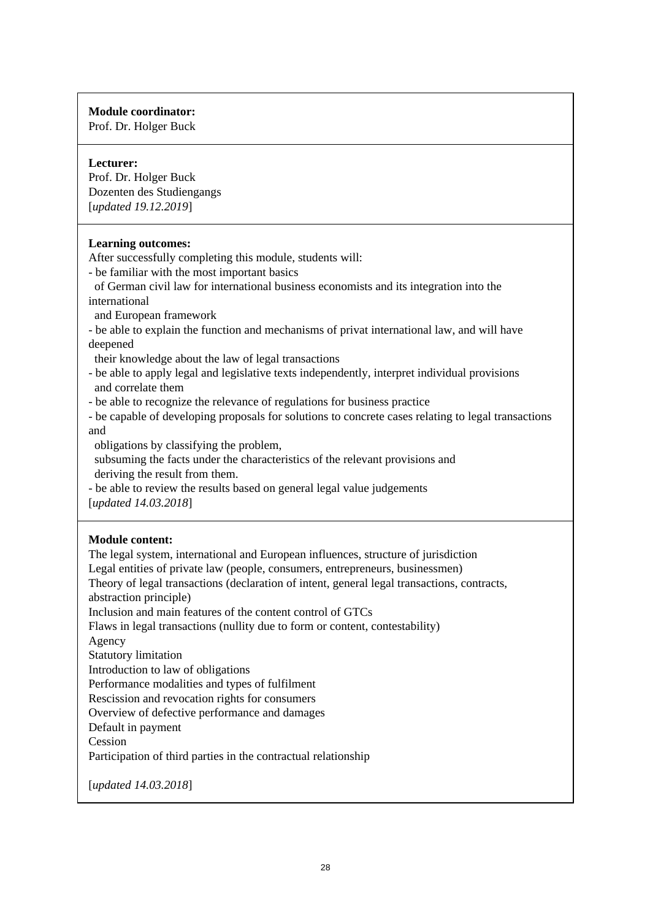#### **Module coordinator:**

Prof. Dr. Holger Buck

#### **Lecturer:**

Prof. Dr. Holger Buck Dozenten des Studiengangs [*updated 19.12.2019*]

#### **Learning outcomes:**

After successfully completing this module, students will:

- be familiar with the most important basics
- of German civil law for international business economists and its integration into the international
- and European framework
- be able to explain the function and mechanisms of privat international law, and will have deepened
- their knowledge about the law of legal transactions
- be able to apply legal and legislative texts independently, interpret individual provisions and correlate them
- be able to recognize the relevance of regulations for business practice
- be capable of developing proposals for solutions to concrete cases relating to legal transactions and
- obligations by classifying the problem,
- subsuming the facts under the characteristics of the relevant provisions and deriving the result from them.
- be able to review the results based on general legal value judgements [*updated 14.03.2018*]

#### **Module content:**

The legal system, international and European influences, structure of jurisdiction Legal entities of private law (people, consumers, entrepreneurs, businessmen) Theory of legal transactions (declaration of intent, general legal transactions, contracts, abstraction principle) Inclusion and main features of the content control of GTCs Flaws in legal transactions (nullity due to form or content, contestability) Agency Statutory limitation Introduction to law of obligations Performance modalities and types of fulfilment Rescission and revocation rights for consumers Overview of defective performance and damages Default in payment Cession Participation of third parties in the contractual relationship [*updated 14.03.2018*]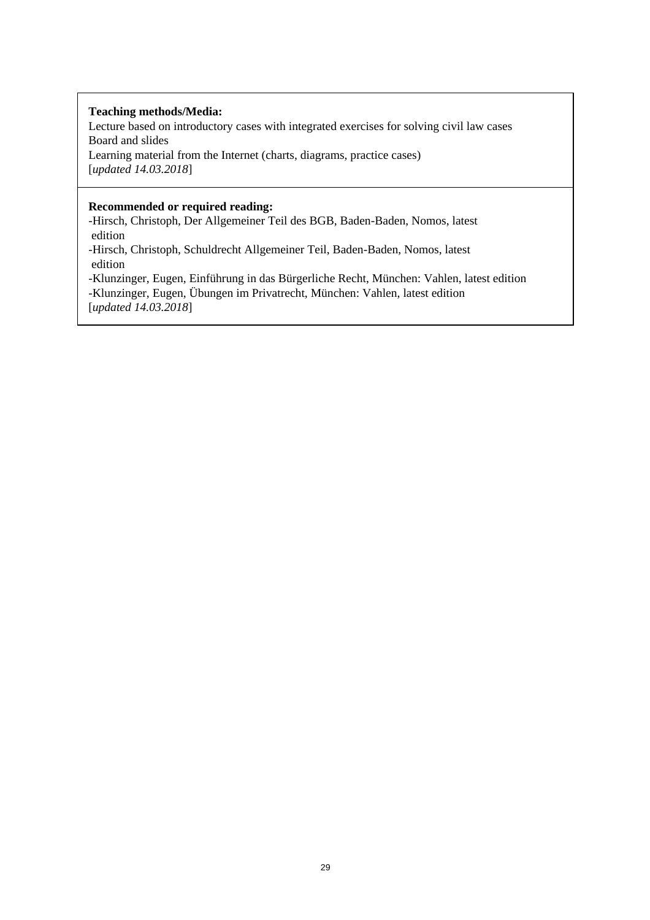#### **Teaching methods/Media:**

Lecture based on introductory cases with integrated exercises for solving civil law cases Board and slides Learning material from the Internet (charts, diagrams, practice cases) [*updated 14.03.2018*]

#### **Recommended or required reading:**

-Hirsch, Christoph, Der Allgemeiner Teil des BGB, Baden-Baden, Nomos, latest edition

-Hirsch, Christoph, Schuldrecht Allgemeiner Teil, Baden-Baden, Nomos, latest edition

-Klunzinger, Eugen, Einführung in das Bürgerliche Recht, München: Vahlen, latest edition -Klunzinger, Eugen, Übungen im Privatrecht, München: Vahlen, latest edition [*updated 14.03.2018*]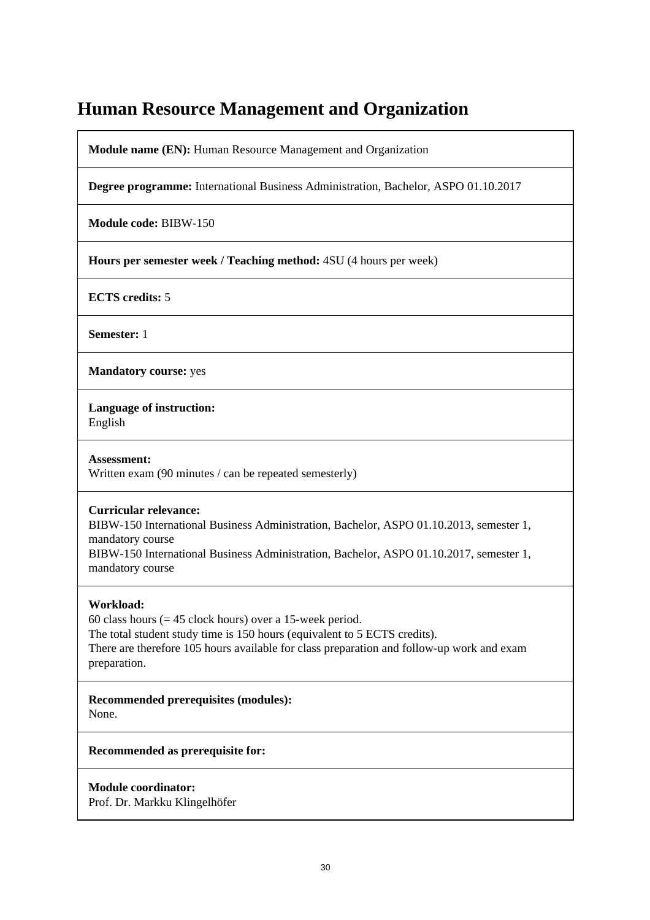### **Human Resource Management and Organization**

**Module name (EN):** Human Resource Management and Organization

**Degree programme:** International Business Administration, Bachelor, ASPO 01.10.2017

**Module code:** BIBW-150

**Hours per semester week / Teaching method:** 4SU (4 hours per week)

**ECTS credits:** 5

**Semester:** 1

**Mandatory course:** yes

**Language of instruction:**  English

**Assessment:**  Written exam (90 minutes / can be repeated semesterly)

#### **Curricular relevance:**

BIBW-150 International Business Administration, Bachelor, ASPO 01.10.2013, semester 1, mandatory course

BIBW-150 International Business Administration, Bachelor, ASPO 01.10.2017, semester 1, mandatory course

#### **Workload:**

60 class hours  $(= 45$  clock hours) over a 15-week period. The total student study time is 150 hours (equivalent to 5 ECTS credits). There are therefore 105 hours available for class preparation and follow-up work and exam preparation.

**Recommended prerequisites (modules):**  None.

**Recommended as prerequisite for:** 

**Module coordinator:**  Prof. Dr. Markku Klingelhöfer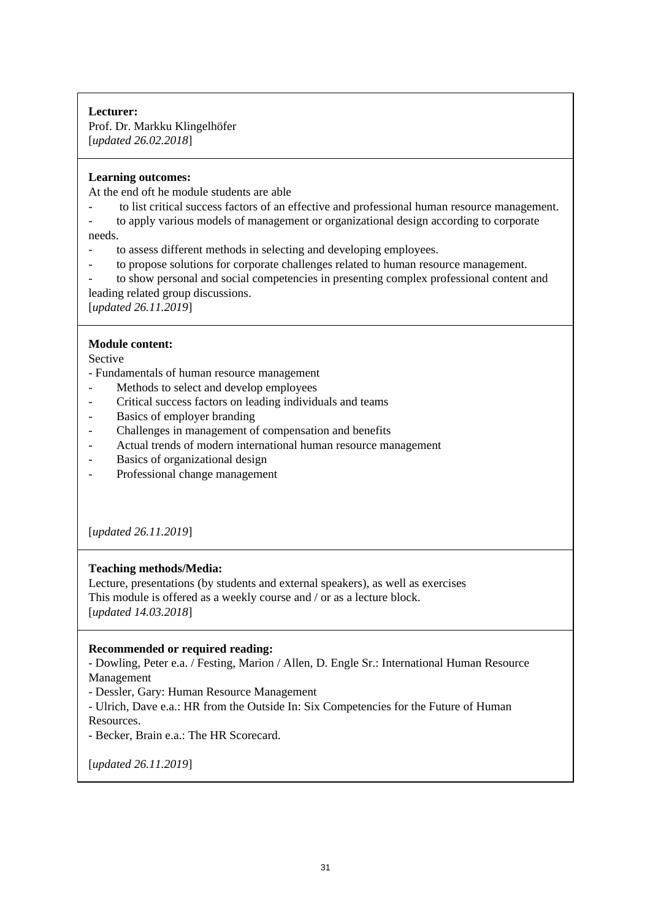#### **Lecturer:**

Prof. Dr. Markku Klingelhöfer [*updated 26.02.2018*]

#### **Learning outcomes:**

At the end oft he module students are able

- to list critical success factors of an effective and professional human resource management.
- to apply various models of management or organizational design according to corporate needs.
- to assess different methods in selecting and developing employees.
- to propose solutions for corporate challenges related to human resource management.
- to show personal and social competencies in presenting complex professional content and leading related group discussions.

[*updated 26.11.2019*]

#### **Module content:**

Sective

- Fundamentals of human resource management

- Methods to select and develop employees
- Critical success factors on leading individuals and teams
- Basics of employer branding
- Challenges in management of compensation and benefits
- Actual trends of modern international human resource management
- Basics of organizational design
- Professional change management

[*updated 26.11.2019*]

#### **Teaching methods/Media:**

Lecture, presentations (by students and external speakers), as well as exercises This module is offered as a weekly course and / or as a lecture block. [*updated 14.03.2018*]

#### **Recommended or required reading:**

- Dowling, Peter e.a. / Festing, Marion / Allen, D. Engle Sr.: International Human Resource Management

- Dessler, Gary: Human Resource Management

- Ulrich, Dave e.a.: HR from the Outside In: Six Competencies for the Future of Human Resources.

- Becker, Brain e.a.: The HR Scorecard.

[*updated 26.11.2019*]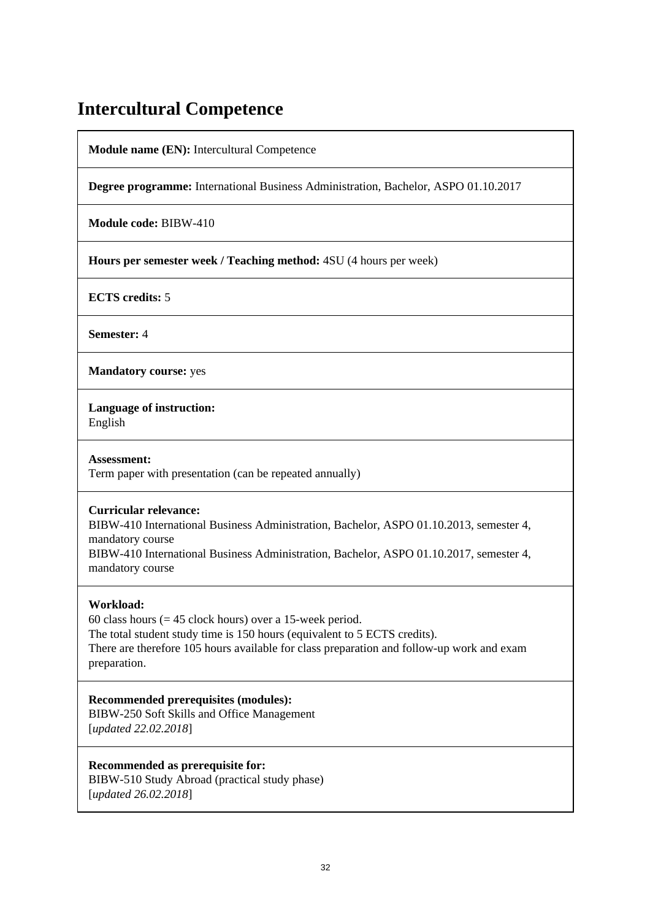### **Intercultural Competence**

**Module name (EN):** Intercultural Competence

**Degree programme:** International Business Administration, Bachelor, ASPO 01.10.2017

**Module code:** BIBW-410

**Hours per semester week / Teaching method:** 4SU (4 hours per week)

**ECTS credits:** 5

**Semester:** 4

**Mandatory course:** yes

**Language of instruction:** 

English

**Assessment:**  Term paper with presentation (can be repeated annually)

#### **Curricular relevance:**

BIBW-410 International Business Administration, Bachelor, ASPO 01.10.2013, semester 4, mandatory course

BIBW-410 International Business Administration, Bachelor, ASPO 01.10.2017, semester 4, mandatory course

#### **Workload:**

60 class hours ( $= 45$  clock hours) over a 15-week period. The total student study time is 150 hours (equivalent to 5 ECTS credits). There are therefore 105 hours available for class preparation and follow-up work and exam preparation.

**Recommended prerequisites (modules):**  BIBW-250 Soft Skills and Office Management [*updated 22.02.2018*]

#### **Recommended as prerequisite for:**

BIBW-510 Study Abroad (practical study phase) [*updated 26.02.2018*]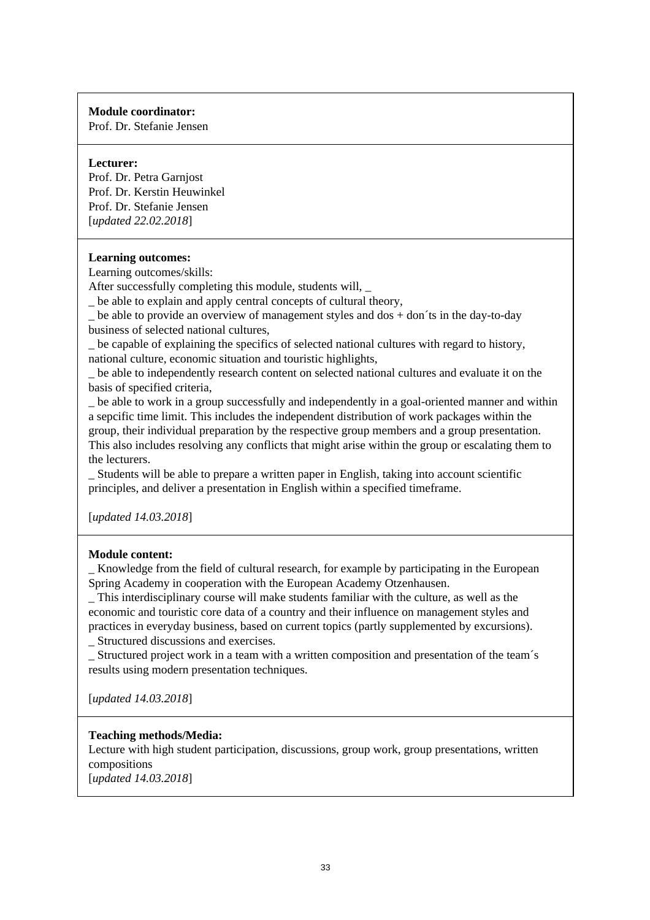#### **Module coordinator:**

Prof. Dr. Stefanie Jensen

#### **Lecturer:**

Prof. Dr. Petra Garnjost Prof. Dr. Kerstin Heuwinkel Prof. Dr. Stefanie Jensen [*updated 22.02.2018*]

#### **Learning outcomes:**

Learning outcomes/skills:

After successfully completing this module, students will, \_

\_ be able to explain and apply central concepts of cultural theory,

be able to provide an overview of management styles and dos  $+$  don´ts in the day-to-day business of selected national cultures,

be capable of explaining the specifics of selected national cultures with regard to history, national culture, economic situation and touristic highlights,

be able to independently research content on selected national cultures and evaluate it on the basis of specified criteria,

\_ be able to work in a group successfully and independently in a goal-oriented manner and within a sepcific time limit. This includes the independent distribution of work packages within the group, their individual preparation by the respective group members and a group presentation. This also includes resolving any conflicts that might arise within the group or escalating them to the lecturers.

\_ Students will be able to prepare a written paper in English, taking into account scientific principles, and deliver a presentation in English within a specified timeframe.

[*updated 14.03.2018*]

#### **Module content:**

\_ Knowledge from the field of cultural research, for example by participating in the European Spring Academy in cooperation with the European Academy Otzenhausen.

\_ This interdisciplinary course will make students familiar with the culture, as well as the economic and touristic core data of a country and their influence on management styles and practices in everyday business, based on current topics (partly supplemented by excursions).

\_ Structured discussions and exercises.

\_ Structured project work in a team with a written composition and presentation of the team´s results using modern presentation techniques.

[*updated 14.03.2018*]

#### **Teaching methods/Media:**

Lecture with high student participation, discussions, group work, group presentations, written compositions [*updated 14.03.2018*]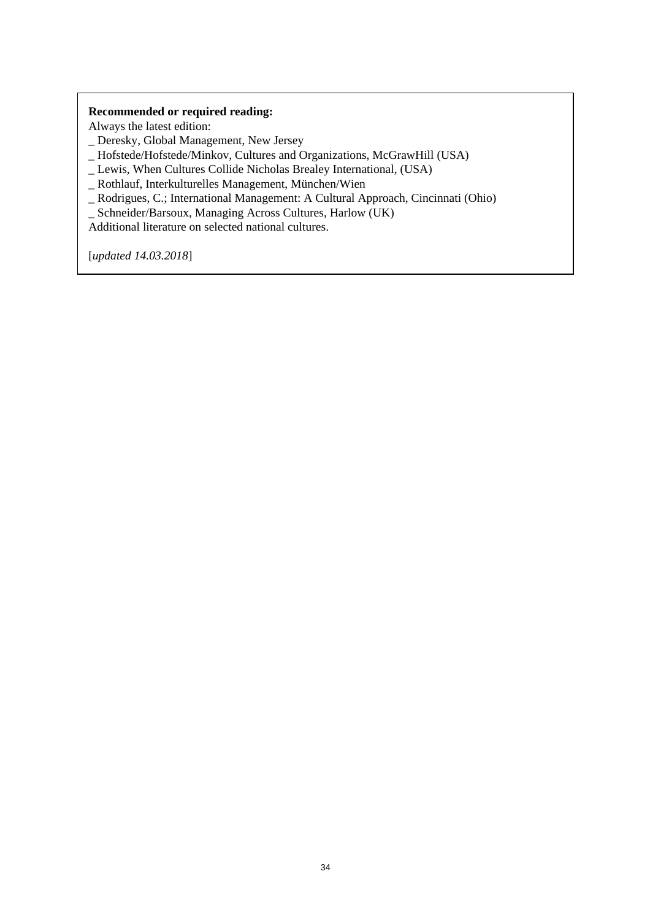#### **Recommended or required reading:**

Always the latest edition:

\_ Deresky, Global Management, New Jersey

\_ Hofstede/Hofstede/Minkov, Cultures and Organizations, McGrawHill (USA)

- \_ Lewis, When Cultures Collide Nicholas Brealey International, (USA)
- \_ Rothlauf, Interkulturelles Management, München/Wien

\_ Rodrigues, C.; International Management: A Cultural Approach, Cincinnati (Ohio)

\_ Schneider/Barsoux, Managing Across Cultures, Harlow (UK)

Additional literature on selected national cultures.

[*updated 14.03.2018*]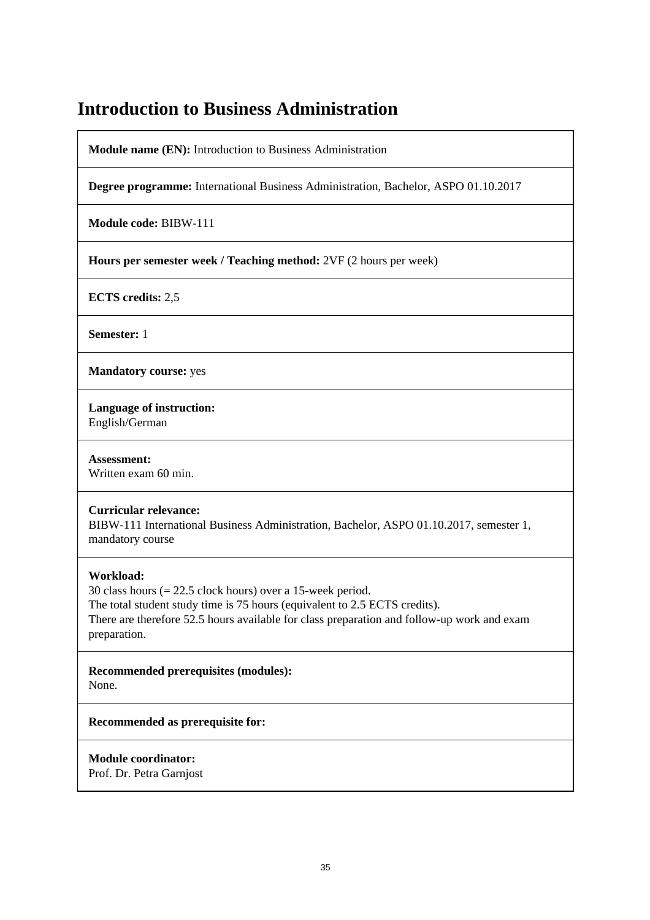### **Introduction to Business Administration**

**Module name (EN):** Introduction to Business Administration

**Degree programme:** International Business Administration, Bachelor, ASPO 01.10.2017

**Module code:** BIBW-111

**Hours per semester week / Teaching method:** 2VF (2 hours per week)

**ECTS credits:** 2,5

**Semester:** 1

**Mandatory course:** yes

**Language of instruction:** 

English/German

**Assessment:**  Written exam 60 min.

#### **Curricular relevance:**

BIBW-111 International Business Administration, Bachelor, ASPO 01.10.2017, semester 1, mandatory course

#### **Workload:**

30 class hours (= 22.5 clock hours) over a 15-week period. The total student study time is 75 hours (equivalent to 2.5 ECTS credits). There are therefore 52.5 hours available for class preparation and follow-up work and exam preparation.

**Recommended prerequisites (modules):**  None.

**Recommended as prerequisite for:** 

**Module coordinator:** 

Prof. Dr. Petra Garnjost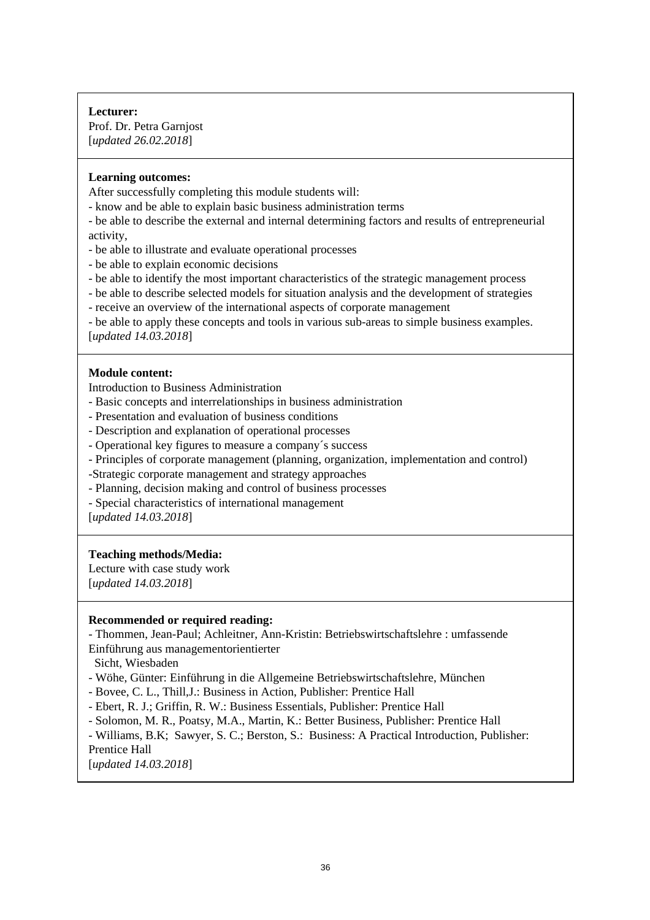### **Lecturer:**

Prof. Dr. Petra Garnjost [*updated 26.02.2018*]

#### **Learning outcomes:**

After successfully completing this module students will:

- know and be able to explain basic business administration terms

- be able to describe the external and internal determining factors and results of entrepreneurial activity,

- be able to illustrate and evaluate operational processes
- be able to explain economic decisions
- be able to identify the most important characteristics of the strategic management process
- be able to describe selected models for situation analysis and the development of strategies
- receive an overview of the international aspects of corporate management

- be able to apply these concepts and tools in various sub-areas to simple business examples. [*updated 14.03.2018*]

#### **Module content:**

Introduction to Business Administration

- Basic concepts and interrelationships in business administration
- Presentation and evaluation of business conditions
- Description and explanation of operational processes
- Operational key figures to measure a company´s success
- Principles of corporate management (planning, organization, implementation and control)
- -Strategic corporate management and strategy approaches
- Planning, decision making and control of business processes
- Special characteristics of international management

[*updated 14.03.2018*]

#### **Teaching methods/Media:**

Lecture with case study work

[*updated 14.03.2018*]

#### **Recommended or required reading:**

- Thommen, Jean-Paul; Achleitner, Ann-Kristin: Betriebswirtschaftslehre : umfassende

Einführung aus managementorientierter

Sicht, Wiesbaden

- Wöhe, Günter: Einführung in die Allgemeine Betriebswirtschaftslehre, München
- Bovee, C. L., Thill,J.: Business in Action, Publisher: Prentice Hall
- Ebert, R. J.; Griffin, R. W.: Business Essentials, Publisher: Prentice Hall
- Solomon, M. R., Poatsy, M.A., Martin, K.: Better Business, Publisher: Prentice Hall
- Williams, B.K; Sawyer, S. C.; Berston, S.: Business: A Practical Introduction, Publisher: Prentice Hall

[*updated 14.03.2018*]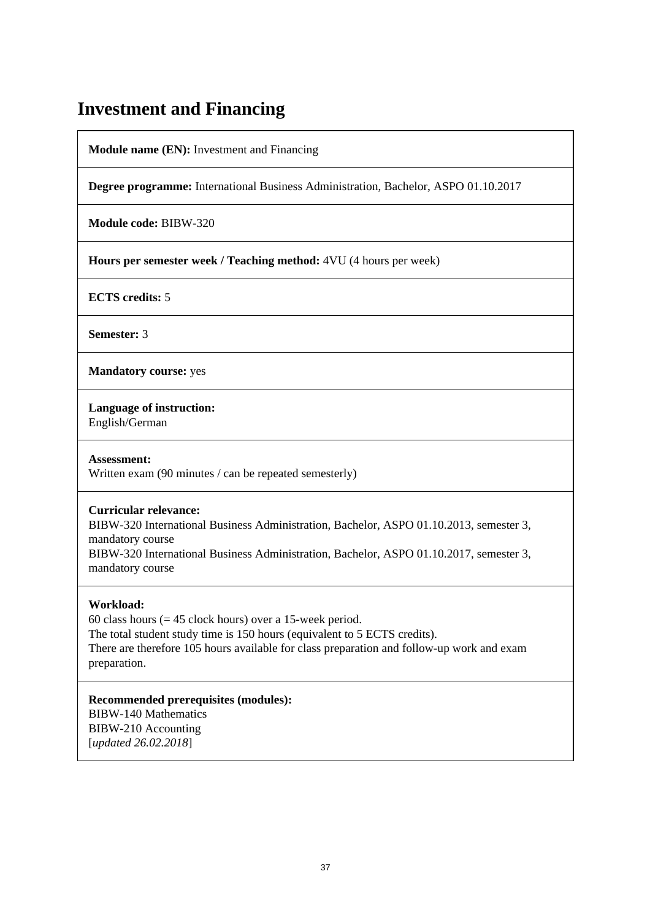## **Investment and Financing**

**Module name (EN):** Investment and Financing

**Degree programme:** International Business Administration, Bachelor, ASPO 01.10.2017

**Module code:** BIBW-320

**Hours per semester week / Teaching method:** 4VU (4 hours per week)

**ECTS credits:** 5

**Semester:** 3

**Mandatory course:** yes

**Language of instruction:** 

English/German

**Assessment:**  Written exam (90 minutes / can be repeated semesterly)

### **Curricular relevance:**

BIBW-320 International Business Administration, Bachelor, ASPO 01.10.2013, semester 3, mandatory course BIBW-320 International Business Administration, Bachelor, ASPO 01.10.2017, semester 3,

### **Workload:**

mandatory course

60 class hours  $(= 45$  clock hours) over a 15-week period. The total student study time is 150 hours (equivalent to 5 ECTS credits). There are therefore 105 hours available for class preparation and follow-up work and exam preparation.

**Recommended prerequisites (modules):**  BIBW-140 Mathematics BIBW-210 Accounting [*updated 26.02.2018*]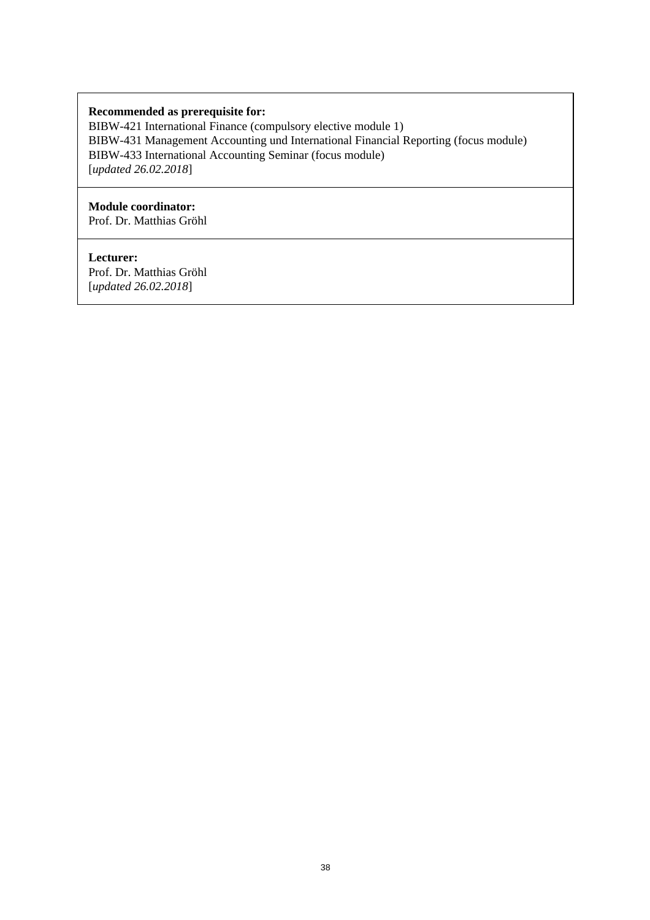### **Recommended as prerequisite for:**

BIBW-421 International Finance (compulsory elective module 1) BIBW-431 Management Accounting und International Financial Reporting (focus module) BIBW-433 International Accounting Seminar (focus module) [*updated 26.02.2018*]

### **Module coordinator:**

Prof. Dr. Matthias Gröhl

### **Lecturer:**

Prof. Dr. Matthias Gröhl [*updated 26.02.2018*]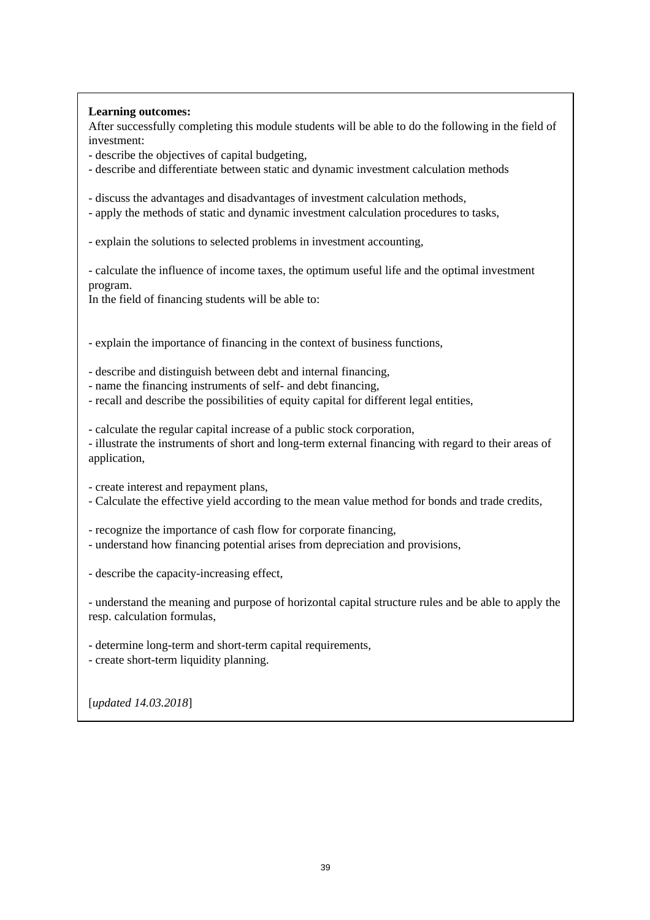### **Learning outcomes:**

After successfully completing this module students will be able to do the following in the field of investment:

- describe the objectives of capital budgeting,

- describe and differentiate between static and dynamic investment calculation methods

- discuss the advantages and disadvantages of investment calculation methods,

- apply the methods of static and dynamic investment calculation procedures to tasks,

- explain the solutions to selected problems in investment accounting,

- calculate the influence of income taxes, the optimum useful life and the optimal investment program.

In the field of financing students will be able to:

- explain the importance of financing in the context of business functions,

- describe and distinguish between debt and internal financing,

- name the financing instruments of self- and debt financing,

- recall and describe the possibilities of equity capital for different legal entities,

- calculate the regular capital increase of a public stock corporation,

- illustrate the instruments of short and long-term external financing with regard to their areas of application,

- create interest and repayment plans,

- Calculate the effective yield according to the mean value method for bonds and trade credits,

- recognize the importance of cash flow for corporate financing,

- understand how financing potential arises from depreciation and provisions,

- describe the capacity-increasing effect,

- understand the meaning and purpose of horizontal capital structure rules and be able to apply the resp. calculation formulas,

- determine long-term and short-term capital requirements,
- create short-term liquidity planning.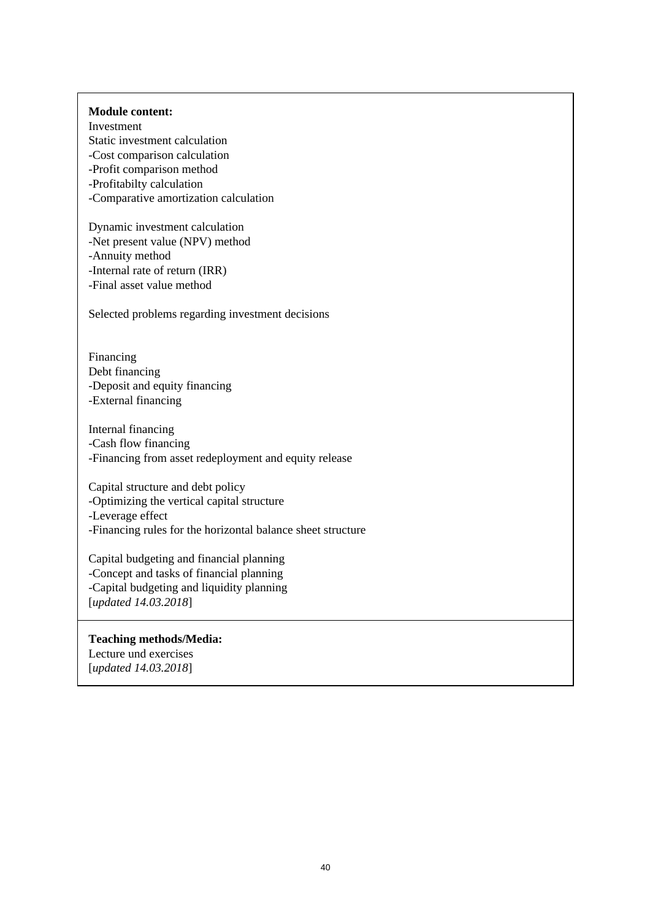#### **Module content:**

Investment Static investment calculation -Cost comparison calculation -Profit comparison method -Profitabilty calculation -Comparative amortization calculation

Dynamic investment calculation -Net present value (NPV) method -Annuity method -Internal rate of return (IRR) -Final asset value method

Selected problems regarding investment decisions

Financing Debt financing -Deposit and equity financing -External financing

Internal financing -Cash flow financing -Financing from asset redeployment and equity release

Capital structure and debt policy -Optimizing the vertical capital structure -Leverage effect -Financing rules for the horizontal balance sheet structure

Capital budgeting and financial planning -Concept and tasks of financial planning -Capital budgeting and liquidity planning [*updated 14.03.2018*]

### **Teaching methods/Media:**

Lecture und exercises [*updated 14.03.2018*]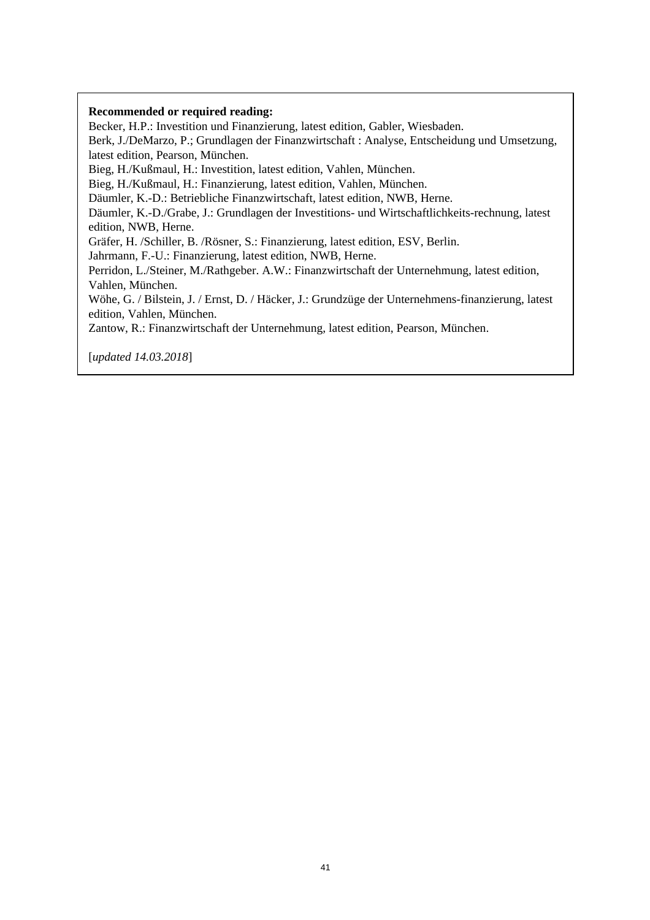#### **Recommended or required reading:**

Becker, H.P.: Investition und Finanzierung, latest edition, Gabler, Wiesbaden.

Berk, J./DeMarzo, P.; Grundlagen der Finanzwirtschaft : Analyse, Entscheidung und Umsetzung, latest edition, Pearson, München.

Bieg, H./Kußmaul, H.: Investition, latest edition, Vahlen, München.

Bieg, H./Kußmaul, H.: Finanzierung, latest edition, Vahlen, München.

Däumler, K.-D.: Betriebliche Finanzwirtschaft, latest edition, NWB, Herne.

Däumler, K.-D./Grabe, J.: Grundlagen der Investitions- und Wirtschaftlichkeits-rechnung, latest edition, NWB, Herne.

Gräfer, H. /Schiller, B. /Rösner, S.: Finanzierung, latest edition, ESV, Berlin.

Jahrmann, F.-U.: Finanzierung, latest edition, NWB, Herne.

Perridon, L./Steiner, M./Rathgeber. A.W.: Finanzwirtschaft der Unternehmung, latest edition, Vahlen, München.

Wöhe, G. / Bilstein, J. / Ernst, D. / Häcker, J.: Grundzüge der Unternehmens-finanzierung, latest edition, Vahlen, München.

Zantow, R.: Finanzwirtschaft der Unternehmung, latest edition, Pearson, München.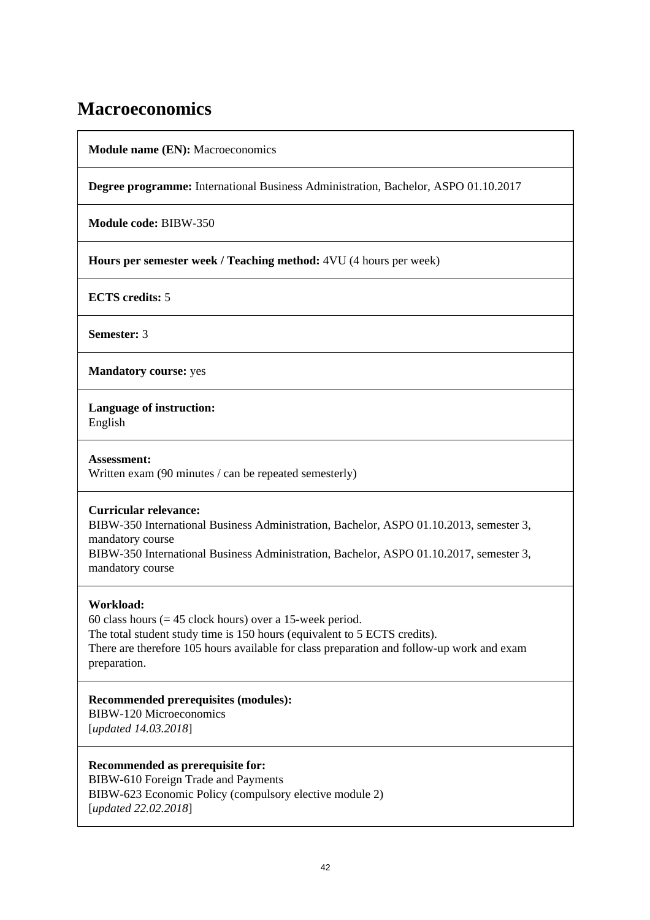## **Macroeconomics**

**Module name (EN):** Macroeconomics

**Degree programme:** International Business Administration, Bachelor, ASPO 01.10.2017

**Module code:** BIBW-350

**Hours per semester week / Teaching method:** 4VU (4 hours per week)

**ECTS credits:** 5

**Semester:** 3

**Mandatory course:** yes

**Language of instruction:** 

English

**Assessment:**  Written exam (90 minutes / can be repeated semesterly)

### **Curricular relevance:**

BIBW-350 International Business Administration, Bachelor, ASPO 01.10.2013, semester 3, mandatory course BIBW-350 International Business Administration, Bachelor, ASPO 01.10.2017, semester 3,

mandatory course

## **Workload:**

60 class hours ( $= 45$  clock hours) over a 15-week period. The total student study time is 150 hours (equivalent to 5 ECTS credits). There are therefore 105 hours available for class preparation and follow-up work and exam preparation.

**Recommended prerequisites (modules):**  BIBW-120 Microeconomics

[*updated 14.03.2018*]

**Recommended as prerequisite for:**  BIBW-610 Foreign Trade and Payments BIBW-623 Economic Policy (compulsory elective module 2) [*updated 22.02.2018*]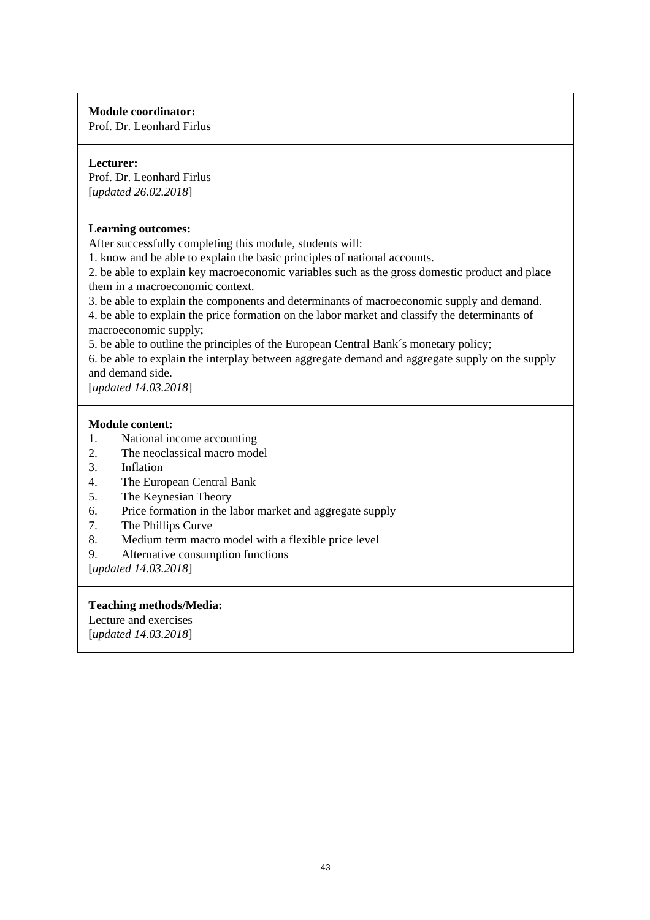## **Module coordinator:**

Prof. Dr. Leonhard Firlus

### **Lecturer:**

Prof. Dr. Leonhard Firlus [*updated 26.02.2018*]

### **Learning outcomes:**

After successfully completing this module, students will:

1. know and be able to explain the basic principles of national accounts.

2. be able to explain key macroeconomic variables such as the gross domestic product and place them in a macroeconomic context.

3. be able to explain the components and determinants of macroeconomic supply and demand.

4. be able to explain the price formation on the labor market and classify the determinants of macroeconomic supply;

5. be able to outline the principles of the European Central Bank´s monetary policy;

6. be able to explain the interplay between aggregate demand and aggregate supply on the supply and demand side.

[*updated 14.03.2018*]

## **Module content:**

- 1. National income accounting
- 2. The neoclassical macro model
- 3. Inflation
- 4. The European Central Bank
- 5. The Keynesian Theory
- 6. Price formation in the labor market and aggregate supply
- 7. The Phillips Curve
- 8. Medium term macro model with a flexible price level
- 9. Alternative consumption functions

[*updated 14.03.2018*]

### **Teaching methods/Media:**

Lecture and exercises [*updated 14.03.2018*]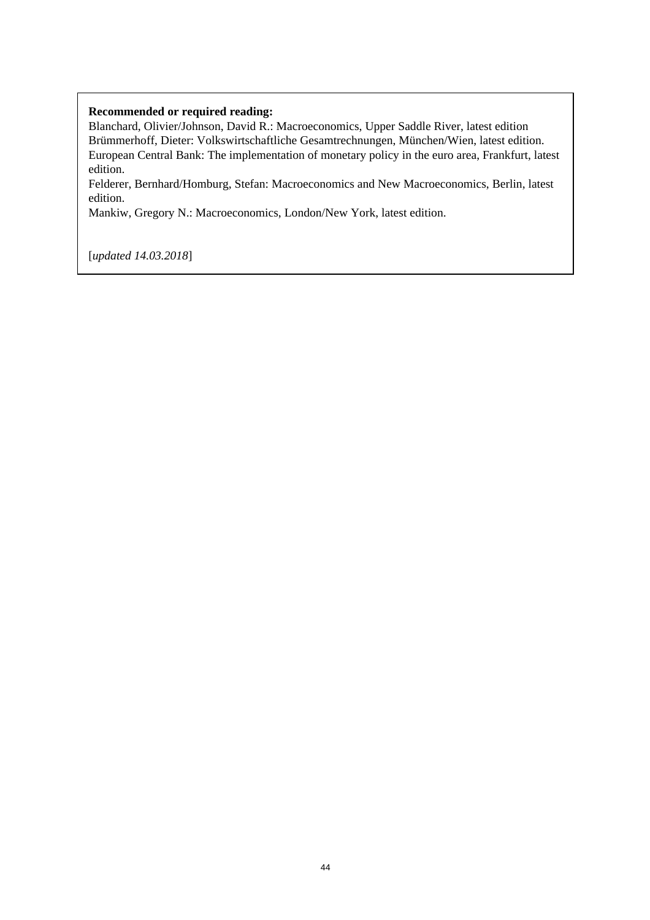### **Recommended or required reading:**

Blanchard, Olivier/Johnson, David R.: Macroeconomics, Upper Saddle River, latest edition Brümmerhoff, Dieter: Volkswirtschaftliche Gesamtrechnungen, München/Wien, latest edition. European Central Bank: The implementation of monetary policy in the euro area, Frankfurt, latest edition.

Felderer, Bernhard/Homburg, Stefan: Macroeconomics and New Macroeconomics, Berlin, latest edition.

Mankiw, Gregory N.: Macroeconomics, London/New York, latest edition.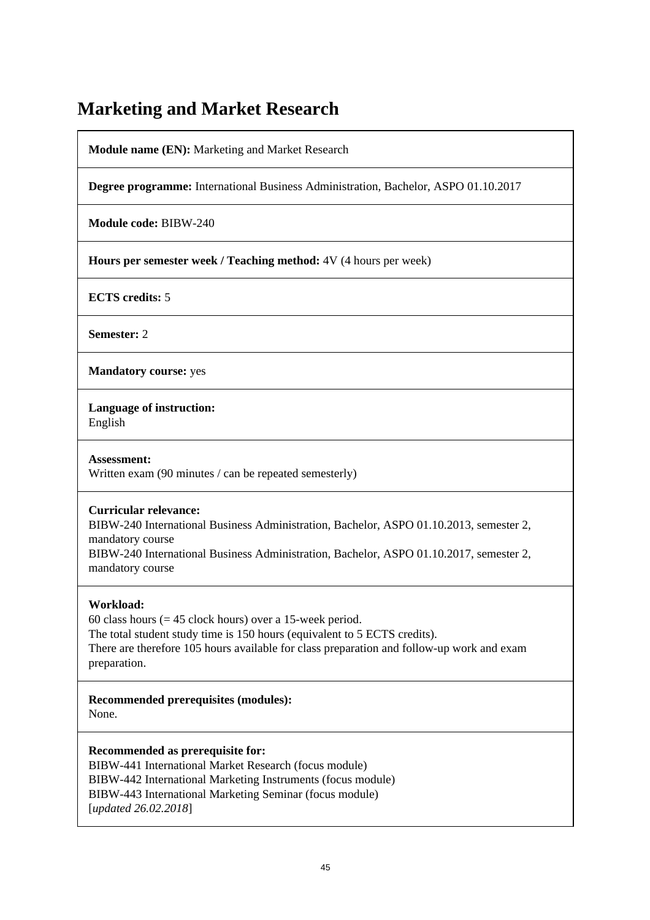## **Marketing and Market Research**

**Module name (EN):** Marketing and Market Research

**Degree programme:** International Business Administration, Bachelor, ASPO 01.10.2017

**Module code:** BIBW-240

**Hours per semester week / Teaching method:** 4V (4 hours per week)

**ECTS credits:** 5

**Semester:** 2

**Mandatory course:** yes

**Language of instruction:** 

English

**Assessment:**  Written exam (90 minutes / can be repeated semesterly)

## **Curricular relevance:**

BIBW-240 International Business Administration, Bachelor, ASPO 01.10.2013, semester 2, mandatory course

BIBW-240 International Business Administration, Bachelor, ASPO 01.10.2017, semester 2, mandatory course

## **Workload:**

60 class hours ( $= 45$  clock hours) over a 15-week period. The total student study time is 150 hours (equivalent to 5 ECTS credits). There are therefore 105 hours available for class preparation and follow-up work and exam preparation.

**Recommended prerequisites (modules):**  None.

**Recommended as prerequisite for:** 

BIBW-441 International Market Research (focus module) BIBW-442 International Marketing Instruments (focus module) BIBW-443 International Marketing Seminar (focus module) [*updated 26.02.2018*]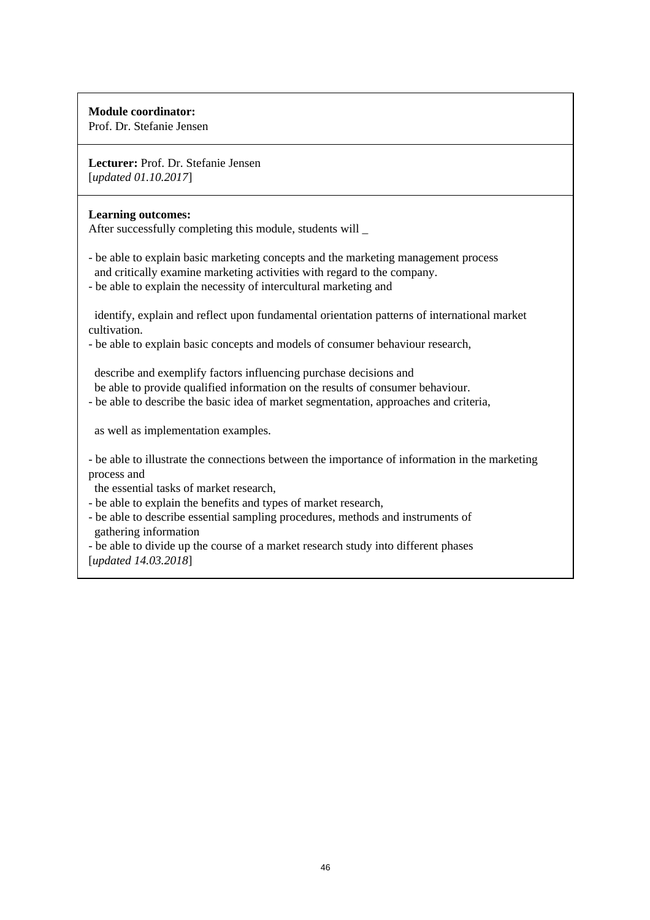## **Module coordinator:**

Prof. Dr. Stefanie Jensen

**Lecturer:** Prof. Dr. Stefanie Jensen [*updated 01.10.2017*]

### **Learning outcomes:**

After successfully completing this module, students will \_

- be able to explain basic marketing concepts and the marketing management process and critically examine marketing activities with regard to the company.
- be able to explain the necessity of intercultural marketing and

 identify, explain and reflect upon fundamental orientation patterns of international market cultivation.

- be able to explain basic concepts and models of consumer behaviour research,

 describe and exemplify factors influencing purchase decisions and be able to provide qualified information on the results of consumer behaviour.

- be able to describe the basic idea of market segmentation, approaches and criteria,

as well as implementation examples.

- be able to illustrate the connections between the importance of information in the marketing process and

the essential tasks of market research,

- be able to explain the benefits and types of market research,
- be able to describe essential sampling procedures, methods and instruments of gathering information

- be able to divide up the course of a market research study into different phases [*updated 14.03.2018*]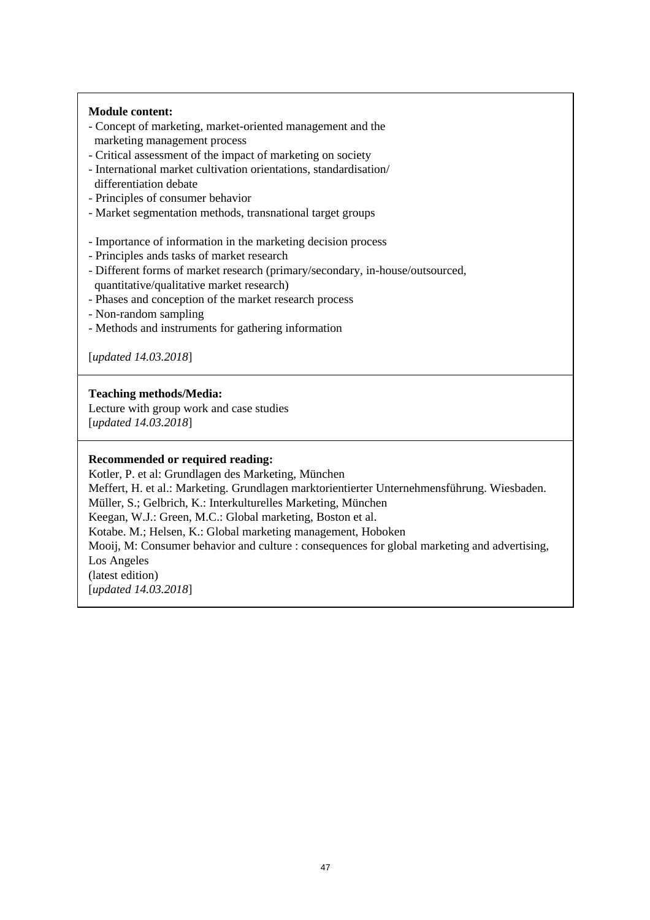### **Module content:**

- Concept of marketing, market-oriented management and the marketing management process
- Critical assessment of the impact of marketing on society
- International market cultivation orientations, standardisation/ differentiation debate
- Principles of consumer behavior
- Market segmentation methods, transnational target groups
- Importance of information in the marketing decision process
- Principles ands tasks of market research
- Different forms of market research (primary/secondary, in-house/outsourced, quantitative/qualitative market research)
- Phases and conception of the market research process
- Non-random sampling
- Methods and instruments for gathering information

[*updated 14.03.2018*]

### **Teaching methods/Media:**

Lecture with group work and case studies [*updated 14.03.2018*]

#### **Recommended or required reading:**

Kotler, P. et al: Grundlagen des Marketing, München

Meffert, H. et al.: Marketing. Grundlagen marktorientierter Unternehmensführung. Wiesbaden. Müller, S.; Gelbrich, K.: Interkulturelles Marketing, München Keegan, W.J.: Green, M.C.: Global marketing, Boston et al. Kotabe. M.; Helsen, K.: Global marketing management, Hoboken Mooij, M: Consumer behavior and culture : consequences for global marketing and advertising, Los Angeles (latest edition) [*updated 14.03.2018*]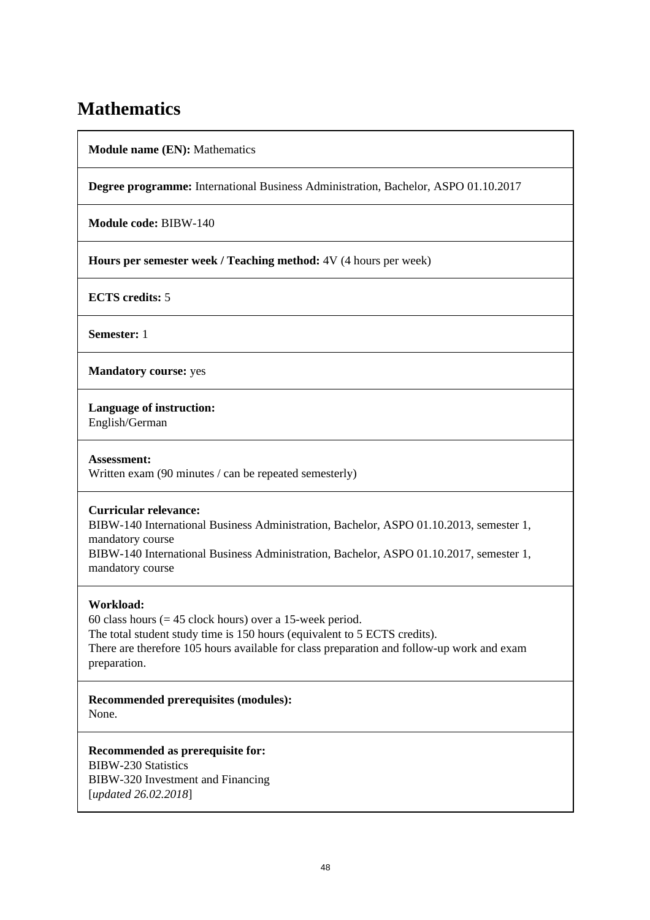## **Mathematics**

**Module name (EN):** Mathematics

**Degree programme:** International Business Administration, Bachelor, ASPO 01.10.2017

**Module code:** BIBW-140

**Hours per semester week / Teaching method:** 4V (4 hours per week)

**ECTS credits:** 5

**Semester:** 1

**Mandatory course:** yes

**Language of instruction:** 

English/German

**Assessment:** 

Written exam (90 minutes / can be repeated semesterly)

### **Curricular relevance:**

BIBW-140 International Business Administration, Bachelor, ASPO 01.10.2013, semester 1, mandatory course

BIBW-140 International Business Administration, Bachelor, ASPO 01.10.2017, semester 1, mandatory course

### **Workload:**

60 class hours  $(= 45$  clock hours) over a 15-week period. The total student study time is 150 hours (equivalent to 5 ECTS credits). There are therefore 105 hours available for class preparation and follow-up work and exam preparation.

**Recommended prerequisites (modules):**  None.

**Recommended as prerequisite for:**  BIBW-230 Statistics BIBW-320 Investment and Financing [*updated 26.02.2018*]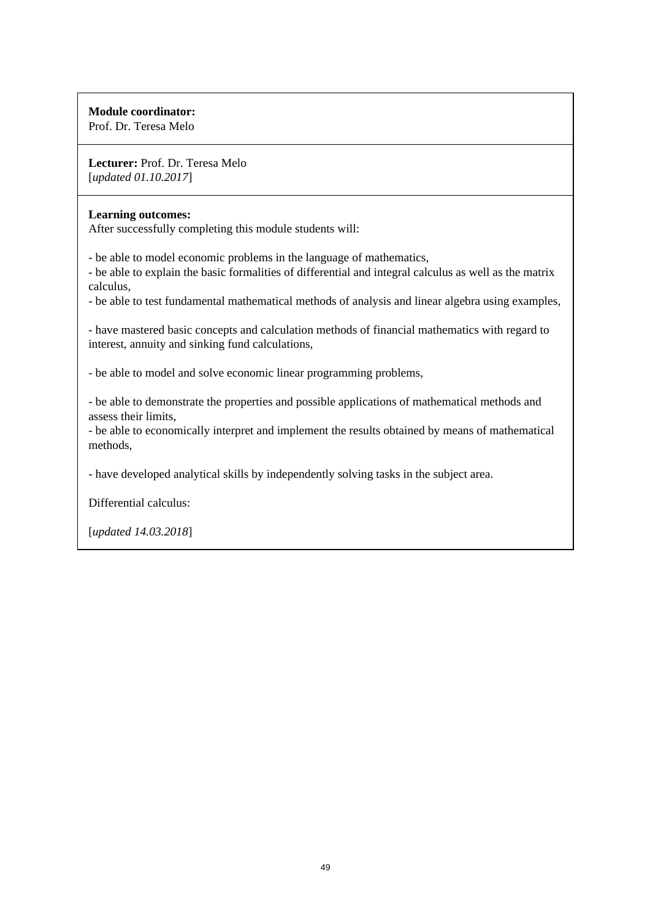## **Module coordinator:**

Prof. Dr. Teresa Melo

**Lecturer:** Prof. Dr. Teresa Melo [*updated 01.10.2017*]

### **Learning outcomes:**

After successfully completing this module students will:

- be able to model economic problems in the language of mathematics,

- be able to explain the basic formalities of differential and integral calculus as well as the matrix calculus,

- be able to test fundamental mathematical methods of analysis and linear algebra using examples,

- have mastered basic concepts and calculation methods of financial mathematics with regard to interest, annuity and sinking fund calculations,

- be able to model and solve economic linear programming problems,

- be able to demonstrate the properties and possible applications of mathematical methods and assess their limits,

- be able to economically interpret and implement the results obtained by means of mathematical methods,

- have developed analytical skills by independently solving tasks in the subject area.

Differential calculus: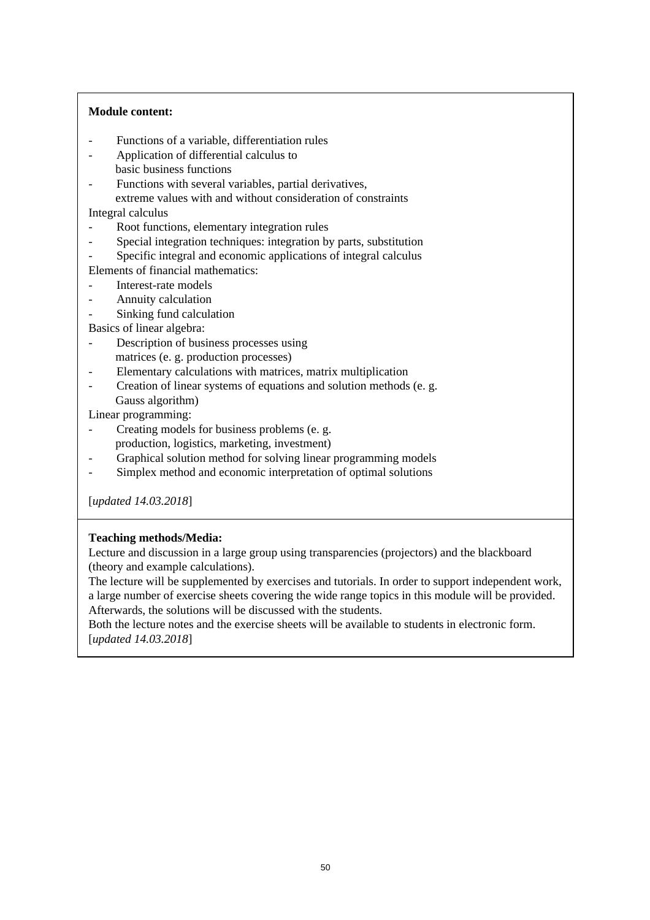### **Module content:**

- Functions of a variable, differentiation rules
- Application of differential calculus to basic business functions
- Functions with several variables, partial derivatives,
- extreme values with and without consideration of constraints Integral calculus
- 
- Root functions, elementary integration rules
- Special integration techniques: integration by parts, substitution
- Specific integral and economic applications of integral calculus
- Elements of financial mathematics:
- Interest-rate models
- Annuity calculation
- Sinking fund calculation

Basics of linear algebra:

- Description of business processes using matrices (e. g. production processes)
- Elementary calculations with matrices, matrix multiplication
- Creation of linear systems of equations and solution methods (e. g. Gauss algorithm)

Linear programming:

- Creating models for business problems (e. g. production, logistics, marketing, investment)
- Graphical solution method for solving linear programming models
- Simplex method and economic interpretation of optimal solutions

[*updated 14.03.2018*]

### **Teaching methods/Media:**

Lecture and discussion in a large group using transparencies (projectors) and the blackboard (theory and example calculations).

The lecture will be supplemented by exercises and tutorials. In order to support independent work, a large number of exercise sheets covering the wide range topics in this module will be provided. Afterwards, the solutions will be discussed with the students.

Both the lecture notes and the exercise sheets will be available to students in electronic form. [*updated 14.03.2018*]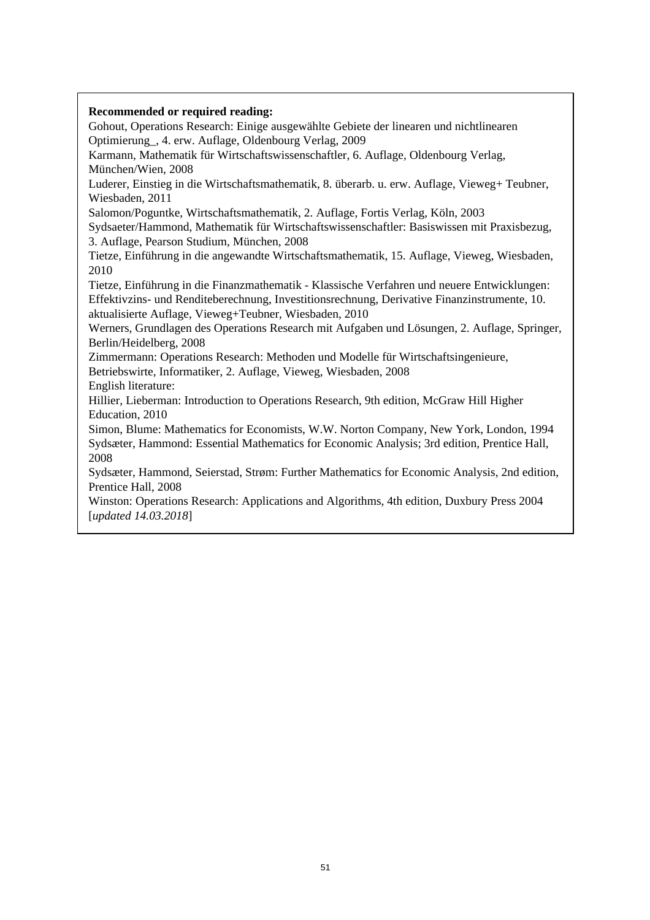## **Recommended or required reading:**  Gohout, Operations Research: Einige ausgewählte Gebiete der linearen und nichtlinearen Optimierung\_, 4. erw. Auflage, Oldenbourg Verlag, 2009 Karmann, Mathematik für Wirtschaftswissenschaftler, 6. Auflage, Oldenbourg Verlag, München/Wien, 2008 Luderer, Einstieg in die Wirtschaftsmathematik, 8. überarb. u. erw. Auflage, Vieweg+ Teubner, Wiesbaden, 2011 Salomon/Poguntke, Wirtschaftsmathematik, 2. Auflage, Fortis Verlag, Köln, 2003 Sydsaeter/Hammond, Mathematik für Wirtschaftswissenschaftler: Basiswissen mit Praxisbezug, 3. Auflage, Pearson Studium, München, 2008 Tietze, Einführung in die angewandte Wirtschaftsmathematik, 15. Auflage, Vieweg, Wiesbaden, 2010 Tietze, Einführung in die Finanzmathematik - Klassische Verfahren und neuere Entwicklungen: Effektivzins- und Renditeberechnung, Investitionsrechnung, Derivative Finanzinstrumente, 10. aktualisierte Auflage, Vieweg+Teubner, Wiesbaden, 2010 Werners, Grundlagen des Operations Research mit Aufgaben und Lösungen, 2. Auflage, Springer, Berlin/Heidelberg, 2008 Zimmermann: Operations Research: Methoden und Modelle für Wirtschaftsingenieure, Betriebswirte, Informatiker, 2. Auflage, Vieweg, Wiesbaden, 2008 English literature: Hillier, Lieberman: Introduction to Operations Research, 9th edition, McGraw Hill Higher Education, 2010 Simon, Blume: Mathematics for Economists, W.W. Norton Company, New York, London, 1994 Sydsæter, Hammond: Essential Mathematics for Economic Analysis; 3rd edition, Prentice Hall, 2008 Sydsæter, Hammond, Seierstad, Strøm: Further Mathematics for Economic Analysis, 2nd edition, Prentice Hall, 2008 Winston: Operations Research: Applications and Algorithms, 4th edition, Duxbury Press 2004 [*updated 14.03.2018*]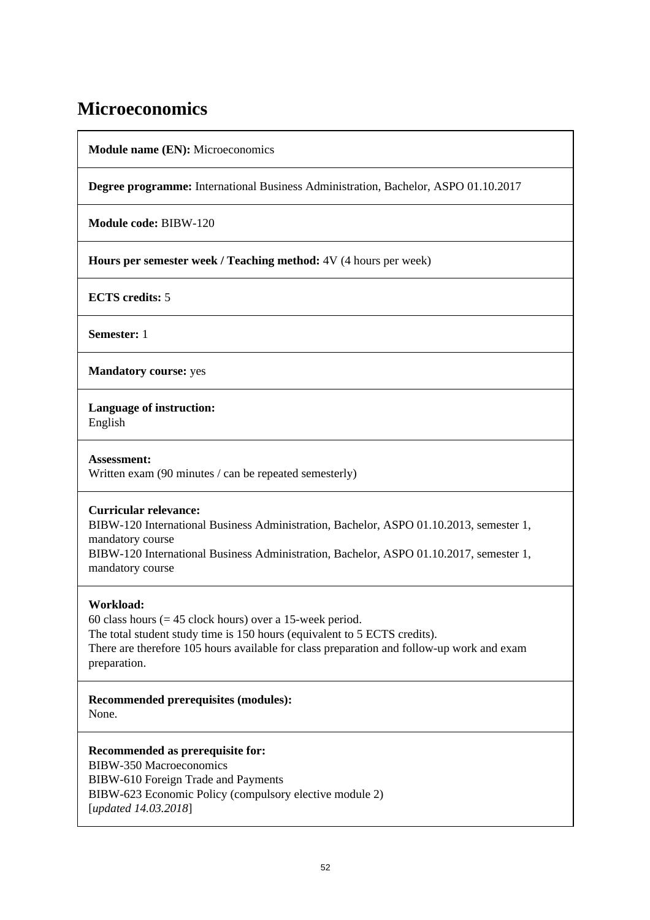## **Microeconomics**

**Module name (EN):** Microeconomics

**Degree programme:** International Business Administration, Bachelor, ASPO 01.10.2017

**Module code:** BIBW-120

**Hours per semester week / Teaching method:** 4V (4 hours per week)

**ECTS credits:** 5

**Semester:** 1

**Mandatory course:** yes

**Language of instruction:** 

English

**Assessment:**  Written exam (90 minutes / can be repeated semesterly)

## **Curricular relevance:**

BIBW-120 International Business Administration, Bachelor, ASPO 01.10.2013, semester 1, mandatory course

BIBW-120 International Business Administration, Bachelor, ASPO 01.10.2017, semester 1, mandatory course

## **Workload:**

60 class hours  $(= 45$  clock hours) over a 15-week period. The total student study time is 150 hours (equivalent to 5 ECTS credits). There are therefore 105 hours available for class preparation and follow-up work and exam preparation.

**Recommended prerequisites (modules):**  None.

### **Recommended as prerequisite for:**

BIBW-350 Macroeconomics BIBW-610 Foreign Trade and Payments BIBW-623 Economic Policy (compulsory elective module 2) [*updated 14.03.2018*]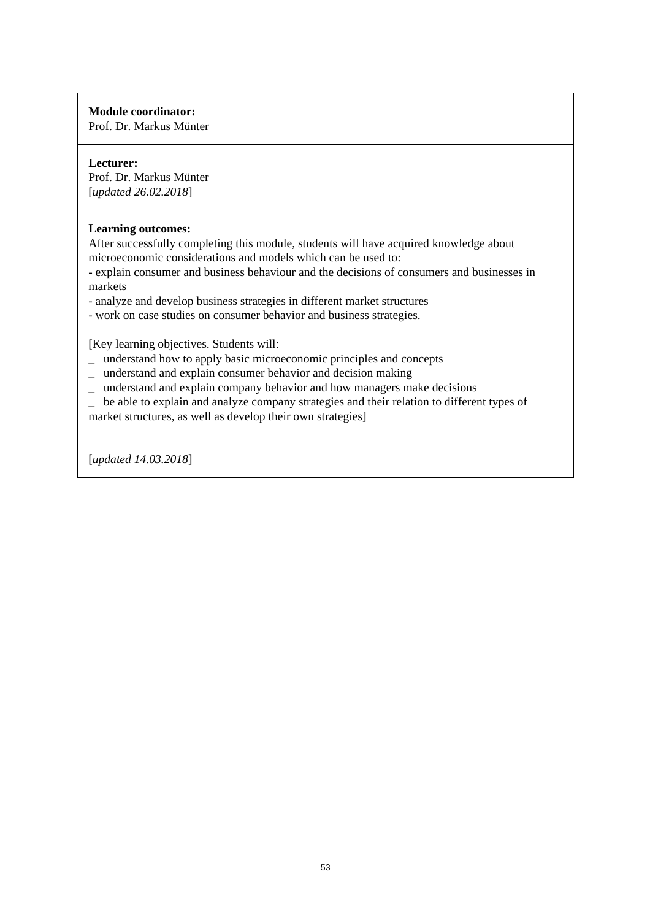## **Module coordinator:**

Prof. Dr. Markus Münter

## **Lecturer:**

Prof. Dr. Markus Münter [*updated 26.02.2018*]

## **Learning outcomes:**

After successfully completing this module, students will have acquired knowledge about microeconomic considerations and models which can be used to:

- explain consumer and business behaviour and the decisions of consumers and businesses in markets

- analyze and develop business strategies in different market structures
- work on case studies on consumer behavior and business strategies.

[Key learning objectives. Students will:

- \_ understand how to apply basic microeconomic principles and concepts
- \_ understand and explain consumer behavior and decision making
- \_ understand and explain company behavior and how managers make decisions

be able to explain and analyze company strategies and their relation to different types of

market structures, as well as develop their own strategies]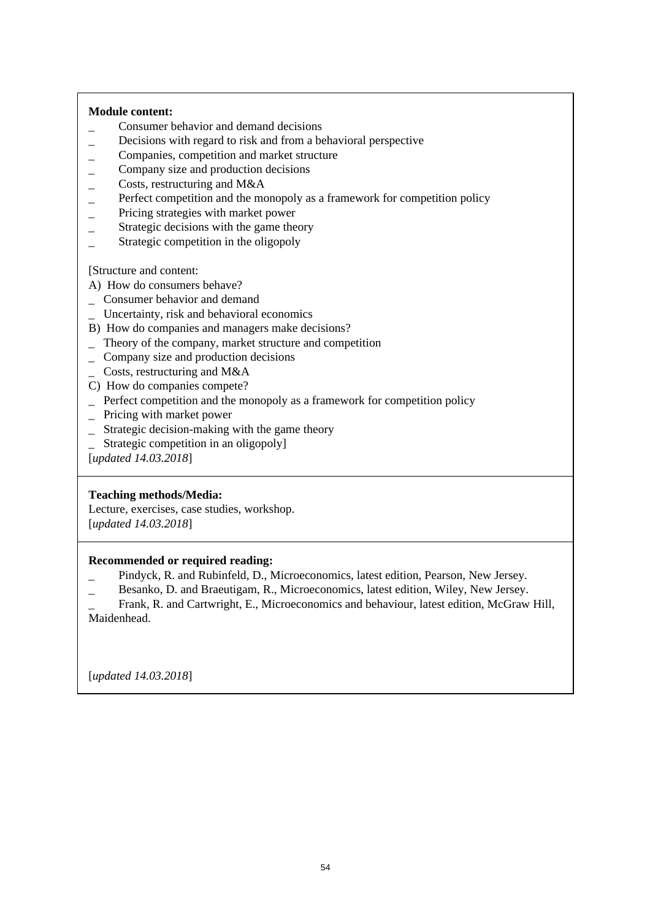### **Module content:**

- \_ Consumer behavior and demand decisions
- \_ Decisions with regard to risk and from a behavioral perspective
- \_ Companies, competition and market structure
- \_ Company size and production decisions
- \_ Costs, restructuring and M&A
- Perfect competition and the monopoly as a framework for competition policy
- \_ Pricing strategies with market power
- \_ Strategic decisions with the game theory
- Strategic competition in the oligopoly

[Structure and content:

A) How do consumers behave?

- \_ Consumer behavior and demand
- \_ Uncertainty, risk and behavioral economics
- B) How do companies and managers make decisions?
- \_ Theory of the company, market structure and competition
- \_ Company size and production decisions
- $\angle$  Costs, restructuring and M&A
- C) How do companies compete?
- \_ Perfect competition and the monopoly as a framework for competition policy
- \_ Pricing with market power
- \_ Strategic decision-making with the game theory
- Strategic competition in an oligopoly]

[*updated 14.03.2018*]

### **Teaching methods/Media:**

Lecture, exercises, case studies, workshop. [*updated 14.03.2018*]

### **Recommended or required reading:**

- \_ Pindyck, R. and Rubinfeld, D., Microeconomics, latest edition, Pearson, New Jersey.
- \_ Besanko, D. and Braeutigam, R., Microeconomics, latest edition, Wiley, New Jersey.

\_ Frank, R. and Cartwright, E., Microeconomics and behaviour, latest edition, McGraw Hill, Maidenhead.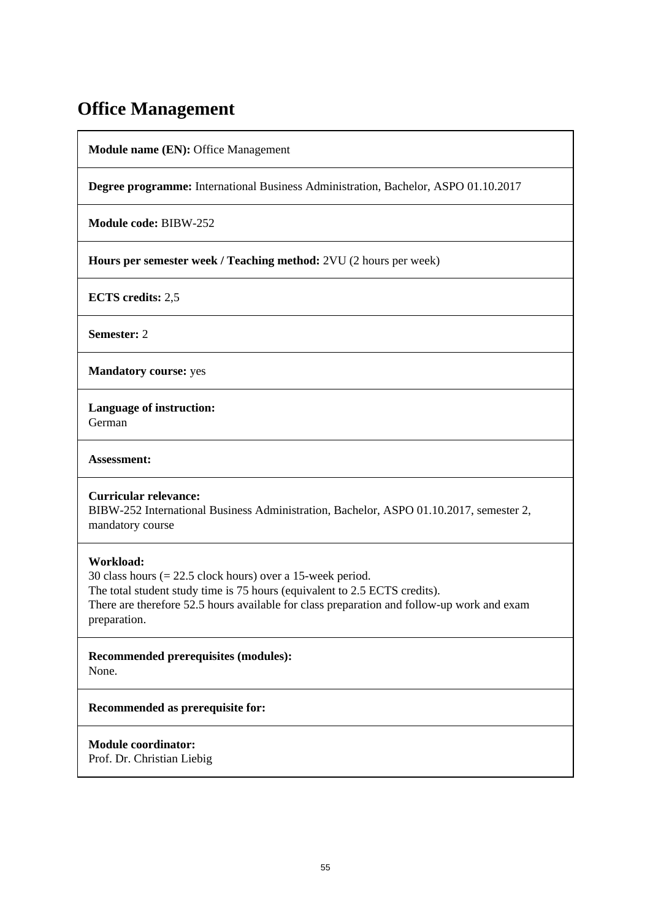## **Office Management**

**Module name (EN):** Office Management

**Degree programme:** International Business Administration, Bachelor, ASPO 01.10.2017

**Module code:** BIBW-252

**Hours per semester week / Teaching method:** 2VU (2 hours per week)

**ECTS credits:** 2,5

**Semester:** 2

**Mandatory course:** yes

**Language of instruction:**  German

**Assessment:** 

**Curricular relevance:** 

BIBW-252 International Business Administration, Bachelor, ASPO 01.10.2017, semester 2, mandatory course

### **Workload:**

30 class hours (= 22.5 clock hours) over a 15-week period. The total student study time is 75 hours (equivalent to 2.5 ECTS credits). There are therefore 52.5 hours available for class preparation and follow-up work and exam preparation.

**Recommended prerequisites (modules):**  None.

**Recommended as prerequisite for:** 

**Module coordinator:**  Prof. Dr. Christian Liebig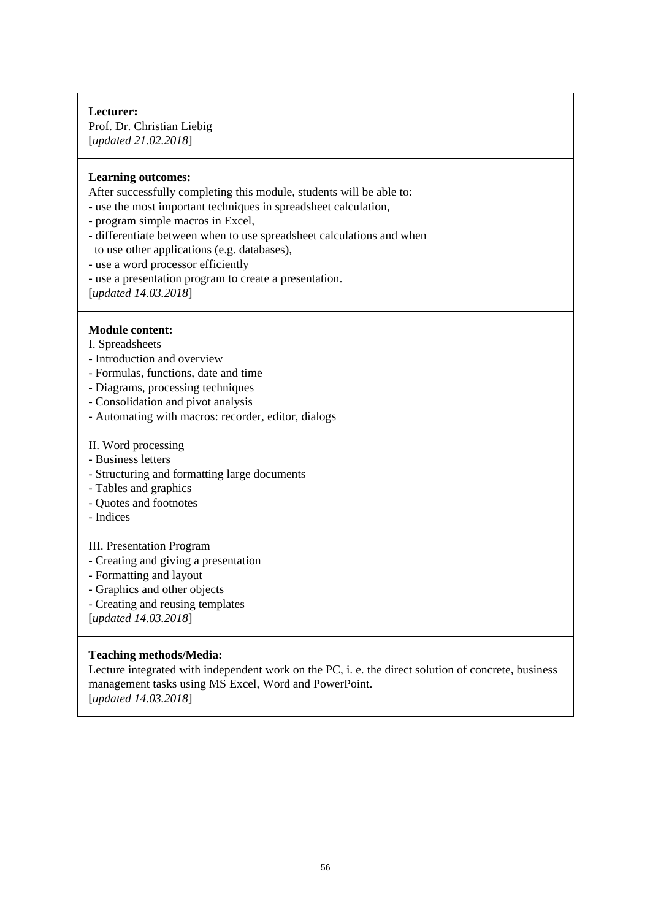### **Lecturer:**  Prof. Dr. Christian Liebig [*updated 21.02.2018*]

### **Learning outcomes:**

After successfully completing this module, students will be able to:

- use the most important techniques in spreadsheet calculation,
- program simple macros in Excel,
- differentiate between when to use spreadsheet calculations and when to use other applications (e.g. databases),
- use a word processor efficiently
- use a presentation program to create a presentation.

[*updated 14.03.2018*]

### **Module content:**

- I. Spreadsheets
- Introduction and overview
- Formulas, functions, date and time
- Diagrams, processing techniques
- Consolidation and pivot analysis
- Automating with macros: recorder, editor, dialogs

#### II. Word processing

- Business letters
- Structuring and formatting large documents
- Tables and graphics
- Quotes and footnotes
- Indices

### III. Presentation Program

- Creating and giving a presentation
- Formatting and layout
- Graphics and other objects
- Creating and reusing templates

[*updated 14.03.2018*]

### **Teaching methods/Media:**

Lecture integrated with independent work on the PC, i. e. the direct solution of concrete, business management tasks using MS Excel, Word and PowerPoint. [*updated 14.03.2018*]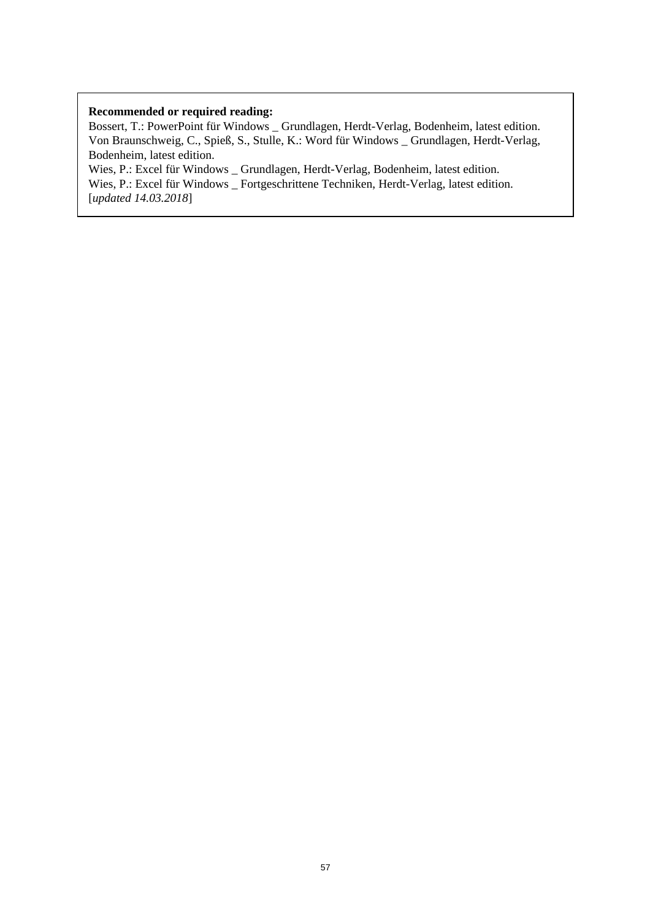#### **Recommended or required reading:**

Bossert, T.: PowerPoint für Windows \_ Grundlagen, Herdt-Verlag, Bodenheim, latest edition. Von Braunschweig, C., Spieß, S., Stulle, K.: Word für Windows \_ Grundlagen, Herdt-Verlag, Bodenheim, latest edition.

Wies, P.: Excel für Windows \_ Grundlagen, Herdt-Verlag, Bodenheim, latest edition. Wies, P.: Excel für Windows \_ Fortgeschrittene Techniken, Herdt-Verlag, latest edition. [*updated 14.03.2018*]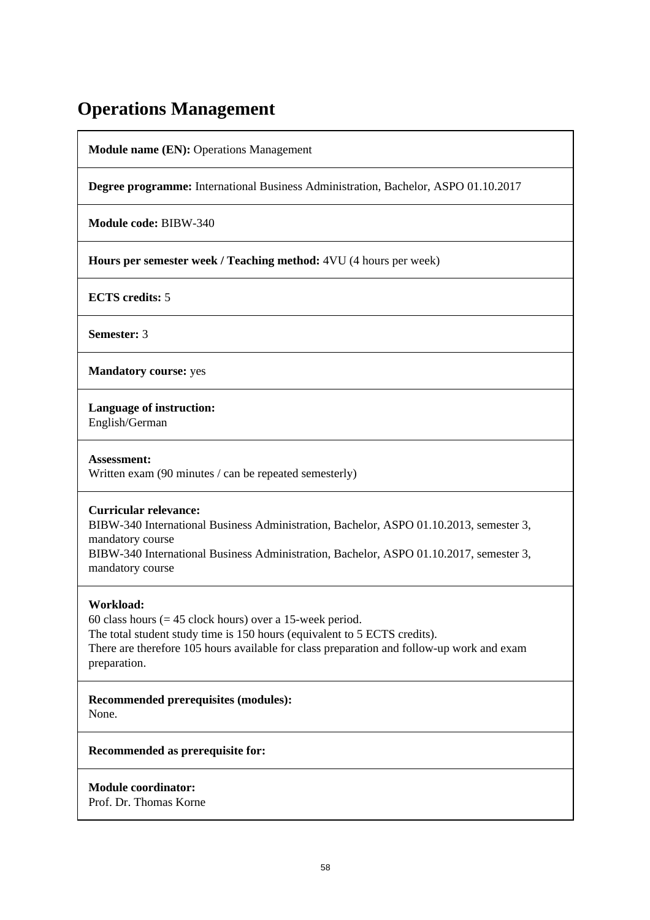## **Operations Management**

**Module name (EN):** Operations Management

**Degree programme:** International Business Administration, Bachelor, ASPO 01.10.2017

**Module code:** BIBW-340

**Hours per semester week / Teaching method:** 4VU (4 hours per week)

**ECTS credits:** 5

**Semester:** 3

**Mandatory course:** yes

**Language of instruction:** 

English/German

**Assessment:**  Written exam (90 minutes / can be repeated semesterly)

### **Curricular relevance:**

BIBW-340 International Business Administration, Bachelor, ASPO 01.10.2013, semester 3, mandatory course

BIBW-340 International Business Administration, Bachelor, ASPO 01.10.2017, semester 3, mandatory course

## **Workload:**

60 class hours  $(= 45$  clock hours) over a 15-week period. The total student study time is 150 hours (equivalent to 5 ECTS credits). There are therefore 105 hours available for class preparation and follow-up work and exam preparation.

**Recommended prerequisites (modules):**  None.

**Recommended as prerequisite for:** 

**Module coordinator:**  Prof. Dr. Thomas Korne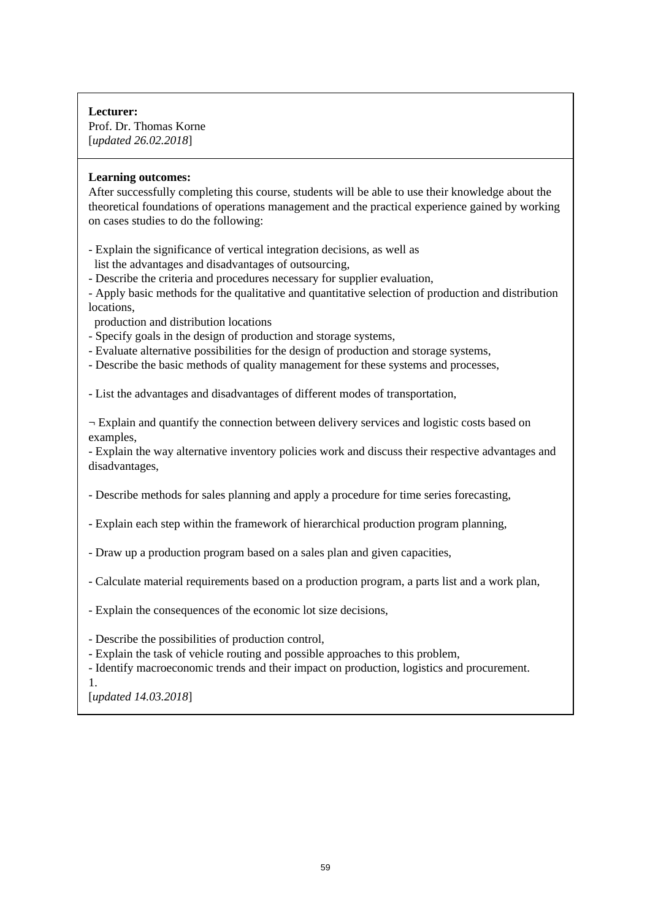**Lecturer:**  Prof. Dr. Thomas Korne [*updated 26.02.2018*]

#### **Learning outcomes:**

After successfully completing this course, students will be able to use their knowledge about the theoretical foundations of operations management and the practical experience gained by working on cases studies to do the following:

- Explain the significance of vertical integration decisions, as well as list the advantages and disadvantages of outsourcing,
- Describe the criteria and procedures necessary for supplier evaluation,
- Apply basic methods for the qualitative and quantitative selection of production and distribution locations,
- production and distribution locations
- Specify goals in the design of production and storage systems,
- Evaluate alternative possibilities for the design of production and storage systems,
- Describe the basic methods of quality management for these systems and processes,

- List the advantages and disadvantages of different modes of transportation,

 $\neg$  Explain and quantify the connection between delivery services and logistic costs based on examples,

- Explain the way alternative inventory policies work and discuss their respective advantages and disadvantages,

- Describe methods for sales planning and apply a procedure for time series forecasting,

- Explain each step within the framework of hierarchical production program planning,
- Draw up a production program based on a sales plan and given capacities,
- Calculate material requirements based on a production program, a parts list and a work plan,
- Explain the consequences of the economic lot size decisions,
- Describe the possibilities of production control,
- Explain the task of vehicle routing and possible approaches to this problem,
- Identify macroeconomic trends and their impact on production, logistics and procurement.
- 1.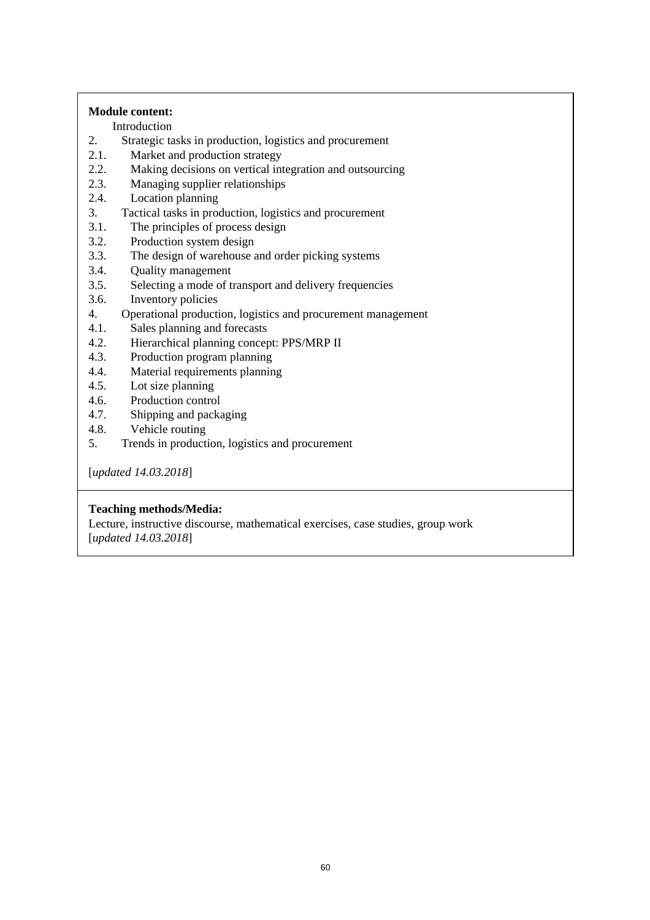### **Module content:**

Introduction<br>2. Strategic ta

- Strategic tasks in production, logistics and procurement
- 2.1. Market and production strategy
- 2.2. Making decisions on vertical integration and outsourcing
- 2.3. Managing supplier relationships
- 2.4. Location planning
- 3. Tactical tasks in production, logistics and procurement
- 3.1. The principles of process design
- 3.2. Production system design
- 3.3. The design of warehouse and order picking systems
- 3.4. Quality management
- 3.5. Selecting a mode of transport and delivery frequencies
- 3.6. Inventory policies
- 4. Operational production, logistics and procurement management
- 4.1. Sales planning and forecasts
- 4.2. Hierarchical planning concept: PPS/MRP II
- 4.3. Production program planning
- 4.4. Material requirements planning
- 4.5. Lot size planning
- 4.6. Production control
- 4.7. Shipping and packaging
- 4.8. Vehicle routing
- 5. Trends in production, logistics and procurement

[*updated 14.03.2018*]

### **Teaching methods/Media:**

Lecture, instructive discourse, mathematical exercises, case studies, group work [*updated 14.03.2018*]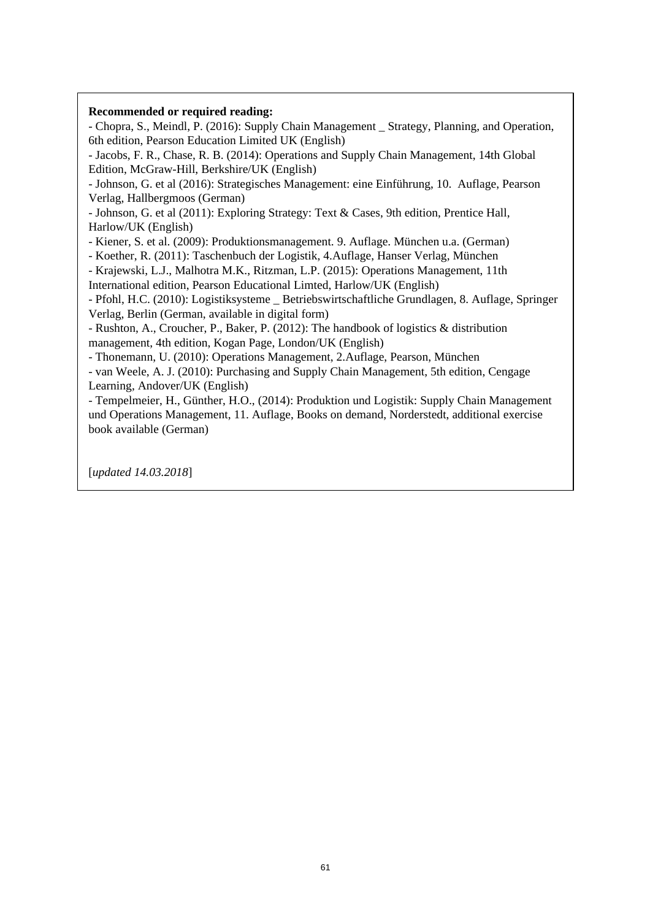#### **Recommended or required reading:**

- Chopra, S., Meindl, P. (2016): Supply Chain Management \_ Strategy, Planning, and Operation, 6th edition, Pearson Education Limited UK (English)

- Jacobs, F. R., Chase, R. B. (2014): Operations and Supply Chain Management, 14th Global Edition, McGraw-Hill, Berkshire/UK (English)

- Johnson, G. et al (2016): Strategisches Management: eine Einführung, 10. Auflage, Pearson Verlag, Hallbergmoos (German)

- Johnson, G. et al (2011): Exploring Strategy: Text & Cases, 9th edition, Prentice Hall, Harlow/UK (English)

- Kiener, S. et al. (2009): Produktionsmanagement. 9. Auflage. München u.a. (German)

- Koether, R. (2011): Taschenbuch der Logistik, 4.Auflage, Hanser Verlag, München

- Krajewski, L.J., Malhotra M.K., Ritzman, L.P. (2015): Operations Management, 11th International edition, Pearson Educational Limted, Harlow/UK (English)

- Pfohl, H.C. (2010): Logistiksysteme \_ Betriebswirtschaftliche Grundlagen, 8. Auflage, Springer Verlag, Berlin (German, available in digital form)

- Rushton, A., Croucher, P., Baker, P. (2012): The handbook of logistics & distribution management, 4th edition, Kogan Page, London/UK (English)

- Thonemann, U. (2010): Operations Management, 2.Auflage, Pearson, München

- van Weele, A. J. (2010): Purchasing and Supply Chain Management, 5th edition, Cengage Learning, Andover/UK (English)

- Tempelmeier, H., Günther, H.O., (2014): Produktion und Logistik: Supply Chain Management und Operations Management, 11. Auflage, Books on demand, Norderstedt, additional exercise book available (German)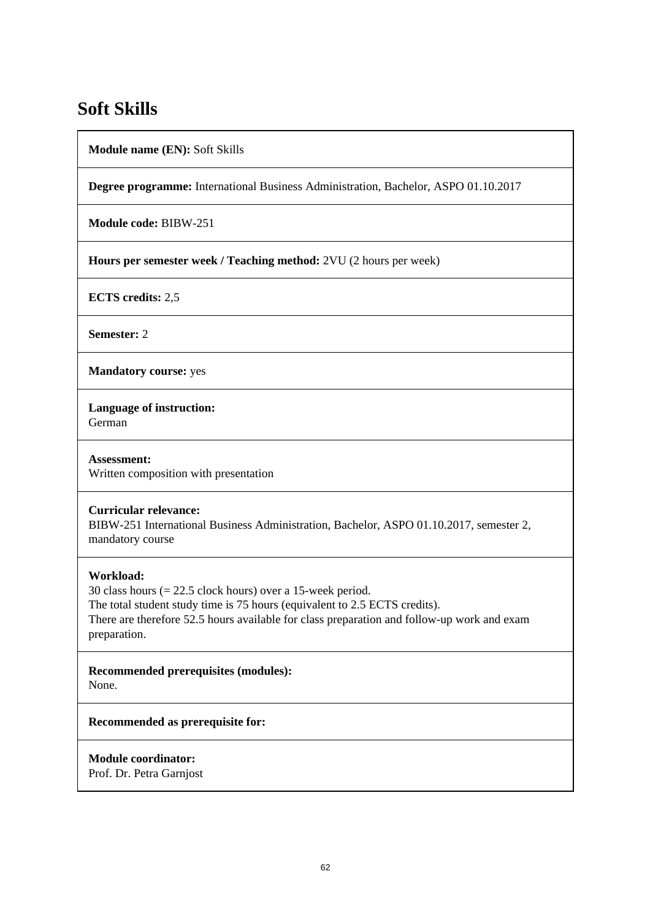## **Soft Skills**

**Module name (EN):** Soft Skills

**Degree programme:** International Business Administration, Bachelor, ASPO 01.10.2017

**Module code:** BIBW-251

**Hours per semester week / Teaching method:** 2VU (2 hours per week)

**ECTS credits:** 2,5

**Semester:** 2

**Mandatory course:** yes

**Language of instruction:**  German

**Assessment:**  Written composition with presentation

### **Curricular relevance:**

BIBW-251 International Business Administration, Bachelor, ASPO 01.10.2017, semester 2, mandatory course

### **Workload:**

30 class hours (= 22.5 clock hours) over a 15-week period. The total student study time is 75 hours (equivalent to 2.5 ECTS credits). There are therefore 52.5 hours available for class preparation and follow-up work and exam preparation.

**Recommended prerequisites (modules):**  None.

**Recommended as prerequisite for:** 

**Module coordinator:** 

Prof. Dr. Petra Garnjost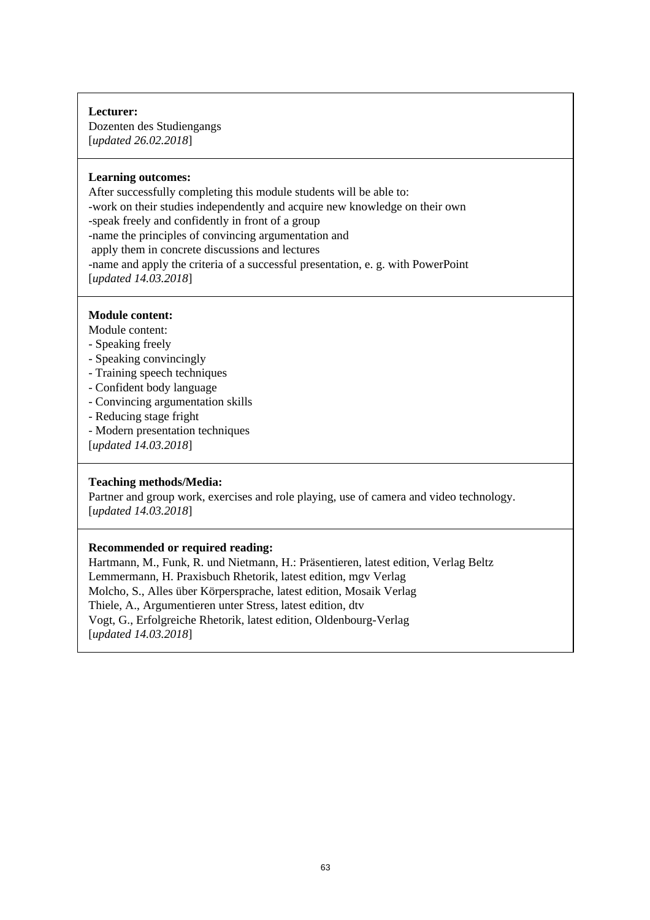### **Lecturer:**

Dozenten des Studiengangs [*updated 26.02.2018*]

### **Learning outcomes:**

After successfully completing this module students will be able to: -work on their studies independently and acquire new knowledge on their own -speak freely and confidently in front of a group -name the principles of convincing argumentation and apply them in concrete discussions and lectures -name and apply the criteria of a successful presentation, e. g. with PowerPoint [*updated 14.03.2018*]

### **Module content:**

Module content:

- Speaking freely
- Speaking convincingly
- Training speech techniques
- Confident body language
- Convincing argumentation skills
- Reducing stage fright
- Modern presentation techniques
- [*updated 14.03.2018*]

### **Teaching methods/Media:**

Partner and group work, exercises and role playing, use of camera and video technology. [*updated 14.03.2018*]

### **Recommended or required reading:**

Hartmann, M., Funk, R. und Nietmann, H.: Präsentieren, latest edition, Verlag Beltz Lemmermann, H. Praxisbuch Rhetorik, latest edition, mgv Verlag Molcho, S., Alles über Körpersprache, latest edition, Mosaik Verlag Thiele, A., Argumentieren unter Stress, latest edition, dtv Vogt, G., Erfolgreiche Rhetorik, latest edition, Oldenbourg-Verlag [*updated 14.03.2018*]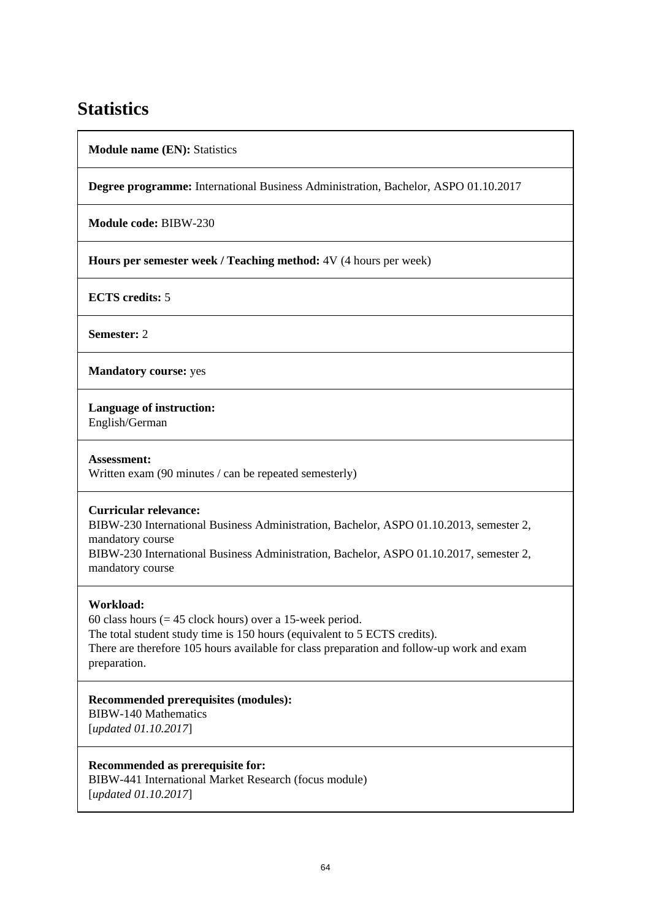## **Statistics**

**Module name (EN):** Statistics

**Degree programme:** International Business Administration, Bachelor, ASPO 01.10.2017

**Module code:** BIBW-230

**Hours per semester week / Teaching method:** 4V (4 hours per week)

**ECTS credits:** 5

**Semester:** 2

**Mandatory course:** yes

**Language of instruction:** 

English/German

**Assessment:** 

Written exam (90 minutes / can be repeated semesterly)

### **Curricular relevance:**

BIBW-230 International Business Administration, Bachelor, ASPO 01.10.2013, semester 2, mandatory course

BIBW-230 International Business Administration, Bachelor, ASPO 01.10.2017, semester 2, mandatory course

## **Workload:**

60 class hours  $(= 45$  clock hours) over a 15-week period. The total student study time is 150 hours (equivalent to 5 ECTS credits). There are therefore 105 hours available for class preparation and follow-up work and exam preparation.

**Recommended prerequisites (modules):**  BIBW-140 Mathematics [*updated 01.10.2017*]

**Recommended as prerequisite for:**  BIBW-441 International Market Research (focus module) [*updated 01.10.2017*]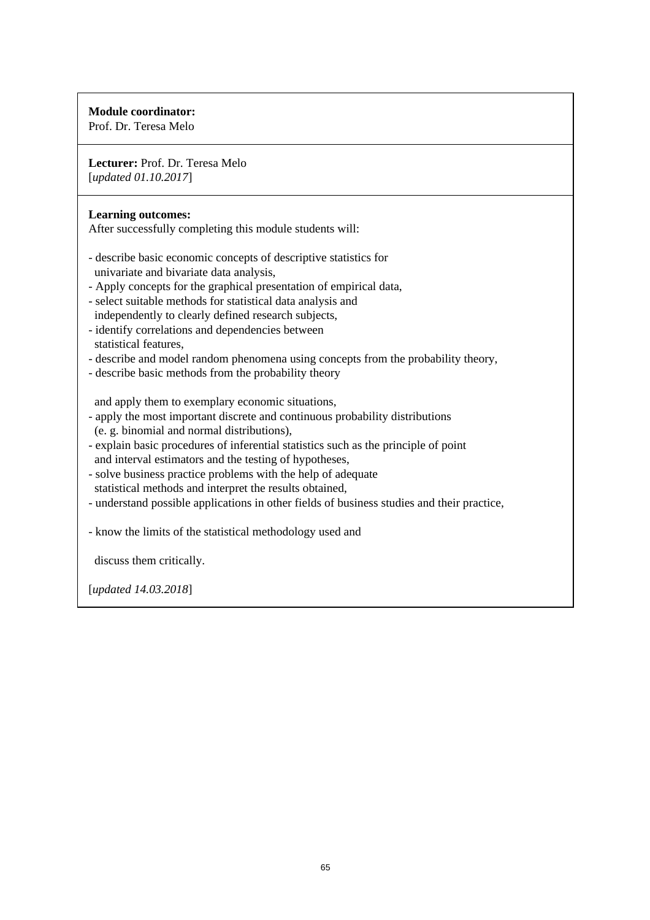## **Module coordinator:**

Prof. Dr. Teresa Melo

**Lecturer:** Prof. Dr. Teresa Melo [*updated 01.10.2017*]

### **Learning outcomes:**

After successfully completing this module students will:

- describe basic economic concepts of descriptive statistics for univariate and bivariate data analysis,
- Apply concepts for the graphical presentation of empirical data,
- select suitable methods for statistical data analysis and independently to clearly defined research subjects,
- identify correlations and dependencies between statistical features,
- describe and model random phenomena using concepts from the probability theory,
- describe basic methods from the probability theory

and apply them to exemplary economic situations,

- apply the most important discrete and continuous probability distributions (e. g. binomial and normal distributions),
- explain basic procedures of inferential statistics such as the principle of point and interval estimators and the testing of hypotheses,
- solve business practice problems with the help of adequate statistical methods and interpret the results obtained,
- understand possible applications in other fields of business studies and their practice,
- know the limits of the statistical methodology used and

discuss them critically.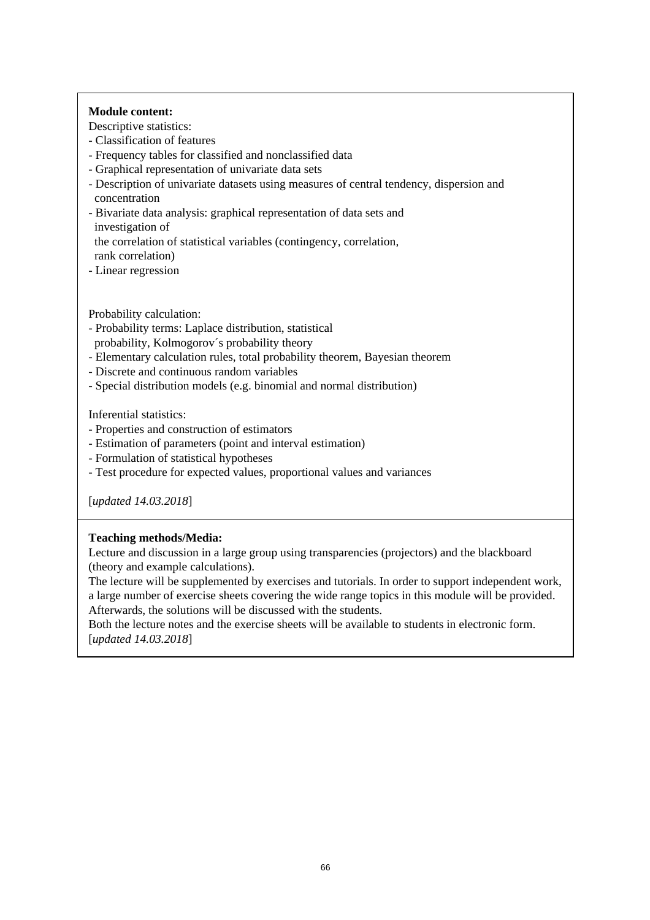### **Module content:**

Descriptive statistics:

- Classification of features
- Frequency tables for classified and nonclassified data
- Graphical representation of univariate data sets
- Description of univariate datasets using measures of central tendency, dispersion and concentration
- Bivariate data analysis: graphical representation of data sets and investigation of

the correlation of statistical variables (contingency, correlation,

rank correlation)

- Linear regression

Probability calculation:

- Probability terms: Laplace distribution, statistical
- probability, Kolmogorov´s probability theory
- Elementary calculation rules, total probability theorem, Bayesian theorem
- Discrete and continuous random variables
- Special distribution models (e.g. binomial and normal distribution)

Inferential statistics:

- Properties and construction of estimators
- Estimation of parameters (point and interval estimation)
- Formulation of statistical hypotheses
- Test procedure for expected values, proportional values and variances

[*updated 14.03.2018*]

## **Teaching methods/Media:**

Lecture and discussion in a large group using transparencies (projectors) and the blackboard (theory and example calculations).

The lecture will be supplemented by exercises and tutorials. In order to support independent work, a large number of exercise sheets covering the wide range topics in this module will be provided. Afterwards, the solutions will be discussed with the students.

Both the lecture notes and the exercise sheets will be available to students in electronic form. [*updated 14.03.2018*]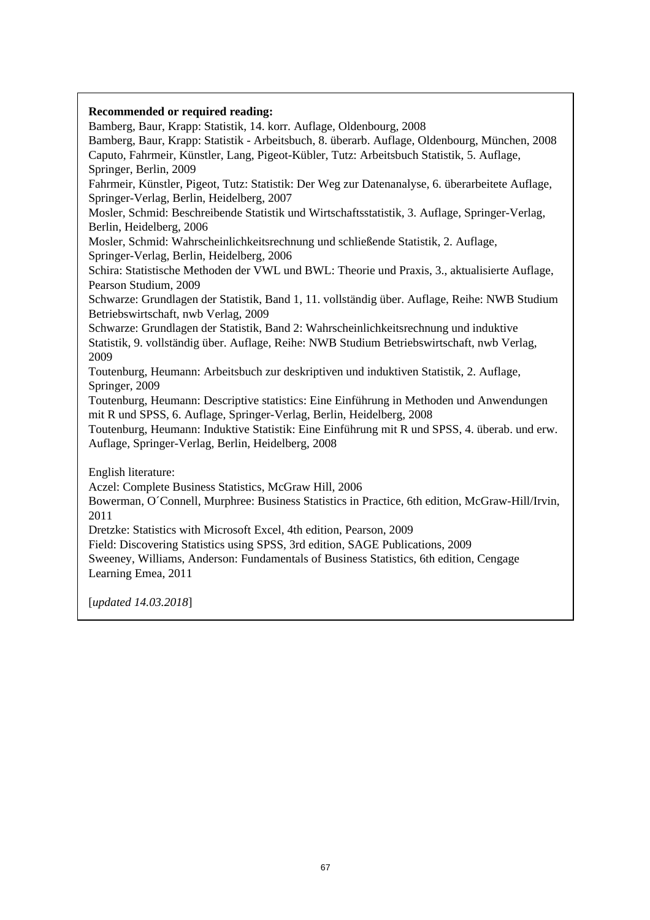## **Recommended or required reading:**  Bamberg, Baur, Krapp: Statistik, 14. korr. Auflage, Oldenbourg, 2008 Bamberg, Baur, Krapp: Statistik - Arbeitsbuch, 8. überarb. Auflage, Oldenbourg, München, 2008 Caputo, Fahrmeir, Künstler, Lang, Pigeot-Kübler, Tutz: Arbeitsbuch Statistik, 5. Auflage, Springer, Berlin, 2009 Fahrmeir, Künstler, Pigeot, Tutz: Statistik: Der Weg zur Datenanalyse, 6. überarbeitete Auflage, Springer-Verlag, Berlin, Heidelberg, 2007 Mosler, Schmid: Beschreibende Statistik und Wirtschaftsstatistik, 3. Auflage, Springer-Verlag, Berlin, Heidelberg, 2006 Mosler, Schmid: Wahrscheinlichkeitsrechnung und schließende Statistik, 2. Auflage, Springer-Verlag, Berlin, Heidelberg, 2006 Schira: Statistische Methoden der VWL und BWL: Theorie und Praxis, 3., aktualisierte Auflage, Pearson Studium, 2009 Schwarze: Grundlagen der Statistik, Band 1, 11. vollständig über. Auflage, Reihe: NWB Studium Betriebswirtschaft, nwb Verlag, 2009 Schwarze: Grundlagen der Statistik, Band 2: Wahrscheinlichkeitsrechnung und induktive Statistik, 9. vollständig über. Auflage, Reihe: NWB Studium Betriebswirtschaft, nwb Verlag, 2009 Toutenburg, Heumann: Arbeitsbuch zur deskriptiven und induktiven Statistik, 2. Auflage, Springer, 2009 Toutenburg, Heumann: Descriptive statistics: Eine Einführung in Methoden und Anwendungen mit R und SPSS, 6. Auflage, Springer-Verlag, Berlin, Heidelberg, 2008 Toutenburg, Heumann: Induktive Statistik: Eine Einführung mit R und SPSS, 4. überab. und erw. Auflage, Springer-Verlag, Berlin, Heidelberg, 2008 English literature: Aczel: Complete Business Statistics, McGraw Hill, 2006 Bowerman, O´Connell, Murphree: Business Statistics in Practice, 6th edition, McGraw-Hill/Irvin, 2011 Dretzke: Statistics with Microsoft Excel, 4th edition, Pearson, 2009 Field: Discovering Statistics using SPSS, 3rd edition, SAGE Publications, 2009 Sweeney, Williams, Anderson: Fundamentals of Business Statistics, 6th edition, Cengage Learning Emea, 2011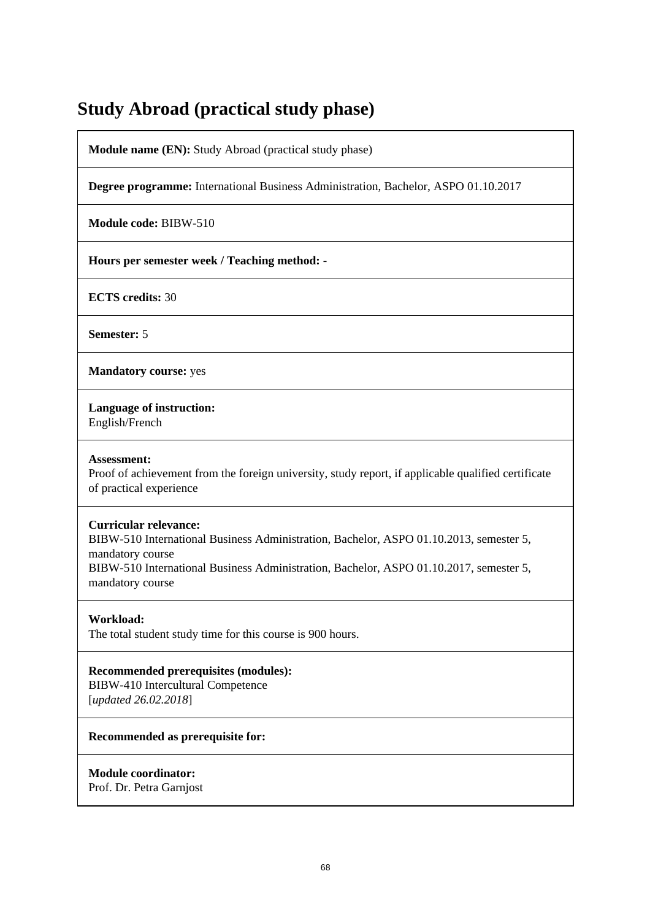## **Study Abroad (practical study phase)**

**Module name (EN):** Study Abroad (practical study phase)

**Degree programme:** International Business Administration, Bachelor, ASPO 01.10.2017

**Module code:** BIBW-510

**Hours per semester week / Teaching method:** -

**ECTS credits:** 30

**Semester:** 5

**Mandatory course:** yes

**Language of instruction:** 

English/French

#### **Assessment:**

Proof of achievement from the foreign university, study report, if applicable qualified certificate of practical experience

#### **Curricular relevance:**

BIBW-510 International Business Administration, Bachelor, ASPO 01.10.2013, semester 5, mandatory course BIBW-510 International Business Administration, Bachelor, ASPO 01.10.2017, semester 5, mandatory course

### **Workload:**

The total student study time for this course is 900 hours.

**Recommended prerequisites (modules):** 

BIBW-410 Intercultural Competence [*updated 26.02.2018*]

### **Recommended as prerequisite for:**

### **Module coordinator:**

Prof. Dr. Petra Garnjost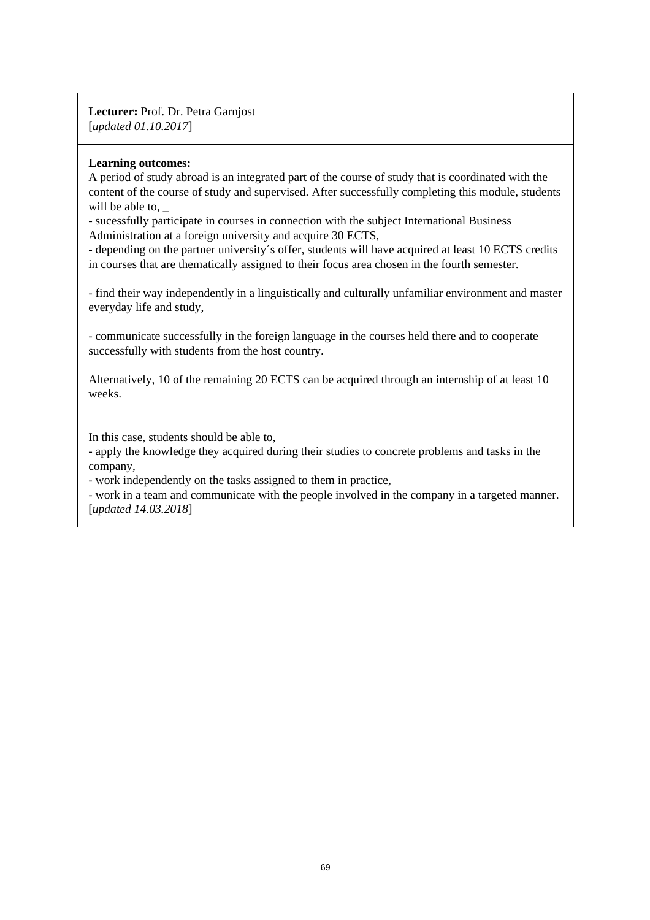**Lecturer:** Prof. Dr. Petra Garnjost [*updated 01.10.2017*]

### **Learning outcomes:**

A period of study abroad is an integrated part of the course of study that is coordinated with the content of the course of study and supervised. After successfully completing this module, students will be able to.

- sucessfully participate in courses in connection with the subject International Business Administration at a foreign university and acquire 30 ECTS,

- depending on the partner university´s offer, students will have acquired at least 10 ECTS credits in courses that are thematically assigned to their focus area chosen in the fourth semester.

- find their way independently in a linguistically and culturally unfamiliar environment and master everyday life and study,

- communicate successfully in the foreign language in the courses held there and to cooperate successfully with students from the host country.

Alternatively, 10 of the remaining 20 ECTS can be acquired through an internship of at least 10 weeks.

In this case, students should be able to,

- apply the knowledge they acquired during their studies to concrete problems and tasks in the company,

- work independently on the tasks assigned to them in practice,

- work in a team and communicate with the people involved in the company in a targeted manner. [*updated 14.03.2018*]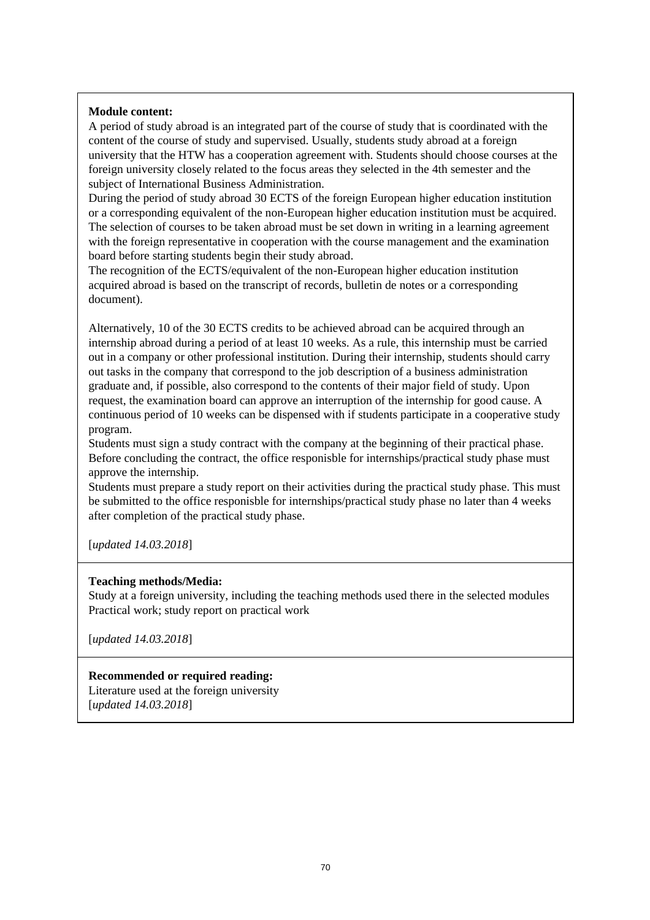### **Module content:**

A period of study abroad is an integrated part of the course of study that is coordinated with the content of the course of study and supervised. Usually, students study abroad at a foreign university that the HTW has a cooperation agreement with. Students should choose courses at the foreign university closely related to the focus areas they selected in the 4th semester and the subject of International Business Administration.

During the period of study abroad 30 ECTS of the foreign European higher education institution or a corresponding equivalent of the non-European higher education institution must be acquired. The selection of courses to be taken abroad must be set down in writing in a learning agreement with the foreign representative in cooperation with the course management and the examination board before starting students begin their study abroad.

The recognition of the ECTS/equivalent of the non-European higher education institution acquired abroad is based on the transcript of records, bulletin de notes or a corresponding document).

Alternatively, 10 of the 30 ECTS credits to be achieved abroad can be acquired through an internship abroad during a period of at least 10 weeks. As a rule, this internship must be carried out in a company or other professional institution. During their internship, students should carry out tasks in the company that correspond to the job description of a business administration graduate and, if possible, also correspond to the contents of their major field of study. Upon request, the examination board can approve an interruption of the internship for good cause. A continuous period of 10 weeks can be dispensed with if students participate in a cooperative study program.

Students must sign a study contract with the company at the beginning of their practical phase. Before concluding the contract, the office responisble for internships/practical study phase must approve the internship.

Students must prepare a study report on their activities during the practical study phase. This must be submitted to the office responisble for internships/practical study phase no later than 4 weeks after completion of the practical study phase.

[*updated 14.03.2018*]

### **Teaching methods/Media:**

Study at a foreign university, including the teaching methods used there in the selected modules Practical work; study report on practical work

[*updated 14.03.2018*]

## **Recommended or required reading:**

Literature used at the foreign university [*updated 14.03.2018*]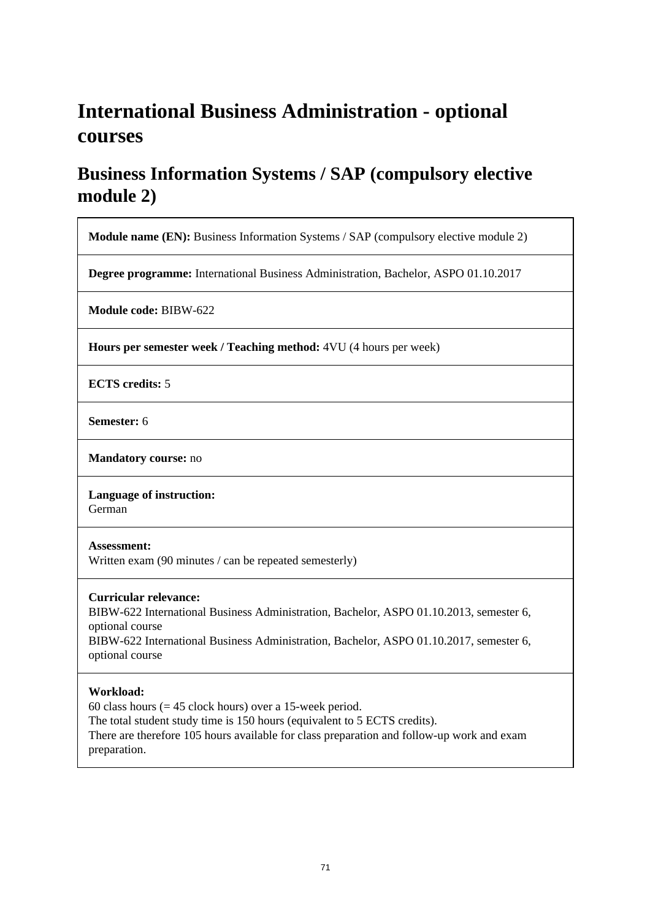# **International Business Administration - optional courses**

## **Business Information Systems / SAP (compulsory elective module 2)**

**Module name (EN):** Business Information Systems / SAP (compulsory elective module 2)

**Degree programme:** International Business Administration, Bachelor, ASPO 01.10.2017

**Module code:** BIBW-622

**Hours per semester week / Teaching method:** 4VU (4 hours per week)

**ECTS credits:** 5

**Semester:** 6

**Mandatory course:** no

**Language of instruction:**  German

### **Assessment:**

Written exam (90 minutes / can be repeated semesterly)

### **Curricular relevance:**

BIBW-622 International Business Administration, Bachelor, ASPO 01.10.2013, semester 6, optional course BIBW-622 International Business Administration, Bachelor, ASPO 01.10.2017, semester 6, optional course

### **Workload:**

60 class hours  $(= 45$  clock hours) over a 15-week period. The total student study time is 150 hours (equivalent to 5 ECTS credits). There are therefore 105 hours available for class preparation and follow-up work and exam preparation.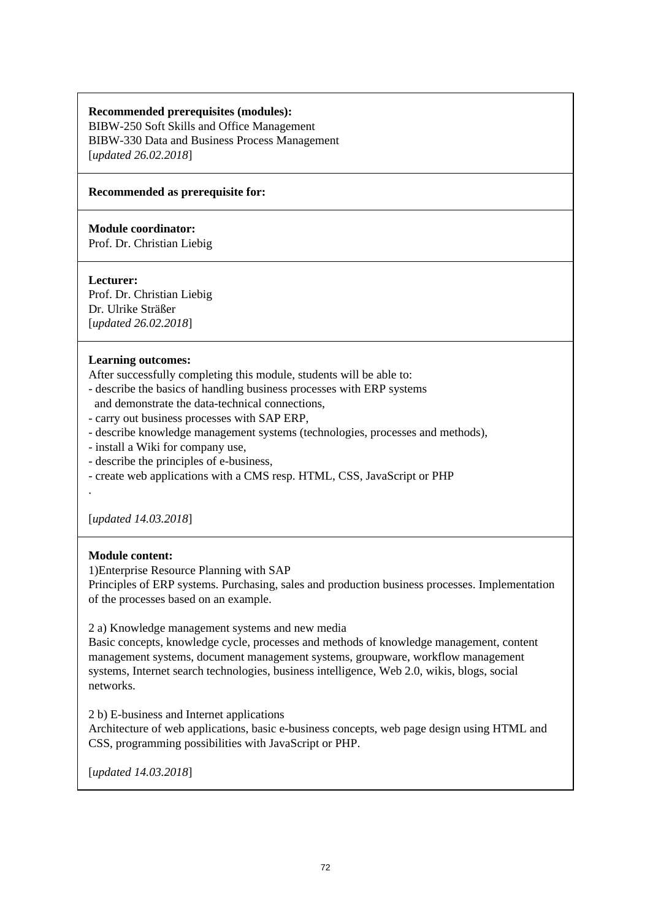## **Recommended prerequisites (modules):**

BIBW-250 Soft Skills and Office Management BIBW-330 Data and Business Process Management [*updated 26.02.2018*]

### **Recommended as prerequisite for:**

### **Module coordinator:**

Prof. Dr. Christian Liebig

### **Lecturer:**

Prof. Dr. Christian Liebig Dr. Ulrike Sträßer [*updated 26.02.2018*]

### **Learning outcomes:**

After successfully completing this module, students will be able to:

- describe the basics of handling business processes with ERP systems
- and demonstrate the data-technical connections,
- carry out business processes with SAP ERP,
- describe knowledge management systems (technologies, processes and methods),
- install a Wiki for company use,
- describe the principles of e-business,
- create web applications with a CMS resp. HTML, CSS, JavaScript or PHP

[*updated 14.03.2018*]

### **Module content:**

.

1)Enterprise Resource Planning with SAP

Principles of ERP systems. Purchasing, sales and production business processes. Implementation of the processes based on an example.

### 2 a) Knowledge management systems and new media

Basic concepts, knowledge cycle, processes and methods of knowledge management, content management systems, document management systems, groupware, workflow management systems, Internet search technologies, business intelligence, Web 2.0, wikis, blogs, social networks.

2 b) E-business and Internet applications

Architecture of web applications, basic e-business concepts, web page design using HTML and CSS, programming possibilities with JavaScript or PHP.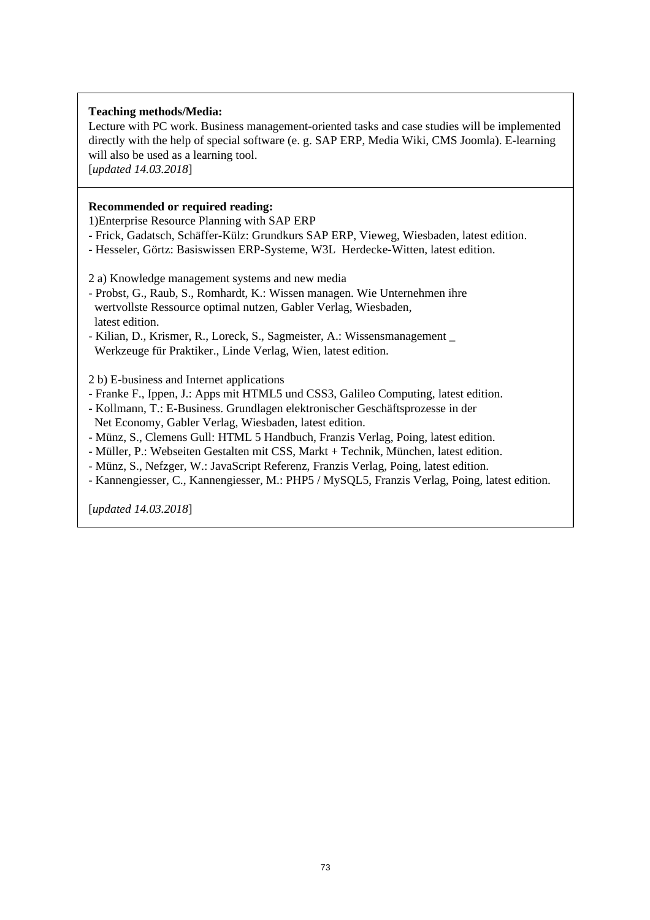## **Teaching methods/Media:**

Lecture with PC work. Business management-oriented tasks and case studies will be implemented directly with the help of special software (e. g. SAP ERP, Media Wiki, CMS Joomla). E-learning will also be used as a learning tool.

[*updated 14.03.2018*]

#### **Recommended or required reading:**

1)Enterprise Resource Planning with SAP ERP

- Frick, Gadatsch, Schäffer-Külz: Grundkurs SAP ERP, Vieweg, Wiesbaden, latest edition.
- Hesseler, Görtz: Basiswissen ERP-Systeme, W3L Herdecke-Witten, latest edition.

2 a) Knowledge management systems and new media

- Probst, G., Raub, S., Romhardt, K.: Wissen managen. Wie Unternehmen ihre wertvollste Ressource optimal nutzen, Gabler Verlag, Wiesbaden, latest edition.
- Kilian, D., Krismer, R., Loreck, S., Sagmeister, A.: Wissensmanagement \_ Werkzeuge für Praktiker., Linde Verlag, Wien, latest edition.

2 b) E-business and Internet applications

- Franke F., Ippen, J.: Apps mit HTML5 und CSS3, Galileo Computing, latest edition.
- Kollmann, T.: E-Business. Grundlagen elektronischer Geschäftsprozesse in der Net Economy, Gabler Verlag, Wiesbaden, latest edition.
- Münz, S., Clemens Gull: HTML 5 Handbuch, Franzis Verlag, Poing, latest edition.
- Müller, P.: Webseiten Gestalten mit CSS, Markt + Technik, München, latest edition.
- Münz, S., Nefzger, W.: JavaScript Referenz, Franzis Verlag, Poing, latest edition.
- Kannengiesser, C., Kannengiesser, M.: PHP5 / MySQL5, Franzis Verlag, Poing, latest edition.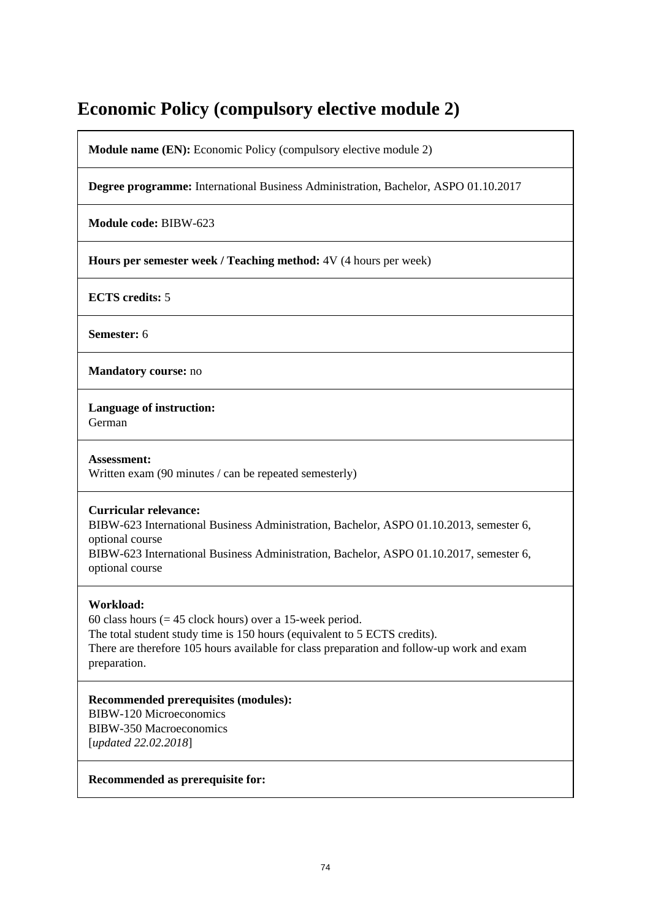# **Economic Policy (compulsory elective module 2)**

**Module name (EN):** Economic Policy (compulsory elective module 2)

**Degree programme:** International Business Administration, Bachelor, ASPO 01.10.2017

**Module code:** BIBW-623

**Hours per semester week / Teaching method:** 4V (4 hours per week)

**ECTS credits:** 5

**Semester:** 6

**Mandatory course:** no

**Language of instruction:** 

German

**Assessment:**  Written exam (90 minutes / can be repeated semesterly)

## **Curricular relevance:**

BIBW-623 International Business Administration, Bachelor, ASPO 01.10.2013, semester 6, optional course

BIBW-623 International Business Administration, Bachelor, ASPO 01.10.2017, semester 6, optional course

## **Workload:**

60 class hours ( $= 45$  clock hours) over a 15-week period. The total student study time is 150 hours (equivalent to 5 ECTS credits). There are therefore 105 hours available for class preparation and follow-up work and exam preparation.

**Recommended prerequisites (modules):**  BIBW-120 Microeconomics BIBW-350 Macroeconomics [*updated 22.02.2018*]

**Recommended as prerequisite for:**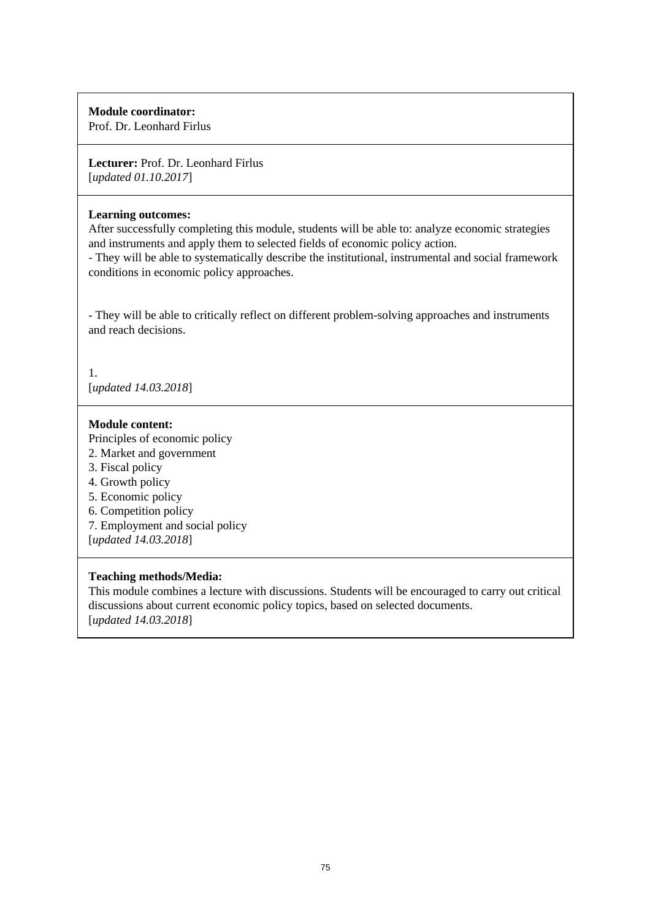Prof. Dr. Leonhard Firlus

**Lecturer:** Prof. Dr. Leonhard Firlus [*updated 01.10.2017*]

#### **Learning outcomes:**

After successfully completing this module, students will be able to: analyze economic strategies and instruments and apply them to selected fields of economic policy action.

- They will be able to systematically describe the institutional, instrumental and social framework conditions in economic policy approaches.

- They will be able to critically reflect on different problem-solving approaches and instruments and reach decisions.

1. [*updated 14.03.2018*]

## **Module content:**

Principles of economic policy

- 2. Market and government
- 3. Fiscal policy
- 4. Growth policy
- 5. Economic policy
- 6. Competition policy
- 7. Employment and social policy
- [*updated 14.03.2018*]

## **Teaching methods/Media:**

This module combines a lecture with discussions. Students will be encouraged to carry out critical discussions about current economic policy topics, based on selected documents. [*updated 14.03.2018*]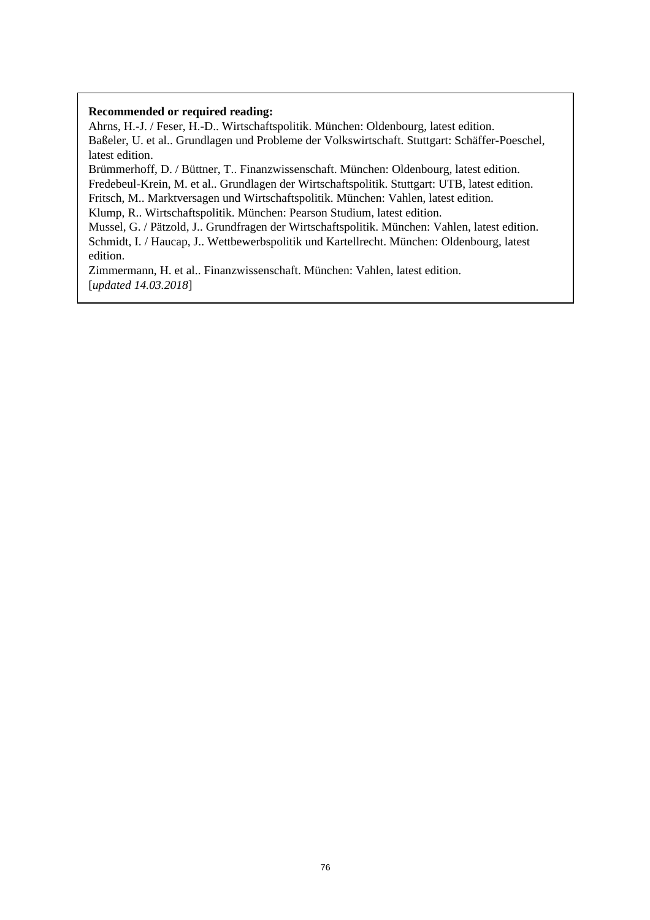Ahrns, H.-J. / Feser, H.-D.. Wirtschaftspolitik. München: Oldenbourg, latest edition. Baßeler, U. et al.. Grundlagen und Probleme der Volkswirtschaft. Stuttgart: Schäffer-Poeschel, latest edition.

Brümmerhoff, D. / Büttner, T.. Finanzwissenschaft. München: Oldenbourg, latest edition. Fredebeul-Krein, M. et al.. Grundlagen der Wirtschaftspolitik. Stuttgart: UTB, latest edition. Fritsch, M.. Marktversagen und Wirtschaftspolitik. München: Vahlen, latest edition.

Klump, R.. Wirtschaftspolitik. München: Pearson Studium, latest edition.

Mussel, G. / Pätzold, J.. Grundfragen der Wirtschaftspolitik. München: Vahlen, latest edition. Schmidt, I. / Haucap, J.. Wettbewerbspolitik und Kartellrecht. München: Oldenbourg, latest edition.

Zimmermann, H. et al.. Finanzwissenschaft. München: Vahlen, latest edition. [*updated 14.03.2018*]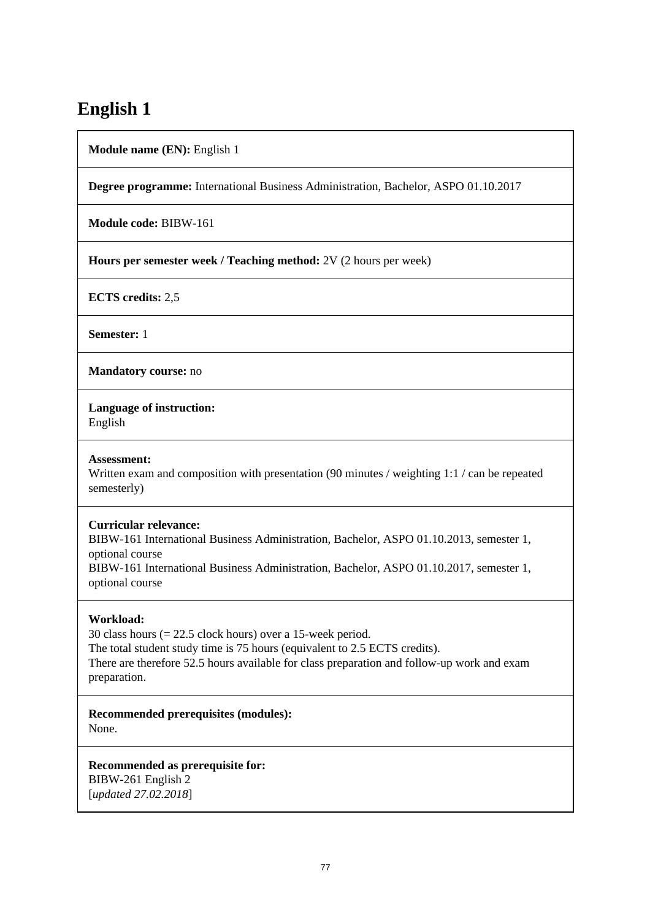# **English 1**

**Module name (EN):** English 1

**Degree programme:** International Business Administration, Bachelor, ASPO 01.10.2017

**Module code:** BIBW-161

**Hours per semester week / Teaching method:** 2V (2 hours per week)

**ECTS credits:** 2,5

**Semester:** 1

**Mandatory course:** no

**Language of instruction:** 

English

#### **Assessment:**

Written exam and composition with presentation (90 minutes / weighting 1:1 / can be repeated semesterly)

#### **Curricular relevance:**

BIBW-161 International Business Administration, Bachelor, ASPO 01.10.2013, semester 1, optional course BIBW-161 International Business Administration, Bachelor, ASPO 01.10.2017, semester 1, optional course

## **Workload:**

30 class hours (= 22.5 clock hours) over a 15-week period. The total student study time is 75 hours (equivalent to 2.5 ECTS credits). There are therefore 52.5 hours available for class preparation and follow-up work and exam preparation.

**Recommended prerequisites (modules):**  None.

**Recommended as prerequisite for:**  BIBW-261 English 2 [*updated 27.02.2018*]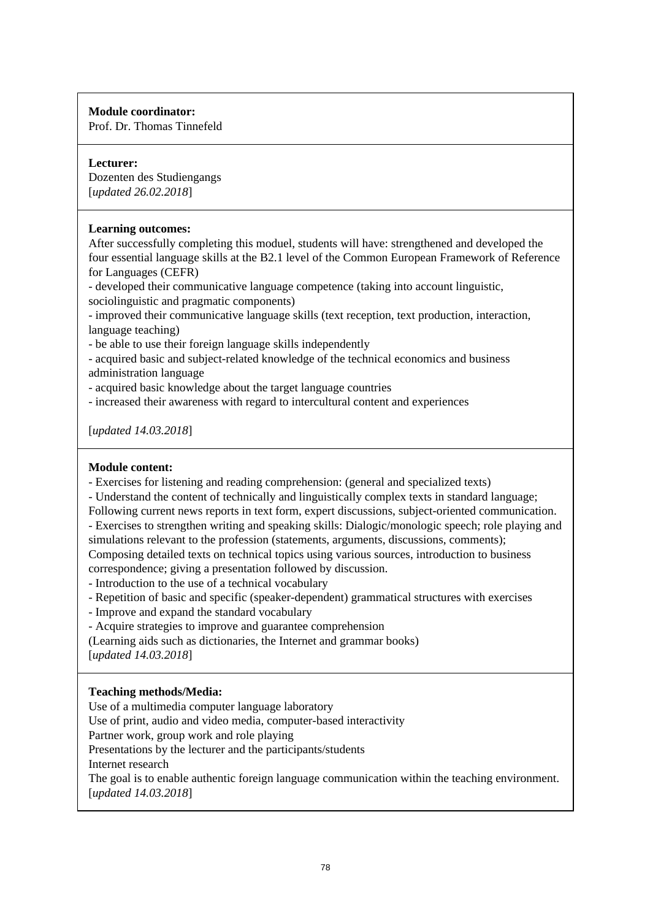Prof. Dr. Thomas Tinnefeld

## **Lecturer:**

Dozenten des Studiengangs [*updated 26.02.2018*]

## **Learning outcomes:**

After successfully completing this moduel, students will have: strengthened and developed the four essential language skills at the B2.1 level of the Common European Framework of Reference for Languages (CEFR)

- developed their communicative language competence (taking into account linguistic, sociolinguistic and pragmatic components)

- improved their communicative language skills (text reception, text production, interaction, language teaching)

- be able to use their foreign language skills independently

- acquired basic and subject-related knowledge of the technical economics and business administration language

- acquired basic knowledge about the target language countries

- increased their awareness with regard to intercultural content and experiences

[*updated 14.03.2018*]

## **Module content:**

- Exercises for listening and reading comprehension: (general and specialized texts)

- Understand the content of technically and linguistically complex texts in standard language;

Following current news reports in text form, expert discussions, subject-oriented communication.

- Exercises to strengthen writing and speaking skills: Dialogic/monologic speech; role playing and simulations relevant to the profession (statements, arguments, discussions, comments);

Composing detailed texts on technical topics using various sources, introduction to business correspondence; giving a presentation followed by discussion.

- Introduction to the use of a technical vocabulary

- Repetition of basic and specific (speaker-dependent) grammatical structures with exercises

- Improve and expand the standard vocabulary

- Acquire strategies to improve and guarantee comprehension

(Learning aids such as dictionaries, the Internet and grammar books)

[*updated 14.03.2018*]

## **Teaching methods/Media:**

Use of a multimedia computer language laboratory

Use of print, audio and video media, computer-based interactivity

Partner work, group work and role playing

Presentations by the lecturer and the participants/students

Internet research

The goal is to enable authentic foreign language communication within the teaching environment. [*updated 14.03.2018*]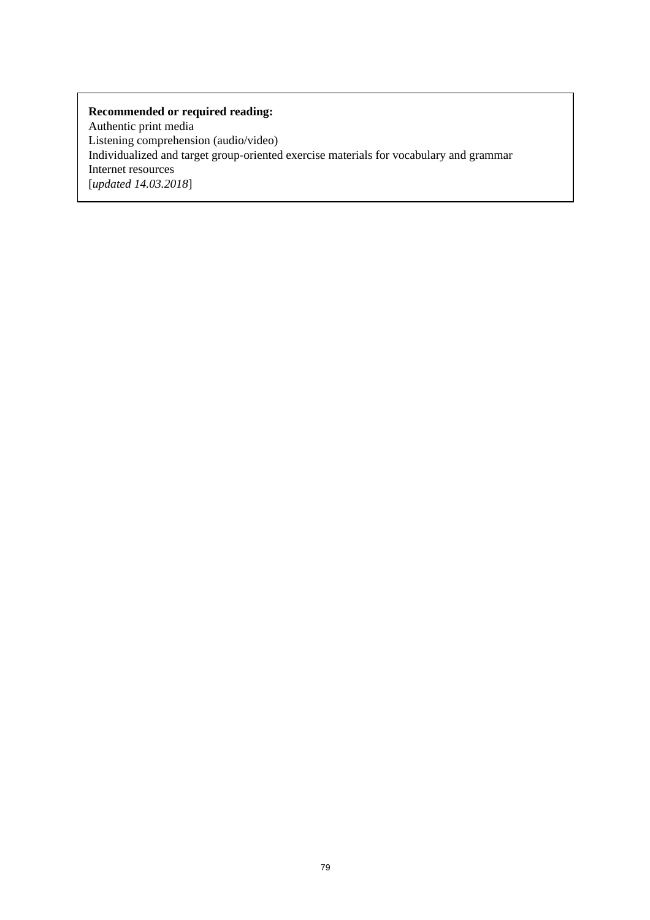Authentic print media Listening comprehension (audio/video) Individualized and target group-oriented exercise materials for vocabulary and grammar Internet resources [*updated 14.03.2018*]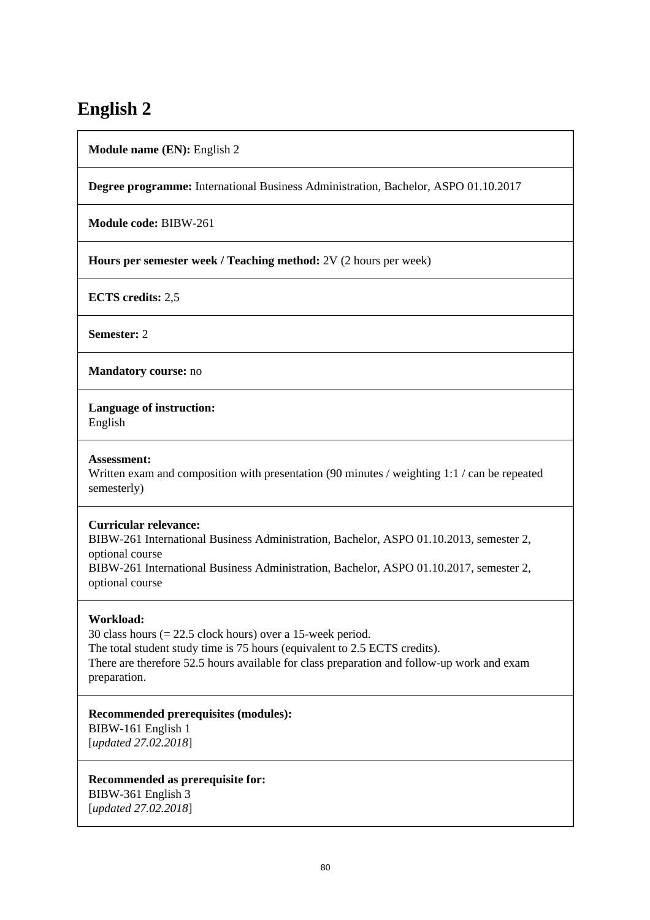# **English 2**

**Module name (EN):** English 2

**Degree programme:** International Business Administration, Bachelor, ASPO 01.10.2017

**Module code:** BIBW-261

**Hours per semester week / Teaching method:** 2V (2 hours per week)

**ECTS credits:** 2,5

**Semester:** 2

**Mandatory course:** no

**Language of instruction:** 

English

#### **Assessment:**

Written exam and composition with presentation (90 minutes / weighting 1:1 / can be repeated semesterly)

## **Curricular relevance:**

BIBW-261 International Business Administration, Bachelor, ASPO 01.10.2013, semester 2, optional course BIBW-261 International Business Administration, Bachelor, ASPO 01.10.2017, semester 2, optional course

## **Workload:**

30 class hours (= 22.5 clock hours) over a 15-week period. The total student study time is 75 hours (equivalent to 2.5 ECTS credits). There are therefore 52.5 hours available for class preparation and follow-up work and exam preparation.

**Recommended prerequisites (modules):** 

BIBW-161 English 1 [*updated 27.02.2018*]

**Recommended as prerequisite for:**  BIBW-361 English 3 [*updated 27.02.2018*]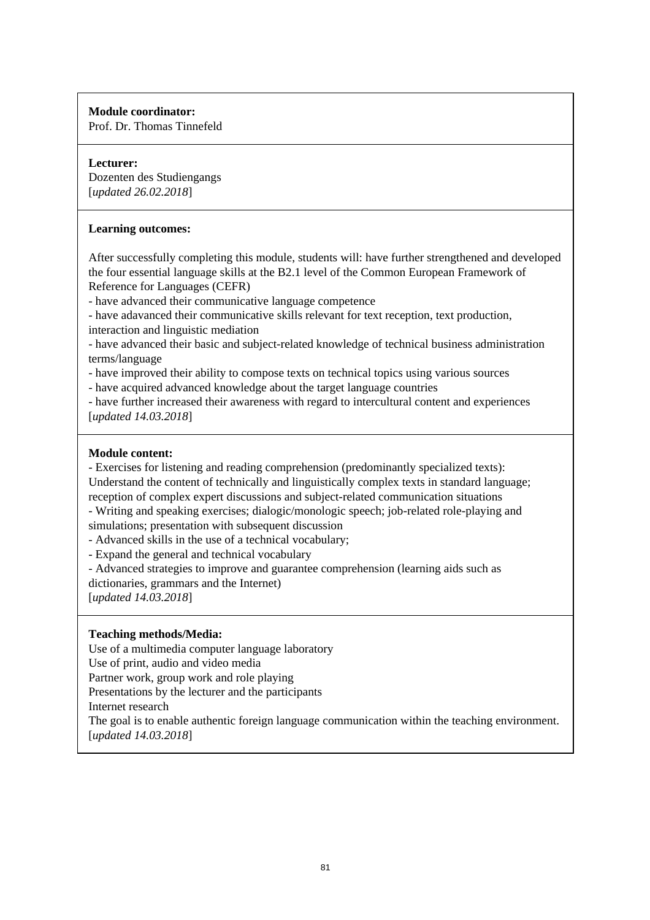Prof. Dr. Thomas Tinnefeld

## **Lecturer:**

Dozenten des Studiengangs [*updated 26.02.2018*]

## **Learning outcomes:**

After successfully completing this module, students will: have further strengthened and developed the four essential language skills at the B2.1 level of the Common European Framework of Reference for Languages (CEFR)

- have advanced their communicative language competence

- have adavanced their communicative skills relevant for text reception, text production, interaction and linguistic mediation

- have advanced their basic and subject-related knowledge of technical business administration terms/language

- have improved their ability to compose texts on technical topics using various sources

- have acquired advanced knowledge about the target language countries

- have further increased their awareness with regard to intercultural content and experiences [*updated 14.03.2018*]

## **Module content:**

- Exercises for listening and reading comprehension (predominantly specialized texts): Understand the content of technically and linguistically complex texts in standard language; reception of complex expert discussions and subject-related communication situations

- Writing and speaking exercises; dialogic/monologic speech; job-related role-playing and simulations; presentation with subsequent discussion

- Advanced skills in the use of a technical vocabulary;

- Expand the general and technical vocabulary

- Advanced strategies to improve and guarantee comprehension (learning aids such as dictionaries, grammars and the Internet)

[*updated 14.03.2018*]

## **Teaching methods/Media:**

Use of a multimedia computer language laboratory

Use of print, audio and video media

Partner work, group work and role playing

Presentations by the lecturer and the participants

Internet research

The goal is to enable authentic foreign language communication within the teaching environment. [*updated 14.03.2018*]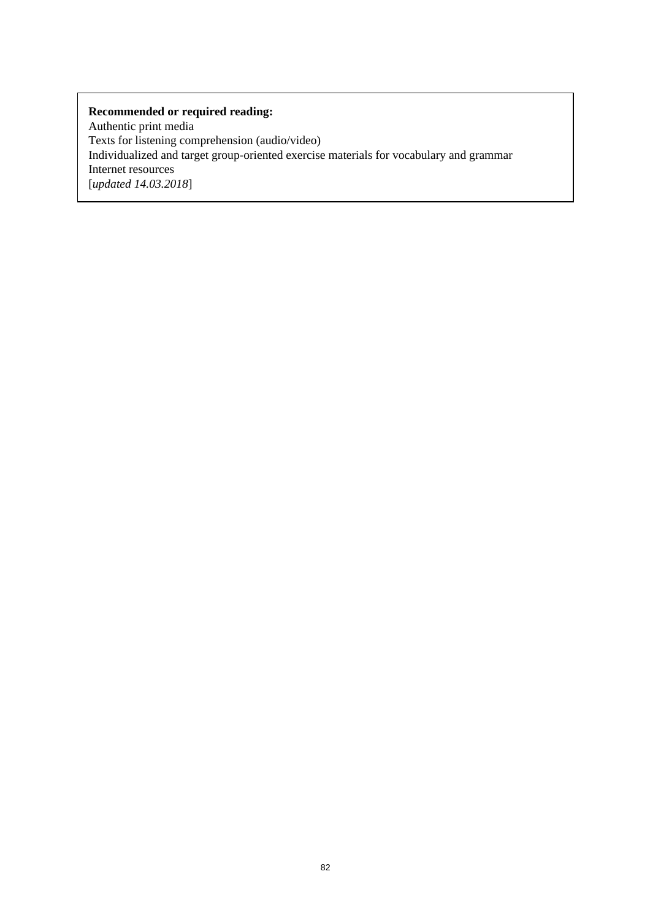Authentic print media Texts for listening comprehension (audio/video) Individualized and target group-oriented exercise materials for vocabulary and grammar Internet resources [*updated 14.03.2018*]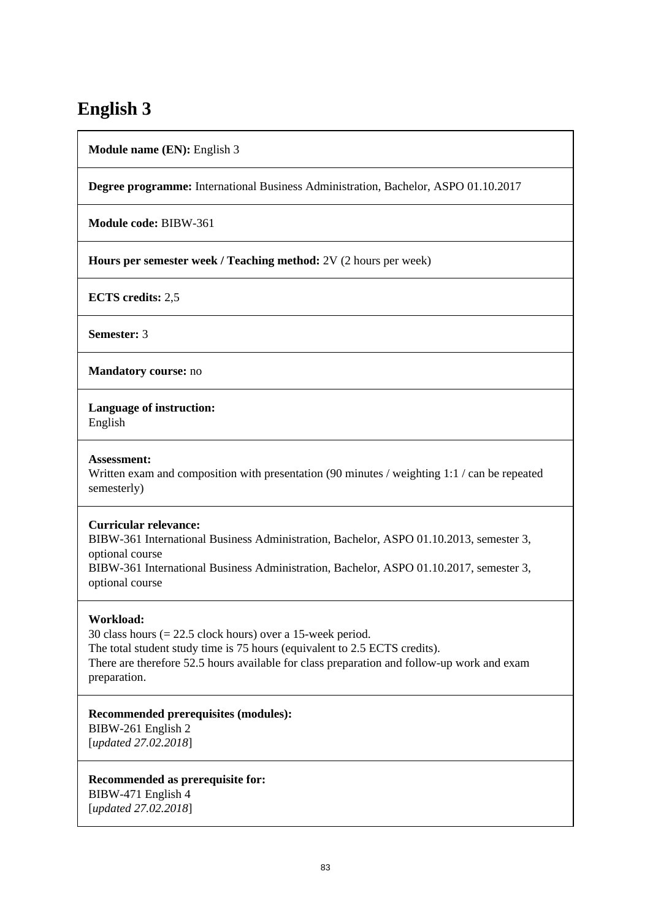# **English 3**

**Module name (EN):** English 3

**Degree programme:** International Business Administration, Bachelor, ASPO 01.10.2017

**Module code:** BIBW-361

**Hours per semester week / Teaching method:** 2V (2 hours per week)

**ECTS credits:** 2,5

**Semester:** 3

**Mandatory course:** no

**Language of instruction:** 

English

#### **Assessment:**

Written exam and composition with presentation (90 minutes / weighting 1:1 / can be repeated semesterly)

#### **Curricular relevance:**

BIBW-361 International Business Administration, Bachelor, ASPO 01.10.2013, semester 3, optional course BIBW-361 International Business Administration, Bachelor, ASPO 01.10.2017, semester 3, optional course

#### **Workload:**

30 class hours (= 22.5 clock hours) over a 15-week period. The total student study time is 75 hours (equivalent to 2.5 ECTS credits). There are therefore 52.5 hours available for class preparation and follow-up work and exam preparation.

#### **Recommended prerequisites (modules):**

BIBW-261 English 2 [*updated 27.02.2018*]

**Recommended as prerequisite for:**  BIBW-471 English 4 [*updated 27.02.2018*]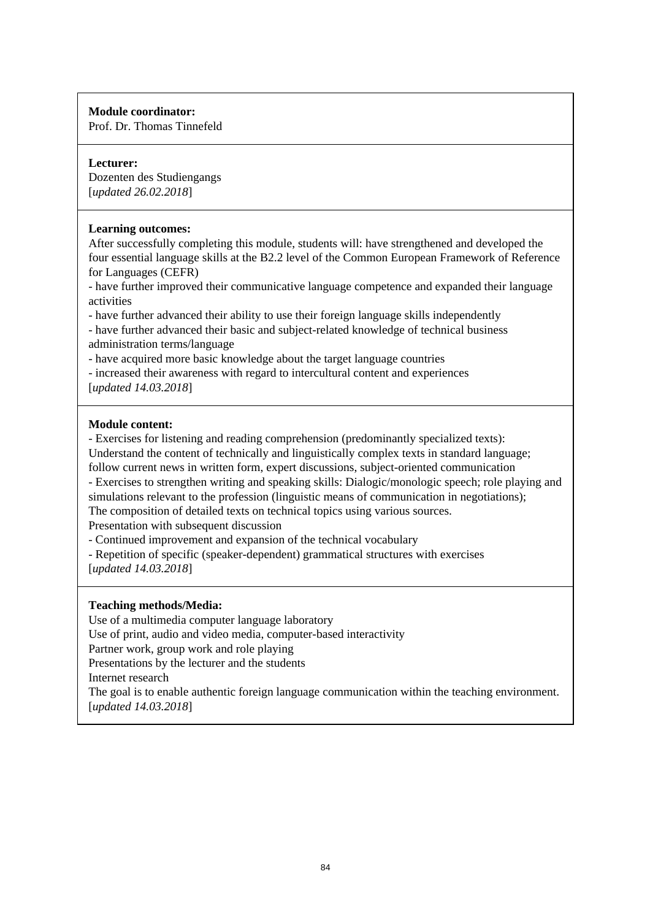Prof. Dr. Thomas Tinnefeld

## **Lecturer:**

Dozenten des Studiengangs [*updated 26.02.2018*]

## **Learning outcomes:**

After successfully completing this module, students will: have strengthened and developed the four essential language skills at the B2.2 level of the Common European Framework of Reference for Languages (CEFR)

- have further improved their communicative language competence and expanded their language activities

- have further advanced their ability to use their foreign language skills independently

- have further advanced their basic and subject-related knowledge of technical business administration terms/language

- have acquired more basic knowledge about the target language countries

- increased their awareness with regard to intercultural content and experiences [*updated 14.03.2018*]

## **Module content:**

- Exercises for listening and reading comprehension (predominantly specialized texts):

Understand the content of technically and linguistically complex texts in standard language; follow current news in written form, expert discussions, subject-oriented communication - Exercises to strengthen writing and speaking skills: Dialogic/monologic speech; role playing and simulations relevant to the profession (linguistic means of communication in negotiations); The composition of detailed texts on technical topics using various sources.

Presentation with subsequent discussion

- Continued improvement and expansion of the technical vocabulary

- Repetition of specific (speaker-dependent) grammatical structures with exercises [*updated 14.03.2018*]

## **Teaching methods/Media:**

Use of a multimedia computer language laboratory

Use of print, audio and video media, computer-based interactivity

Partner work, group work and role playing

Presentations by the lecturer and the students

Internet research

The goal is to enable authentic foreign language communication within the teaching environment. [*updated 14.03.2018*]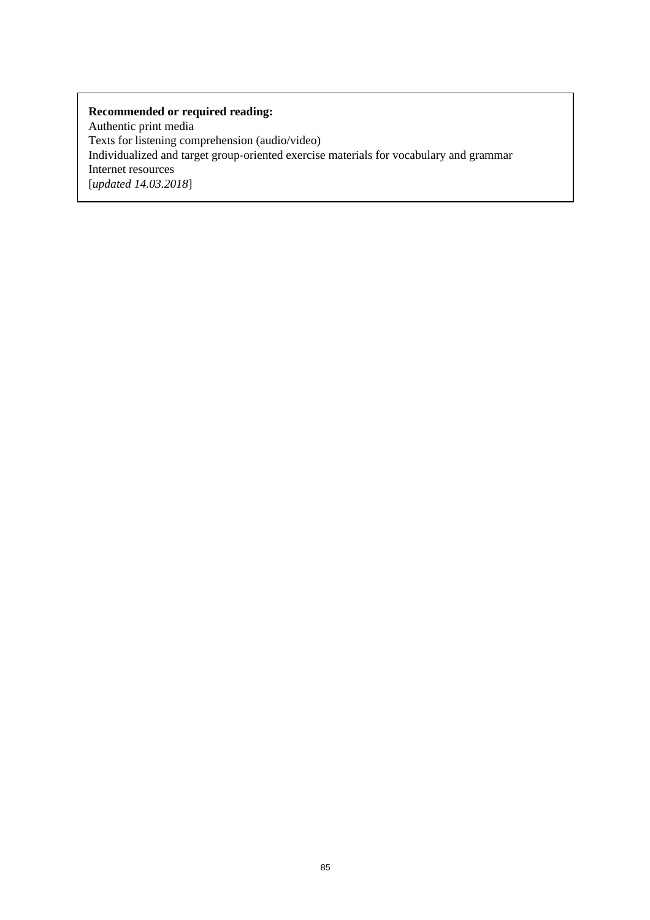Authentic print media Texts for listening comprehension (audio/video) Individualized and target group-oriented exercise materials for vocabulary and grammar Internet resources [*updated 14.03.2018*]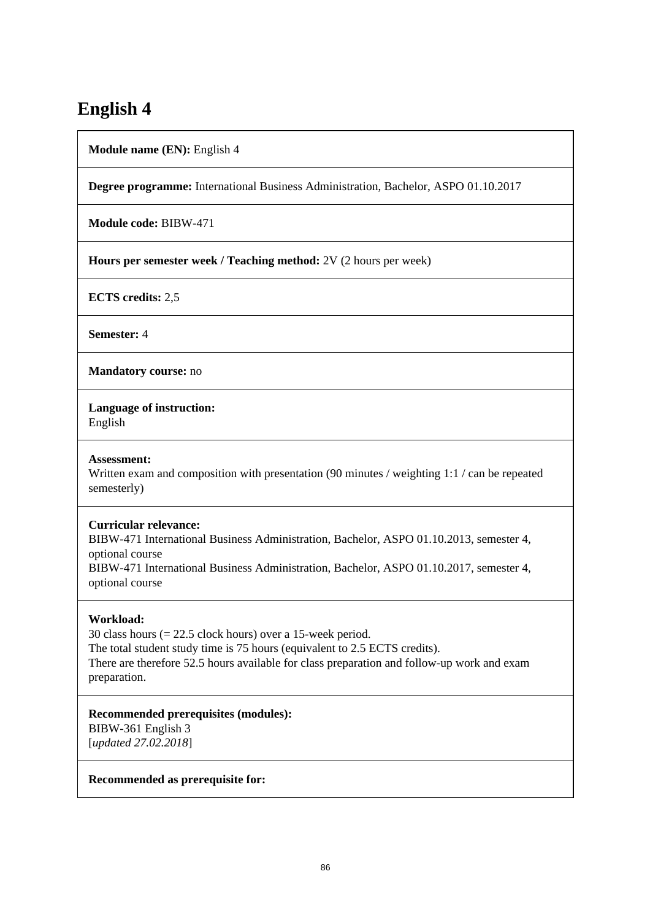# **English 4**

**Module name (EN):** English 4

**Degree programme:** International Business Administration, Bachelor, ASPO 01.10.2017

**Module code:** BIBW-471

**Hours per semester week / Teaching method:** 2V (2 hours per week)

**ECTS credits:** 2,5

**Semester:** 4

**Mandatory course:** no

**Language of instruction:** 

English

#### **Assessment:**

Written exam and composition with presentation (90 minutes / weighting 1:1 / can be repeated semesterly)

## **Curricular relevance:**

BIBW-471 International Business Administration, Bachelor, ASPO 01.10.2013, semester 4, optional course BIBW-471 International Business Administration, Bachelor, ASPO 01.10.2017, semester 4, optional course

## **Workload:**

30 class hours (= 22.5 clock hours) over a 15-week period. The total student study time is 75 hours (equivalent to 2.5 ECTS credits). There are therefore 52.5 hours available for class preparation and follow-up work and exam preparation.

#### **Recommended prerequisites (modules):**

BIBW-361 English 3 [*updated 27.02.2018*]

#### **Recommended as prerequisite for:**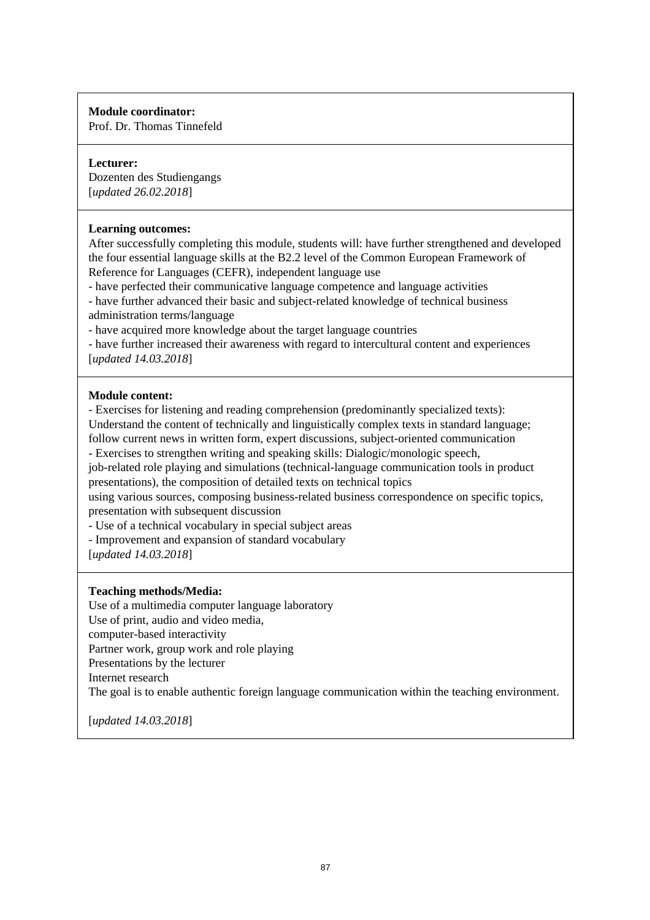Prof. Dr. Thomas Tinnefeld

## **Lecturer:**

Dozenten des Studiengangs [*updated 26.02.2018*]

## **Learning outcomes:**

After successfully completing this module, students will: have further strengthened and developed the four essential language skills at the B2.2 level of the Common European Framework of Reference for Languages (CEFR), independent language use

- have perfected their communicative language competence and language activities

- have further advanced their basic and subject-related knowledge of technical business administration terms/language

- have acquired more knowledge about the target language countries

- have further increased their awareness with regard to intercultural content and experiences [*updated 14.03.2018*]

## **Module content:**

- Exercises for listening and reading comprehension (predominantly specialized texts): Understand the content of technically and linguistically complex texts in standard language; follow current news in written form, expert discussions, subject-oriented communication

- Exercises to strengthen writing and speaking skills: Dialogic/monologic speech,

job-related role playing and simulations (technical-language communication tools in product presentations), the composition of detailed texts on technical topics

using various sources, composing business-related business correspondence on specific topics, presentation with subsequent discussion

- Use of a technical vocabulary in special subject areas

- Improvement and expansion of standard vocabulary

[*updated 14.03.2018*]

## **Teaching methods/Media:**

Use of a multimedia computer language laboratory Use of print, audio and video media, computer-based interactivity Partner work, group work and role playing Presentations by the lecturer Internet research The goal is to enable authentic foreign language communication within the teaching environment.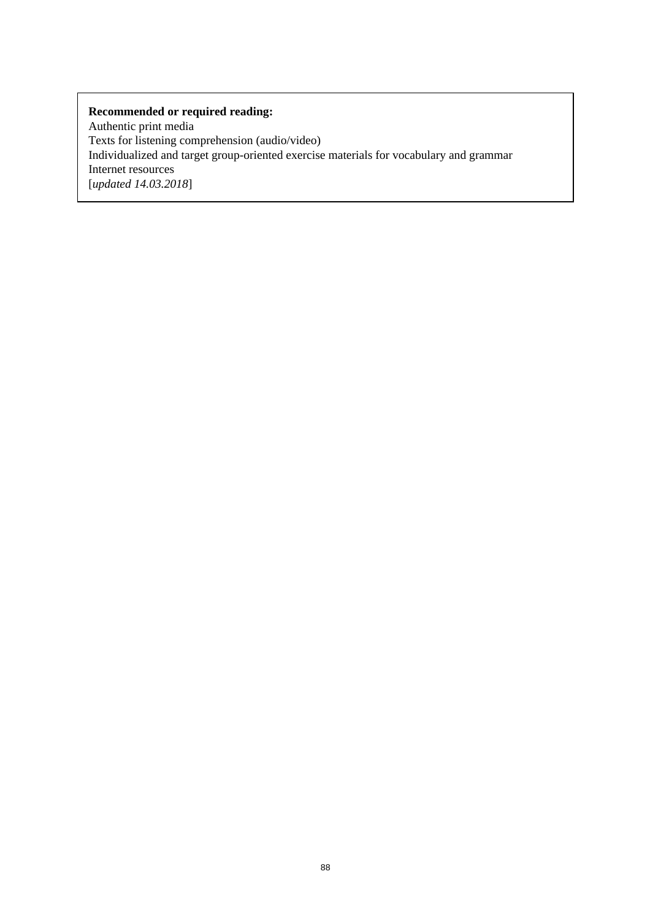Authentic print media Texts for listening comprehension (audio/video) Individualized and target group-oriented exercise materials for vocabulary and grammar Internet resources [*updated 14.03.2018*]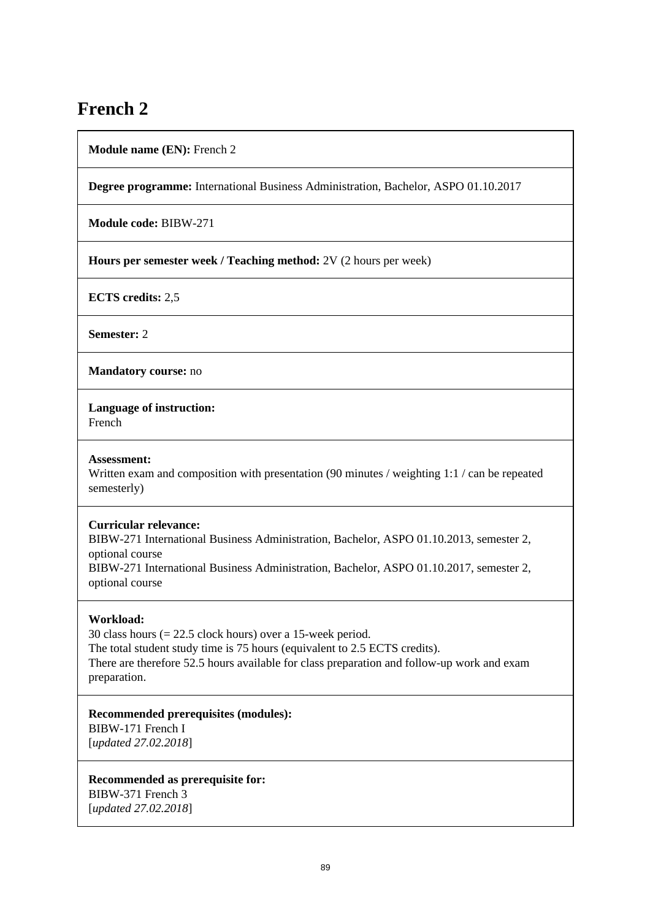# **French 2**

**Module name (EN):** French 2

**Degree programme:** International Business Administration, Bachelor, ASPO 01.10.2017

**Module code:** BIBW-271

**Hours per semester week / Teaching method:** 2V (2 hours per week)

**ECTS credits:** 2,5

**Semester:** 2

**Mandatory course:** no

**Language of instruction:** 

French

#### **Assessment:**

Written exam and composition with presentation (90 minutes / weighting 1:1 / can be repeated semesterly)

#### **Curricular relevance:**

BIBW-271 International Business Administration, Bachelor, ASPO 01.10.2013, semester 2, optional course BIBW-271 International Business Administration, Bachelor, ASPO 01.10.2017, semester 2, optional course

#### **Workload:**

30 class hours (= 22.5 clock hours) over a 15-week period. The total student study time is 75 hours (equivalent to 2.5 ECTS credits). There are therefore 52.5 hours available for class preparation and follow-up work and exam preparation.

**Recommended prerequisites (modules):** 

BIBW-171 French I [*updated 27.02.2018*]

**Recommended as prerequisite for:**  BIBW-371 French 3 [*updated 27.02.2018*]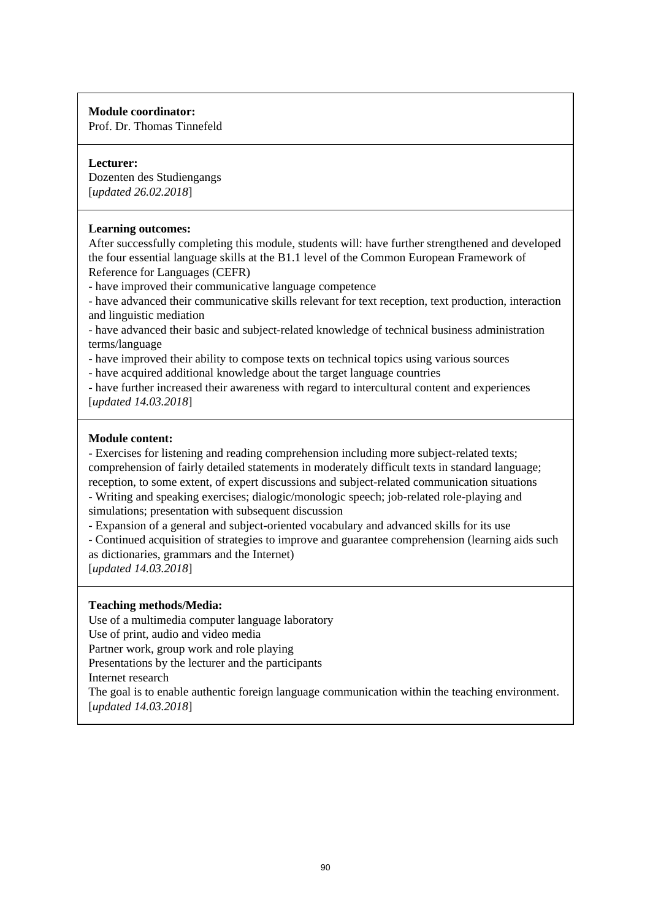Prof. Dr. Thomas Tinnefeld

## **Lecturer:**

Dozenten des Studiengangs [*updated 26.02.2018*]

## **Learning outcomes:**

After successfully completing this module, students will: have further strengthened and developed the four essential language skills at the B1.1 level of the Common European Framework of Reference for Languages (CEFR)

- have improved their communicative language competence

- have advanced their communicative skills relevant for text reception, text production, interaction and linguistic mediation

- have advanced their basic and subject-related knowledge of technical business administration terms/language

- have improved their ability to compose texts on technical topics using various sources

- have acquired additional knowledge about the target language countries

- have further increased their awareness with regard to intercultural content and experiences [*updated 14.03.2018*]

## **Module content:**

- Exercises for listening and reading comprehension including more subject-related texts; comprehension of fairly detailed statements in moderately difficult texts in standard language; reception, to some extent, of expert discussions and subject-related communication situations - Writing and speaking exercises; dialogic/monologic speech; job-related role-playing and

simulations; presentation with subsequent discussion

- Expansion of a general and subject-oriented vocabulary and advanced skills for its use

- Continued acquisition of strategies to improve and guarantee comprehension (learning aids such as dictionaries, grammars and the Internet)

[*updated 14.03.2018*]

## **Teaching methods/Media:**

Use of a multimedia computer language laboratory Use of print, audio and video media

Partner work, group work and role playing

Presentations by the lecturer and the participants

Internet research

The goal is to enable authentic foreign language communication within the teaching environment. [*updated 14.03.2018*]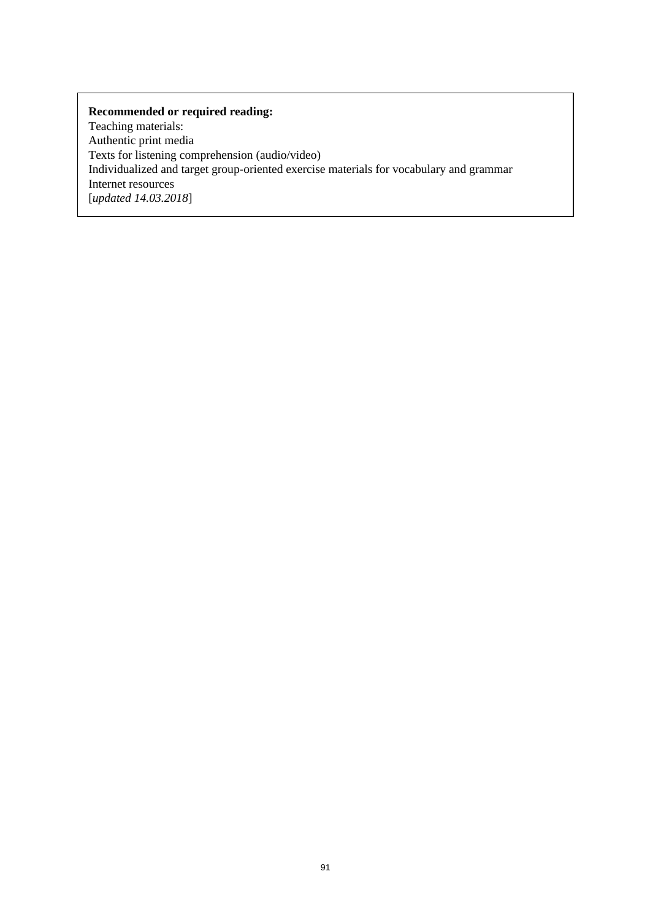Teaching materials: Authentic print media Texts for listening comprehension (audio/video) Individualized and target group-oriented exercise materials for vocabulary and grammar Internet resources [*updated 14.03.2018*]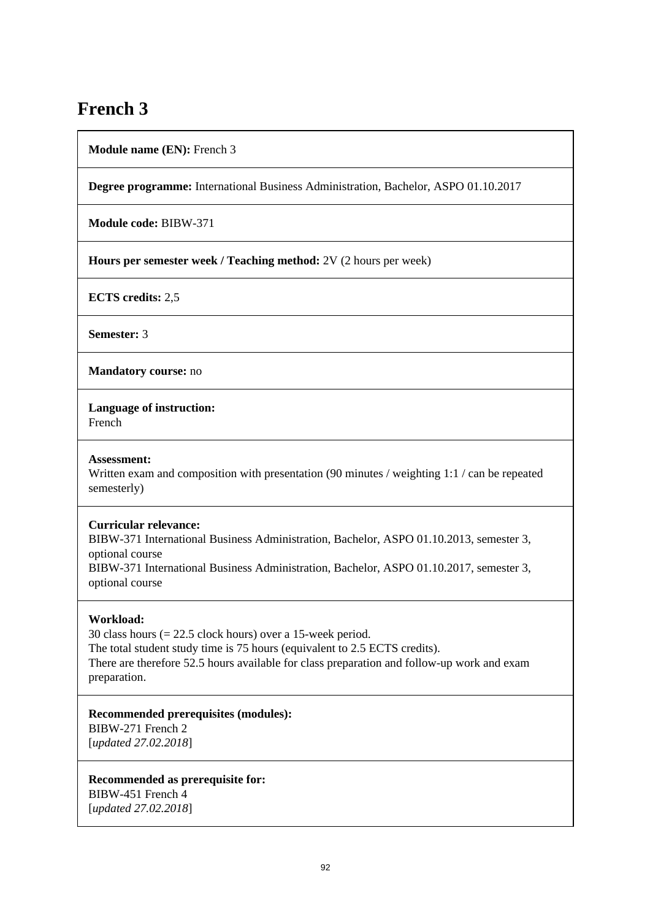# **French 3**

**Module name (EN):** French 3

**Degree programme:** International Business Administration, Bachelor, ASPO 01.10.2017

**Module code:** BIBW-371

**Hours per semester week / Teaching method:** 2V (2 hours per week)

**ECTS credits:** 2,5

**Semester:** 3

**Mandatory course:** no

**Language of instruction:** 

French

#### **Assessment:**

Written exam and composition with presentation (90 minutes / weighting 1:1 / can be repeated semesterly)

#### **Curricular relevance:**

BIBW-371 International Business Administration, Bachelor, ASPO 01.10.2013, semester 3, optional course BIBW-371 International Business Administration, Bachelor, ASPO 01.10.2017, semester 3, optional course

#### **Workload:**

30 class hours (= 22.5 clock hours) over a 15-week period. The total student study time is 75 hours (equivalent to 2.5 ECTS credits). There are therefore 52.5 hours available for class preparation and follow-up work and exam preparation.

**Recommended prerequisites (modules):** 

BIBW-271 French 2 [*updated 27.02.2018*]

**Recommended as prerequisite for:**  BIBW-451 French 4 [*updated 27.02.2018*]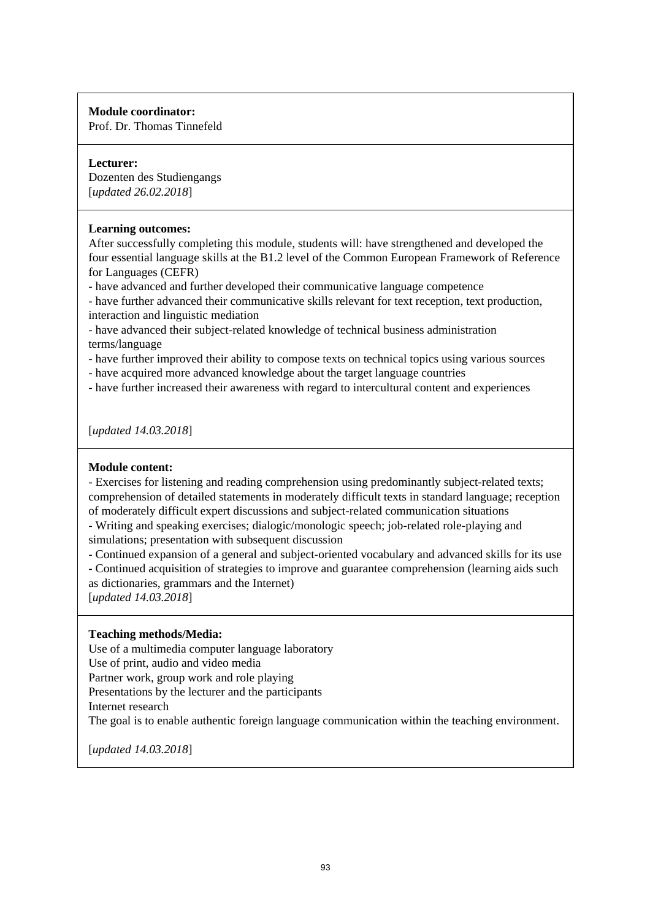Prof. Dr. Thomas Tinnefeld

## **Lecturer:**

Dozenten des Studiengangs [*updated 26.02.2018*]

## **Learning outcomes:**

After successfully completing this module, students will: have strengthened and developed the four essential language skills at the B1.2 level of the Common European Framework of Reference for Languages (CEFR)

- have advanced and further developed their communicative language competence

- have further advanced their communicative skills relevant for text reception, text production, interaction and linguistic mediation

- have advanced their subject-related knowledge of technical business administration terms/language

- have further improved their ability to compose texts on technical topics using various sources

- have acquired more advanced knowledge about the target language countries

- have further increased their awareness with regard to intercultural content and experiences

[*updated 14.03.2018*]

## **Module content:**

- Exercises for listening and reading comprehension using predominantly subject-related texts; comprehension of detailed statements in moderately difficult texts in standard language; reception of moderately difficult expert discussions and subject-related communication situations

- Writing and speaking exercises; dialogic/monologic speech; job-related role-playing and simulations; presentation with subsequent discussion

- Continued expansion of a general and subject-oriented vocabulary and advanced skills for its use

- Continued acquisition of strategies to improve and guarantee comprehension (learning aids such as dictionaries, grammars and the Internet)

[*updated 14.03.2018*]

## **Teaching methods/Media:**

Use of a multimedia computer language laboratory

Use of print, audio and video media

Partner work, group work and role playing

Presentations by the lecturer and the participants

Internet research

The goal is to enable authentic foreign language communication within the teaching environment.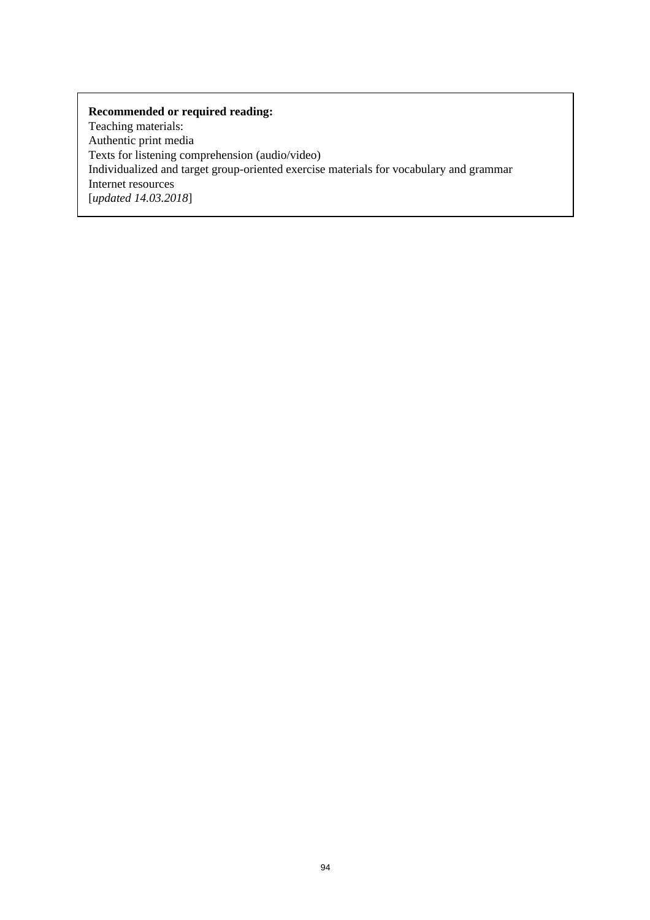Teaching materials: Authentic print media Texts for listening comprehension (audio/video) Individualized and target group-oriented exercise materials for vocabulary and grammar Internet resources [*updated 14.03.2018*]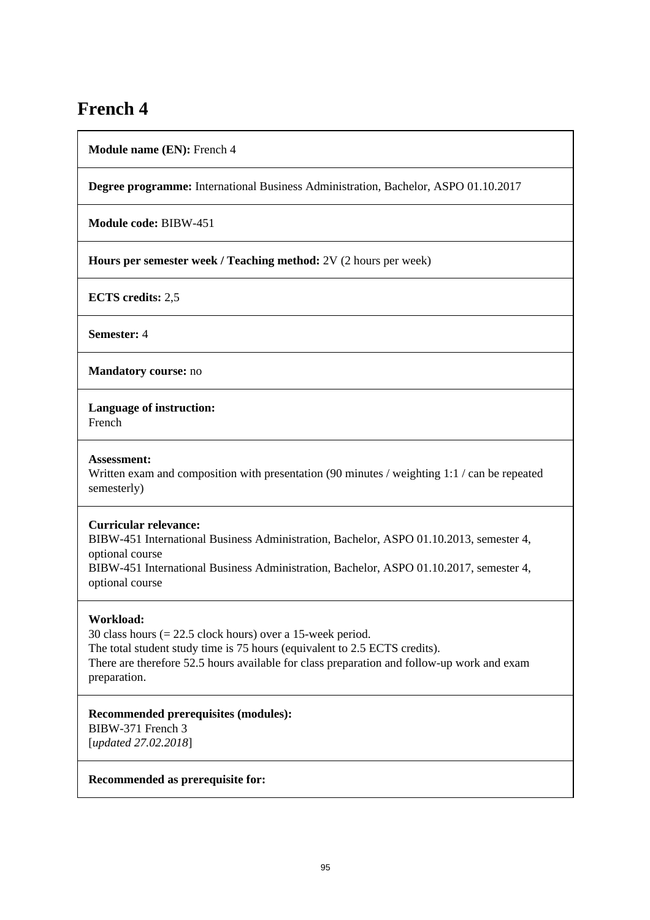# **French 4**

**Module name (EN):** French 4

**Degree programme:** International Business Administration, Bachelor, ASPO 01.10.2017

**Module code:** BIBW-451

**Hours per semester week / Teaching method:** 2V (2 hours per week)

**ECTS credits:** 2,5

**Semester:** 4

**Mandatory course:** no

**Language of instruction:** 

French

#### **Assessment:**

Written exam and composition with presentation (90 minutes / weighting 1:1 / can be repeated semesterly)

#### **Curricular relevance:**

BIBW-451 International Business Administration, Bachelor, ASPO 01.10.2013, semester 4, optional course BIBW-451 International Business Administration, Bachelor, ASPO 01.10.2017, semester 4, optional course

## **Workload:**

30 class hours (= 22.5 clock hours) over a 15-week period. The total student study time is 75 hours (equivalent to 2.5 ECTS credits). There are therefore 52.5 hours available for class preparation and follow-up work and exam preparation.

#### **Recommended prerequisites (modules):**

BIBW-371 French 3 [*updated 27.02.2018*]

#### **Recommended as prerequisite for:**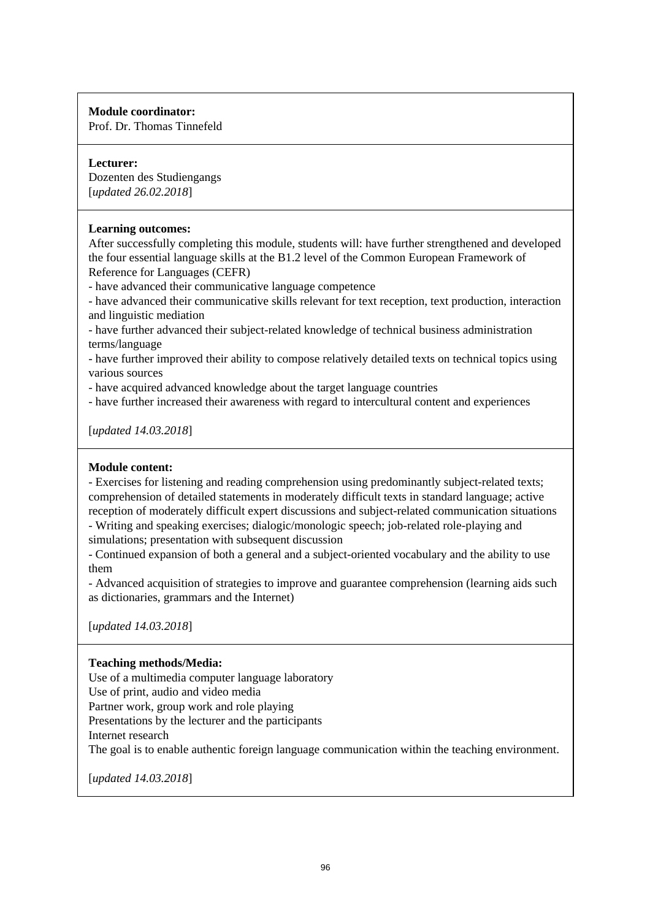Prof. Dr. Thomas Tinnefeld

#### **Lecturer:**

Dozenten des Studiengangs [*updated 26.02.2018*]

## **Learning outcomes:**

After successfully completing this module, students will: have further strengthened and developed the four essential language skills at the B1.2 level of the Common European Framework of Reference for Languages (CEFR)

- have advanced their communicative language competence

- have advanced their communicative skills relevant for text reception, text production, interaction and linguistic mediation

- have further advanced their subject-related knowledge of technical business administration terms/language

- have further improved their ability to compose relatively detailed texts on technical topics using various sources

- have acquired advanced knowledge about the target language countries

- have further increased their awareness with regard to intercultural content and experiences

[*updated 14.03.2018*]

## **Module content:**

- Exercises for listening and reading comprehension using predominantly subject-related texts; comprehension of detailed statements in moderately difficult texts in standard language; active reception of moderately difficult expert discussions and subject-related communication situations

- Writing and speaking exercises; dialogic/monologic speech; job-related role-playing and simulations; presentation with subsequent discussion

- Continued expansion of both a general and a subject-oriented vocabulary and the ability to use them

- Advanced acquisition of strategies to improve and guarantee comprehension (learning aids such as dictionaries, grammars and the Internet)

[*updated 14.03.2018*]

## **Teaching methods/Media:**

Use of a multimedia computer language laboratory Use of print, audio and video media Partner work, group work and role playing Presentations by the lecturer and the participants

Internet research

The goal is to enable authentic foreign language communication within the teaching environment.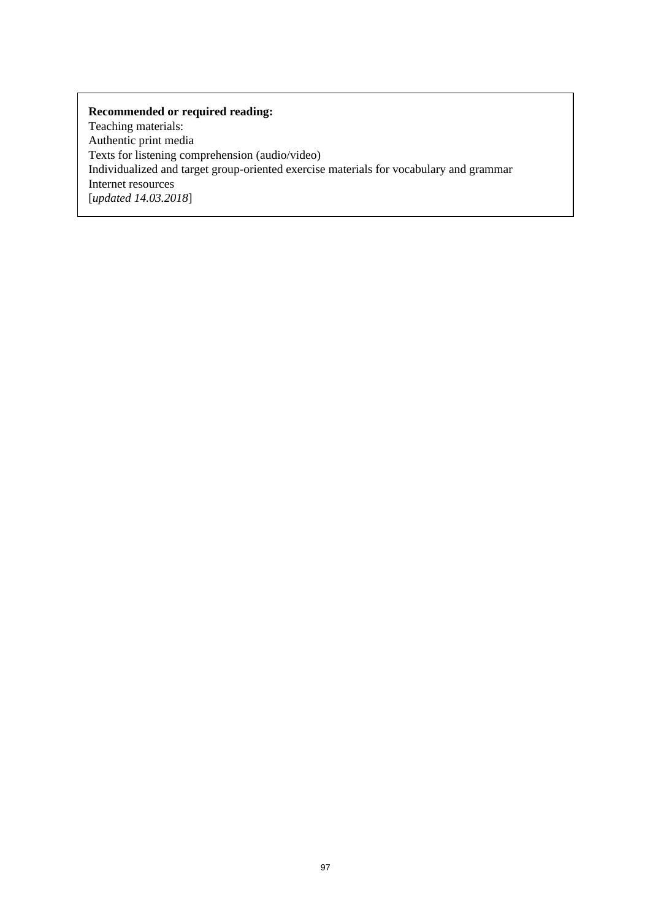Teaching materials: Authentic print media Texts for listening comprehension (audio/video) Individualized and target group-oriented exercise materials for vocabulary and grammar Internet resources [*updated 14.03.2018*]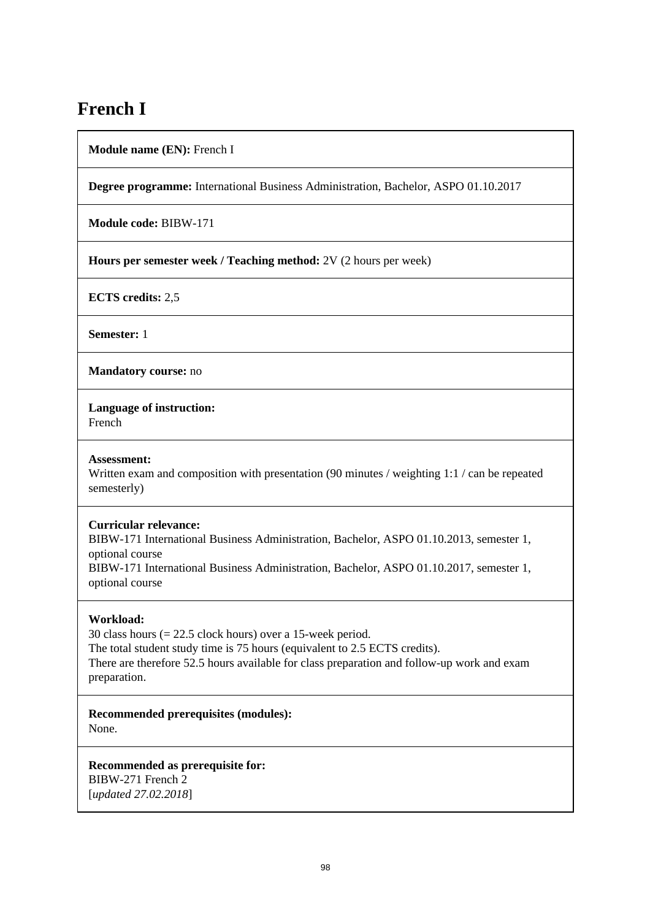# **French I**

**Module name (EN):** French I

**Degree programme:** International Business Administration, Bachelor, ASPO 01.10.2017

**Module code:** BIBW-171

**Hours per semester week / Teaching method:** 2V (2 hours per week)

**ECTS credits:** 2,5

**Semester:** 1

**Mandatory course:** no

**Language of instruction:** 

French

#### **Assessment:**

Written exam and composition with presentation (90 minutes / weighting 1:1 / can be repeated semesterly)

#### **Curricular relevance:**

BIBW-171 International Business Administration, Bachelor, ASPO 01.10.2013, semester 1, optional course BIBW-171 International Business Administration, Bachelor, ASPO 01.10.2017, semester 1, optional course

## **Workload:**

30 class hours (= 22.5 clock hours) over a 15-week period. The total student study time is 75 hours (equivalent to 2.5 ECTS credits). There are therefore 52.5 hours available for class preparation and follow-up work and exam preparation.

**Recommended prerequisites (modules):**  None.

**Recommended as prerequisite for:**  BIBW-271 French 2 [*updated 27.02.2018*]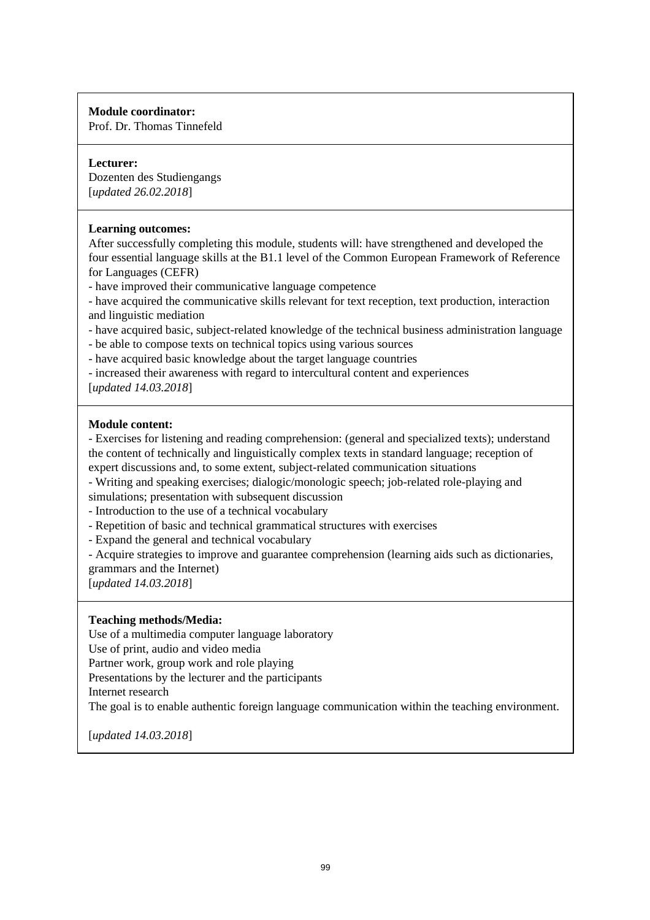Prof. Dr. Thomas Tinnefeld

## **Lecturer:**

Dozenten des Studiengangs [*updated 26.02.2018*]

## **Learning outcomes:**

After successfully completing this module, students will: have strengthened and developed the four essential language skills at the B1.1 level of the Common European Framework of Reference for Languages (CEFR)

- have improved their communicative language competence

- have acquired the communicative skills relevant for text reception, text production, interaction and linguistic mediation

- have acquired basic, subject-related knowledge of the technical business administration language

- be able to compose texts on technical topics using various sources

- have acquired basic knowledge about the target language countries

- increased their awareness with regard to intercultural content and experiences

[*updated 14.03.2018*]

## **Module content:**

- Exercises for listening and reading comprehension: (general and specialized texts); understand the content of technically and linguistically complex texts in standard language; reception of expert discussions and, to some extent, subject-related communication situations

- Writing and speaking exercises; dialogic/monologic speech; job-related role-playing and

simulations; presentation with subsequent discussion

- Introduction to the use of a technical vocabulary
- Repetition of basic and technical grammatical structures with exercises
- Expand the general and technical vocabulary

- Acquire strategies to improve and guarantee comprehension (learning aids such as dictionaries, grammars and the Internet)

[*updated 14.03.2018*]

#### **Teaching methods/Media:**

Use of a multimedia computer language laboratory

Use of print, audio and video media

Partner work, group work and role playing

Presentations by the lecturer and the participants

Internet research

The goal is to enable authentic foreign language communication within the teaching environment.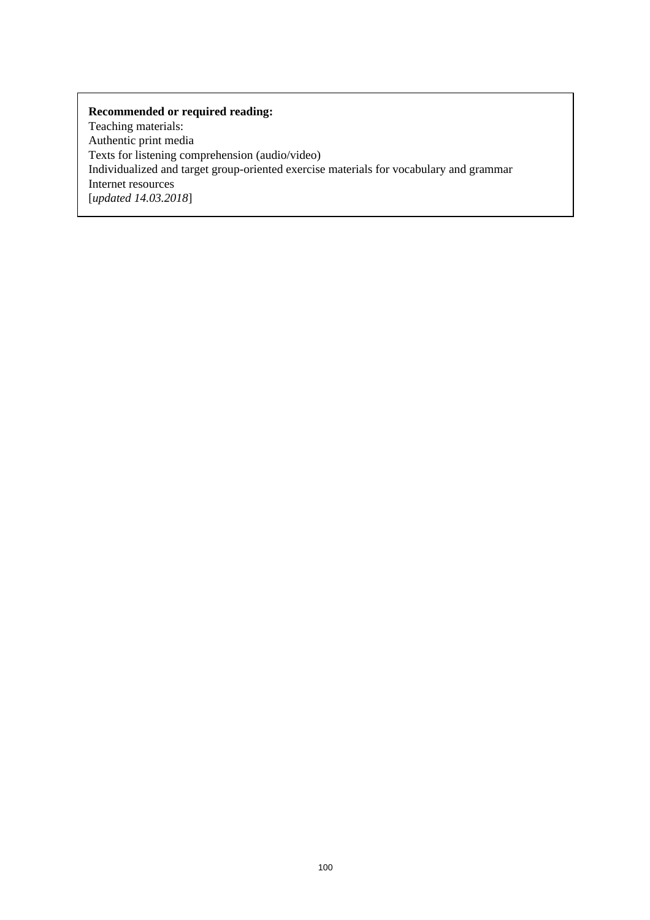Teaching materials: Authentic print media Texts for listening comprehension (audio/video) Individualized and target group-oriented exercise materials for vocabulary and grammar Internet resources [*updated 14.03.2018*]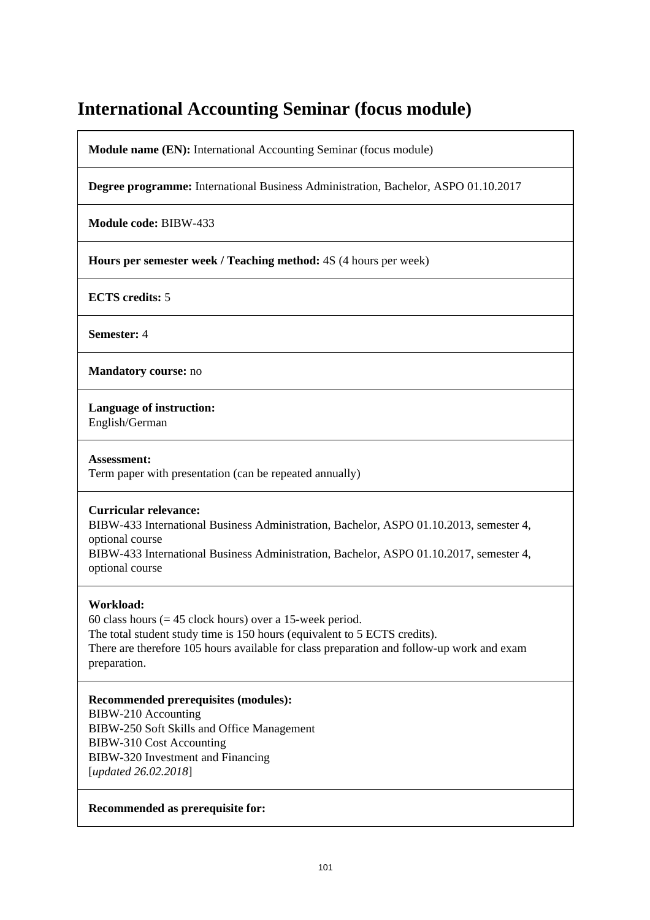# **International Accounting Seminar (focus module)**

**Module name (EN):** International Accounting Seminar (focus module)

**Degree programme:** International Business Administration, Bachelor, ASPO 01.10.2017

**Module code:** BIBW-433

**Hours per semester week / Teaching method:** 4S (4 hours per week)

**ECTS credits:** 5

**Semester:** 4

**Mandatory course:** no

**Language of instruction:** 

English/German

**Assessment:** 

Term paper with presentation (can be repeated annually)

#### **Curricular relevance:**

BIBW-433 International Business Administration, Bachelor, ASPO 01.10.2013, semester 4, optional course

BIBW-433 International Business Administration, Bachelor, ASPO 01.10.2017, semester 4, optional course

## **Workload:**

60 class hours ( $= 45$  clock hours) over a 15-week period. The total student study time is 150 hours (equivalent to 5 ECTS credits). There are therefore 105 hours available for class preparation and follow-up work and exam preparation.

## **Recommended prerequisites (modules):**

BIBW-210 Accounting BIBW-250 Soft Skills and Office Management BIBW-310 Cost Accounting BIBW-320 Investment and Financing [*updated 26.02.2018*]

#### **Recommended as prerequisite for:**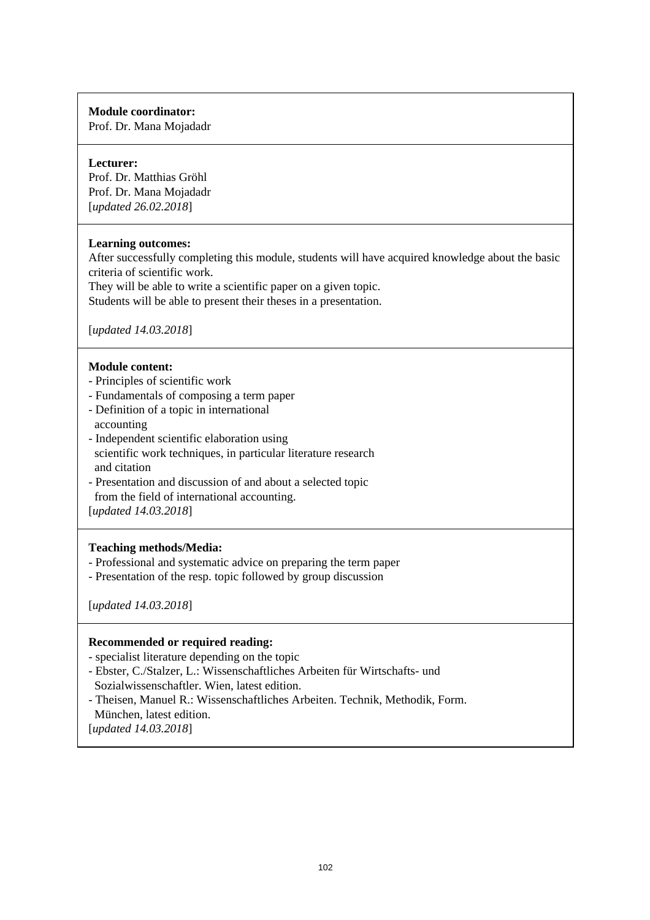Prof. Dr. Mana Mojadadr

#### **Lecturer:**

Prof. Dr. Matthias Gröhl Prof. Dr. Mana Mojadadr [*updated 26.02.2018*]

## **Learning outcomes:**

After successfully completing this module, students will have acquired knowledge about the basic criteria of scientific work.

They will be able to write a scientific paper on a given topic. Students will be able to present their theses in a presentation.

[*updated 14.03.2018*]

## **Module content:**

- Principles of scientific work
- Fundamentals of composing a term paper
- Definition of a topic in international accounting
- Independent scientific elaboration using scientific work techniques, in particular literature research and citation
- Presentation and discussion of and about a selected topic from the field of international accounting.

[*updated 14.03.2018*]

## **Teaching methods/Media:**

- Professional and systematic advice on preparing the term paper
- Presentation of the resp. topic followed by group discussion

[*updated 14.03.2018*]

### **Recommended or required reading:**

- specialist literature depending on the topic
- Ebster, C./Stalzer, L.: Wissenschaftliches Arbeiten für Wirtschafts- und Sozialwissenschaftler. Wien, latest edition.
- Theisen, Manuel R.: Wissenschaftliches Arbeiten. Technik, Methodik, Form. München, latest edition.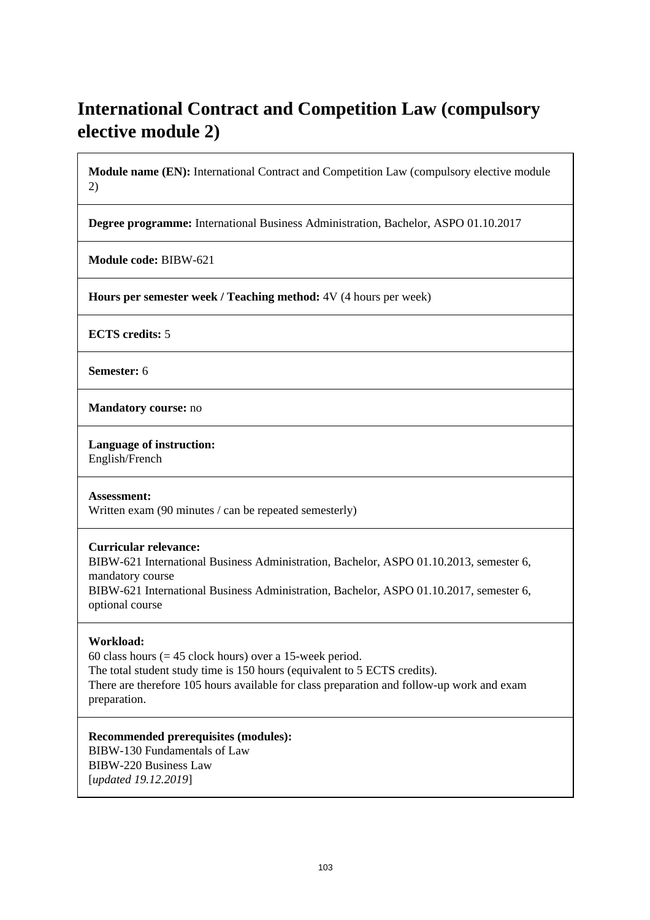# **International Contract and Competition Law (compulsory elective module 2)**

**Module name (EN):** International Contract and Competition Law (compulsory elective module 2)

**Degree programme:** International Business Administration, Bachelor, ASPO 01.10.2017

**Module code:** BIBW-621

**Hours per semester week / Teaching method:** 4V (4 hours per week)

**ECTS credits:** 5

**Semester:** 6

**Mandatory course:** no

**Language of instruction:**  English/French

**Assessment:** 

Written exam (90 minutes / can be repeated semesterly)

**Curricular relevance:** 

BIBW-621 International Business Administration, Bachelor, ASPO 01.10.2013, semester 6, mandatory course BIBW-621 International Business Administration, Bachelor, ASPO 01.10.2017, semester 6, optional course

#### **Workload:**

60 class hours ( $= 45$  clock hours) over a 15-week period. The total student study time is 150 hours (equivalent to 5 ECTS credits). There are therefore 105 hours available for class preparation and follow-up work and exam preparation.

**Recommended prerequisites (modules):**  BIBW-130 Fundamentals of Law BIBW-220 Business Law [*updated 19.12.2019*]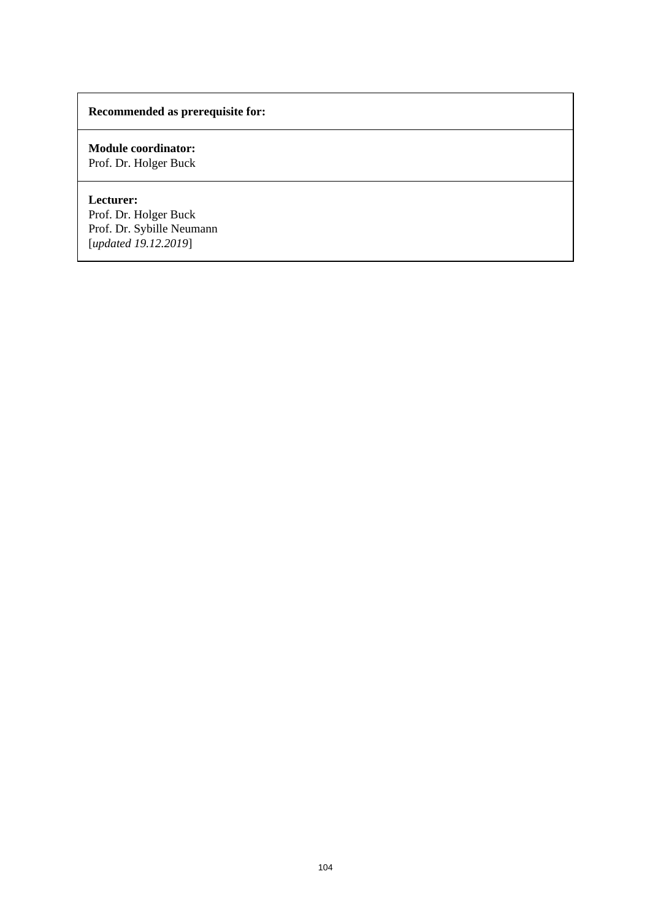## **Recommended as prerequisite for:**

## **Module coordinator:**  Prof. Dr. Holger Buck

## **Lecturer:**

Prof. Dr. Holger Buck Prof. Dr. Sybille Neumann [*updated 19.12.2019*]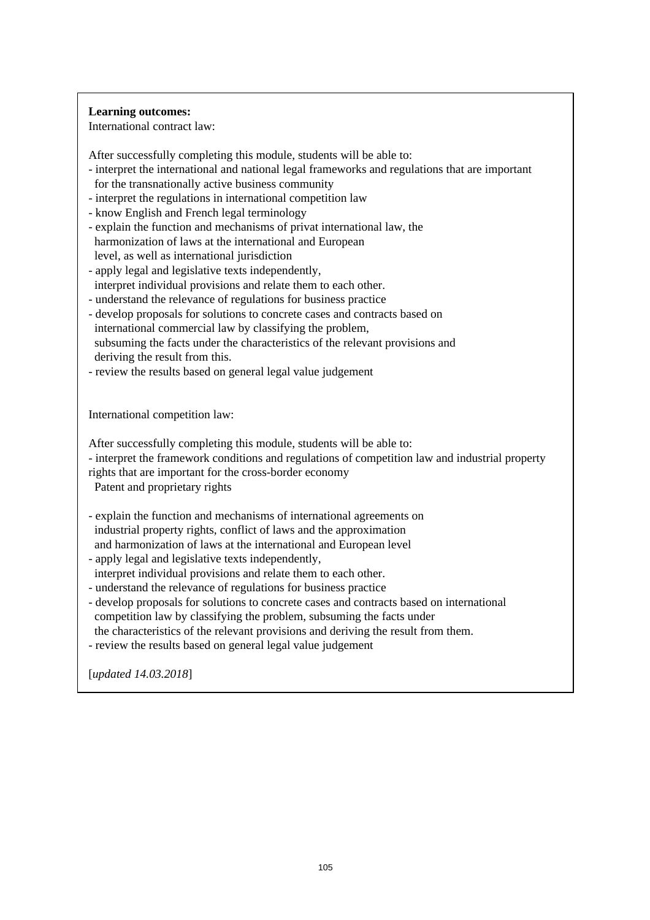## **Learning outcomes:**

International contract law:

After successfully completing this module, students will be able to:

- interpret the international and national legal frameworks and regulations that are important for the transnationally active business community
- interpret the regulations in international competition law
- know English and French legal terminology
- explain the function and mechanisms of privat international law, the harmonization of laws at the international and European level, as well as international jurisdiction
- apply legal and legislative texts independently,
- interpret individual provisions and relate them to each other.
- understand the relevance of regulations for business practice
- develop proposals for solutions to concrete cases and contracts based on international commercial law by classifying the problem, subsuming the facts under the characteristics of the relevant provisions and deriving the result from this.
- review the results based on general legal value judgement

International competition law:

After successfully completing this module, students will be able to:

- interpret the framework conditions and regulations of competition law and industrial property rights that are important for the cross-border economy

Patent and proprietary rights

- explain the function and mechanisms of international agreements on industrial property rights, conflict of laws and the approximation and harmonization of laws at the international and European level
- apply legal and legislative texts independently,
- interpret individual provisions and relate them to each other.
- understand the relevance of regulations for business practice - develop proposals for solutions to concrete cases and contracts based on international
- competition law by classifying the problem, subsuming the facts under the characteristics of the relevant provisions and deriving the result from them.
- review the results based on general legal value judgement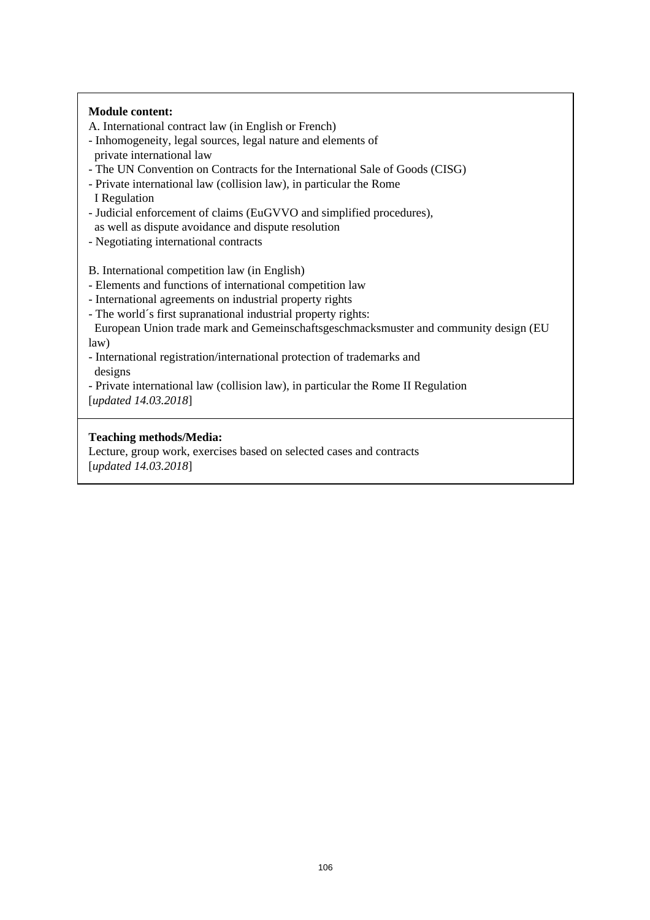#### **Module content:**

A. International contract law (in English or French)

- Inhomogeneity, legal sources, legal nature and elements of private international law
- The UN Convention on Contracts for the International Sale of Goods (CISG)
- Private international law (collision law), in particular the Rome
- I Regulation
- Judicial enforcement of claims (EuGVVO and simplified procedures),
- as well as dispute avoidance and dispute resolution
- Negotiating international contracts

B. International competition law (in English)

- Elements and functions of international competition law
- International agreements on industrial property rights
- The world´s first supranational industrial property rights:

 European Union trade mark and Gemeinschaftsgeschmacksmuster and community design (EU law)

- International registration/international protection of trademarks and designs
- Private international law (collision law), in particular the Rome II Regulation

[*updated 14.03.2018*]

## **Teaching methods/Media:**

Lecture, group work, exercises based on selected cases and contracts [*updated 14.03.2018*]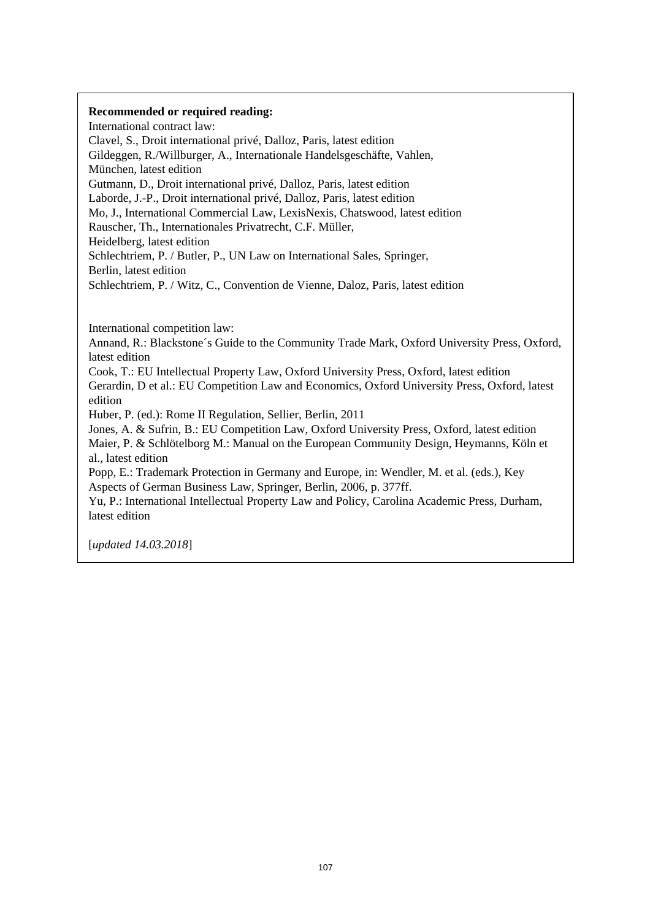International contract law: Clavel, S., Droit international privé, Dalloz, Paris, latest edition Gildeggen, R./Willburger, A., Internationale Handelsgeschäfte, Vahlen, München, latest edition Gutmann, D., Droit international privé, Dalloz, Paris, latest edition Laborde, J.-P., Droit international privé, Dalloz, Paris, latest edition Mo, J., International Commercial Law, LexisNexis, Chatswood, latest edition Rauscher, Th., Internationales Privatrecht, C.F. Müller, Heidelberg, latest edition Schlechtriem, P. / Butler, P., UN Law on International Sales, Springer, Berlin, latest edition Schlechtriem, P. / Witz, C., Convention de Vienne, Daloz, Paris, latest edition

International competition law:

Annand, R.: Blackstone´s Guide to the Community Trade Mark, Oxford University Press, Oxford, latest edition

Cook, T.: EU Intellectual Property Law, Oxford University Press, Oxford, latest edition Gerardin, D et al.: EU Competition Law and Economics, Oxford University Press, Oxford, latest edition

Huber, P. (ed.): Rome II Regulation, Sellier, Berlin, 2011

Jones, A. & Sufrin, B.: EU Competition Law, Oxford University Press, Oxford, latest edition Maier, P. & Schlötelborg M.: Manual on the European Community Design, Heymanns, Köln et al., latest edition

Popp, E.: Trademark Protection in Germany and Europe, in: Wendler, M. et al. (eds.), Key Aspects of German Business Law, Springer, Berlin, 2006, p. 377ff.

Yu, P.: International Intellectual Property Law and Policy, Carolina Academic Press, Durham, latest edition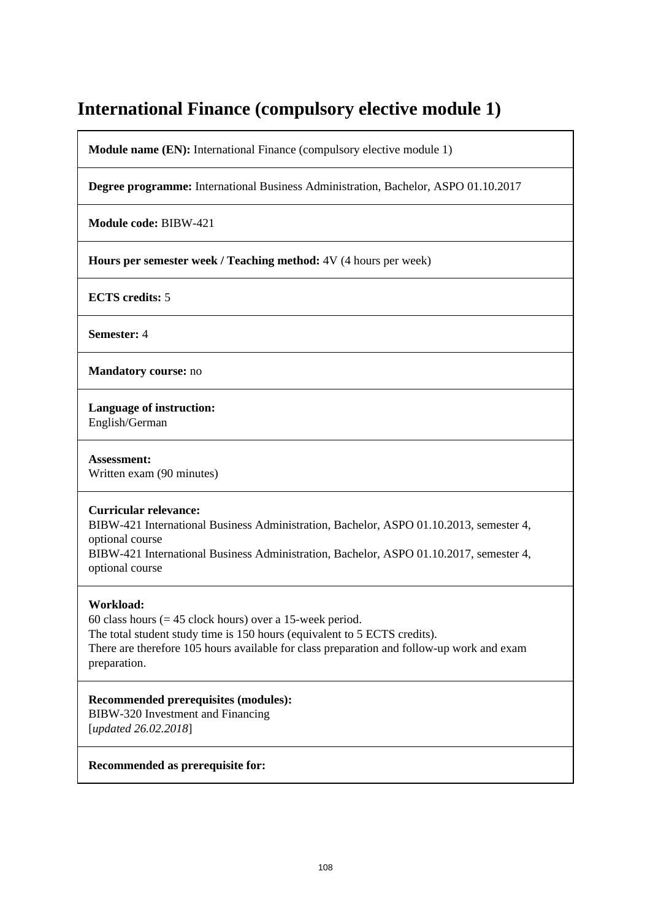# **International Finance (compulsory elective module 1)**

**Module name (EN):** International Finance (compulsory elective module 1)

**Degree programme:** International Business Administration, Bachelor, ASPO 01.10.2017

**Module code:** BIBW-421

**Hours per semester week / Teaching method:** 4V (4 hours per week)

**ECTS credits:** 5

**Semester:** 4

**Mandatory course:** no

**Language of instruction:** 

English/German

**Assessment:**  Written exam (90 minutes)

#### **Curricular relevance:**

BIBW-421 International Business Administration, Bachelor, ASPO 01.10.2013, semester 4, optional course

BIBW-421 International Business Administration, Bachelor, ASPO 01.10.2017, semester 4, optional course

## **Workload:**

60 class hours ( $= 45$  clock hours) over a 15-week period. The total student study time is 150 hours (equivalent to 5 ECTS credits). There are therefore 105 hours available for class preparation and follow-up work and exam preparation.

**Recommended prerequisites (modules):**  BIBW-320 Investment and Financing [*updated 26.02.2018*]

#### **Recommended as prerequisite for:**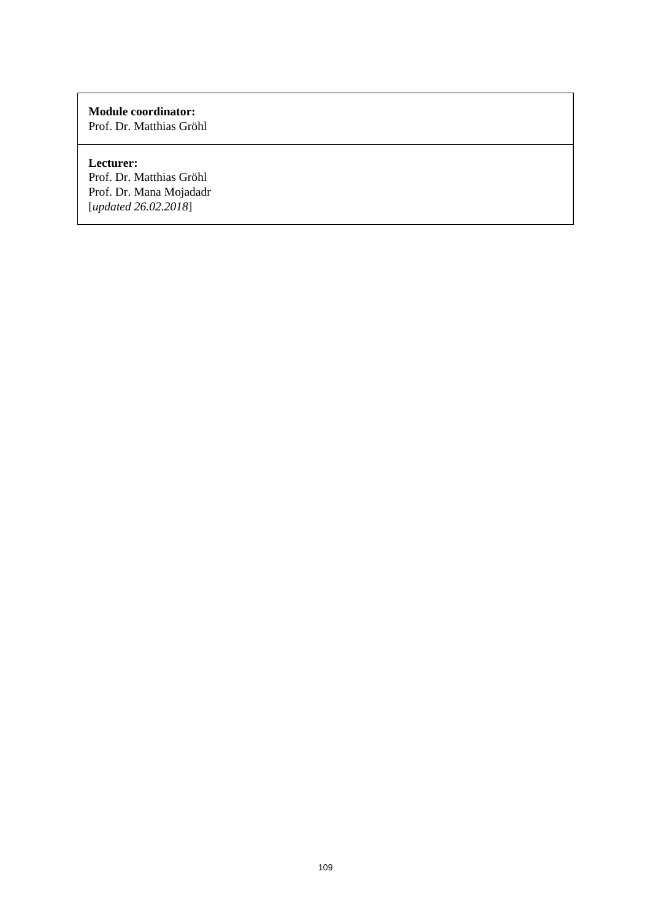Prof. Dr. Matthias Gröhl

# **Lecturer:**

Prof. Dr. Matthias Gröhl Prof. Dr. Mana Mojadadr [*updated 26.02.2018*]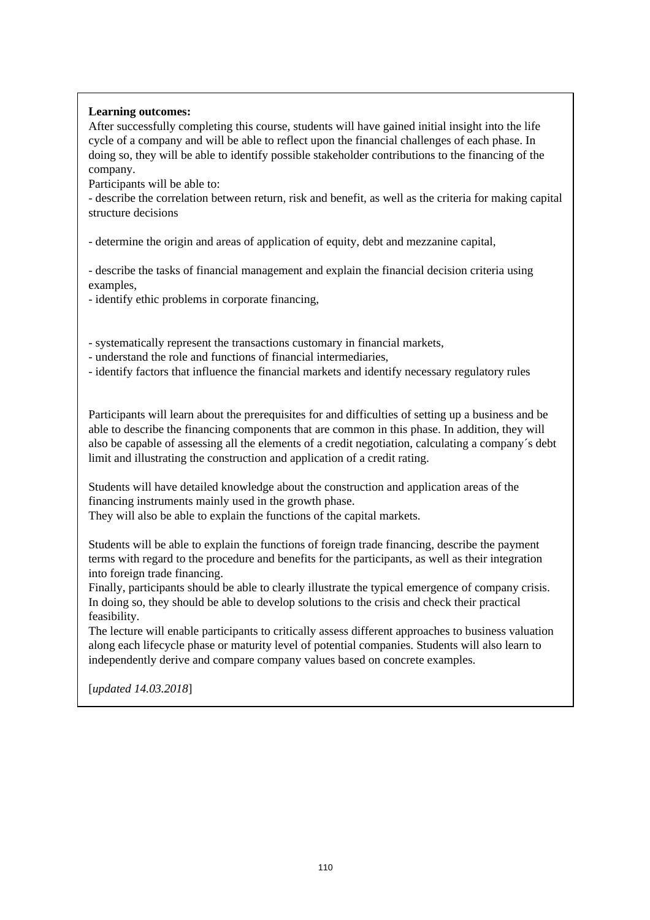## **Learning outcomes:**

After successfully completing this course, students will have gained initial insight into the life cycle of a company and will be able to reflect upon the financial challenges of each phase. In doing so, they will be able to identify possible stakeholder contributions to the financing of the company.

Participants will be able to:

- describe the correlation between return, risk and benefit, as well as the criteria for making capital structure decisions

- determine the origin and areas of application of equity, debt and mezzanine capital,

- describe the tasks of financial management and explain the financial decision criteria using examples,

- identify ethic problems in corporate financing,

- systematically represent the transactions customary in financial markets,

- understand the role and functions of financial intermediaries,

- identify factors that influence the financial markets and identify necessary regulatory rules

Participants will learn about the prerequisites for and difficulties of setting up a business and be able to describe the financing components that are common in this phase. In addition, they will also be capable of assessing all the elements of a credit negotiation, calculating a company´s debt limit and illustrating the construction and application of a credit rating.

Students will have detailed knowledge about the construction and application areas of the financing instruments mainly used in the growth phase.

They will also be able to explain the functions of the capital markets.

Students will be able to explain the functions of foreign trade financing, describe the payment terms with regard to the procedure and benefits for the participants, as well as their integration into foreign trade financing.

Finally, participants should be able to clearly illustrate the typical emergence of company crisis. In doing so, they should be able to develop solutions to the crisis and check their practical feasibility.

The lecture will enable participants to critically assess different approaches to business valuation along each lifecycle phase or maturity level of potential companies. Students will also learn to independently derive and compare company values based on concrete examples.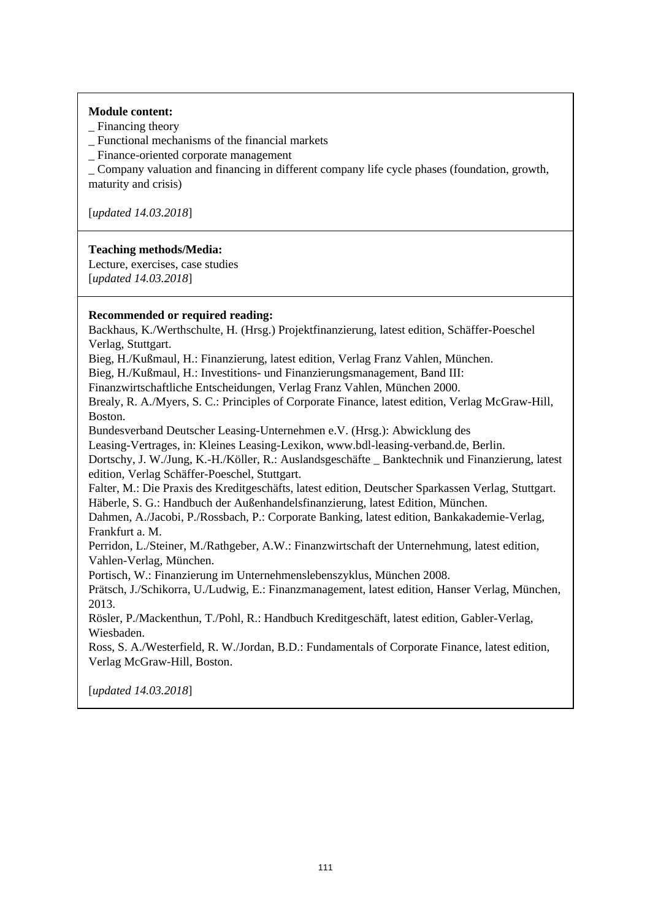## **Module content:**

- Financing theory
- \_ Functional mechanisms of the financial markets

\_ Finance-oriented corporate management

\_ Company valuation and financing in different company life cycle phases (foundation, growth, maturity and crisis)

[*updated 14.03.2018*]

## **Teaching methods/Media:**

Lecture, exercises, case studies [*updated 14.03.2018*]

## **Recommended or required reading:**

Backhaus, K./Werthschulte, H. (Hrsg.) Projektfinanzierung, latest edition, Schäffer-Poeschel Verlag, Stuttgart.

Bieg, H./Kußmaul, H.: Finanzierung, latest edition, Verlag Franz Vahlen, München.

Bieg, H./Kußmaul, H.: Investitions- und Finanzierungsmanagement, Band III:

Finanzwirtschaftliche Entscheidungen, Verlag Franz Vahlen, München 2000.

Brealy, R. A./Myers, S. C.: Principles of Corporate Finance, latest edition, Verlag McGraw-Hill, Boston.

Bundesverband Deutscher Leasing-Unternehmen e.V. (Hrsg.): Abwicklung des

Leasing-Vertrages, in: Kleines Leasing-Lexikon, www.bdl-leasing-verband.de, Berlin.

Dortschy, J. W./Jung, K.-H./Köller, R.: Auslandsgeschäfte \_ Banktechnik und Finanzierung, latest edition, Verlag Schäffer-Poeschel, Stuttgart.

Falter, M.: Die Praxis des Kreditgeschäfts, latest edition, Deutscher Sparkassen Verlag, Stuttgart. Häberle, S. G.: Handbuch der Außenhandelsfinanzierung, latest Edition, München.

Dahmen, A./Jacobi, P./Rossbach, P.: Corporate Banking, latest edition, Bankakademie-Verlag, Frankfurt a. M.

Perridon, L./Steiner, M./Rathgeber, A.W.: Finanzwirtschaft der Unternehmung, latest edition, Vahlen-Verlag, München.

Portisch, W.: Finanzierung im Unternehmenslebenszyklus, München 2008.

Prätsch, J./Schikorra, U./Ludwig, E.: Finanzmanagement, latest edition, Hanser Verlag, München, 2013.

Rösler, P./Mackenthun, T./Pohl, R.: Handbuch Kreditgeschäft, latest edition, Gabler-Verlag, Wiesbaden.

Ross, S. A./Westerfield, R. W./Jordan, B.D.: Fundamentals of Corporate Finance, latest edition, Verlag McGraw-Hill, Boston.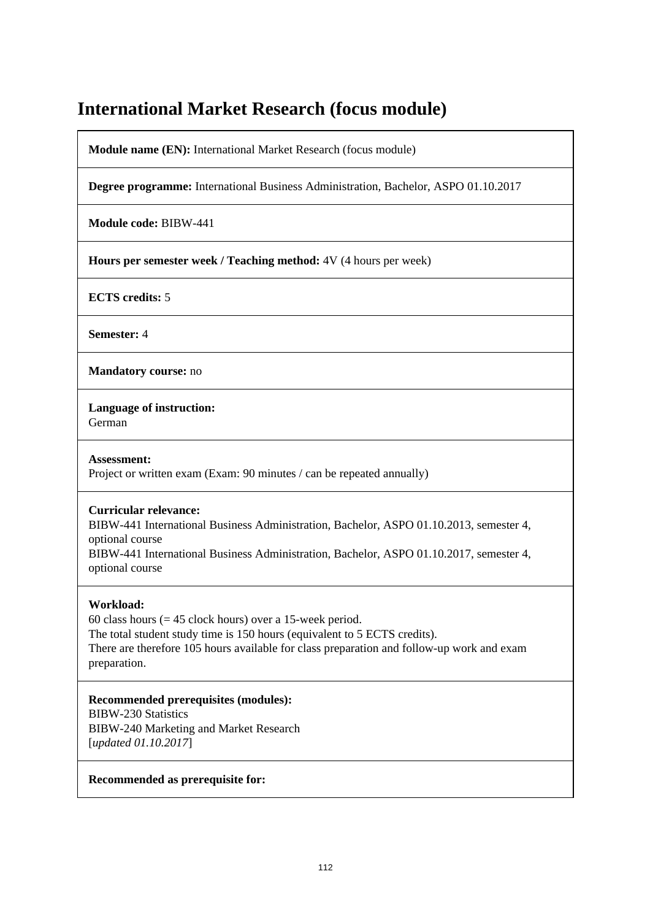# **International Market Research (focus module)**

**Module name (EN):** International Market Research (focus module)

**Degree programme:** International Business Administration, Bachelor, ASPO 01.10.2017

**Module code:** BIBW-441

**Hours per semester week / Teaching method:** 4V (4 hours per week)

**ECTS credits:** 5

**Semester:** 4

**Mandatory course:** no

**Language of instruction:** 

German

**Assessment:**  Project or written exam (Exam: 90 minutes / can be repeated annually)

## **Curricular relevance:**

BIBW-441 International Business Administration, Bachelor, ASPO 01.10.2013, semester 4, optional course

BIBW-441 International Business Administration, Bachelor, ASPO 01.10.2017, semester 4, optional course

## **Workload:**

60 class hours ( $= 45$  clock hours) over a 15-week period. The total student study time is 150 hours (equivalent to 5 ECTS credits). There are therefore 105 hours available for class preparation and follow-up work and exam preparation.

**Recommended prerequisites (modules):**  BIBW-230 Statistics BIBW-240 Marketing and Market Research [*updated 01.10.2017*]

#### **Recommended as prerequisite for:**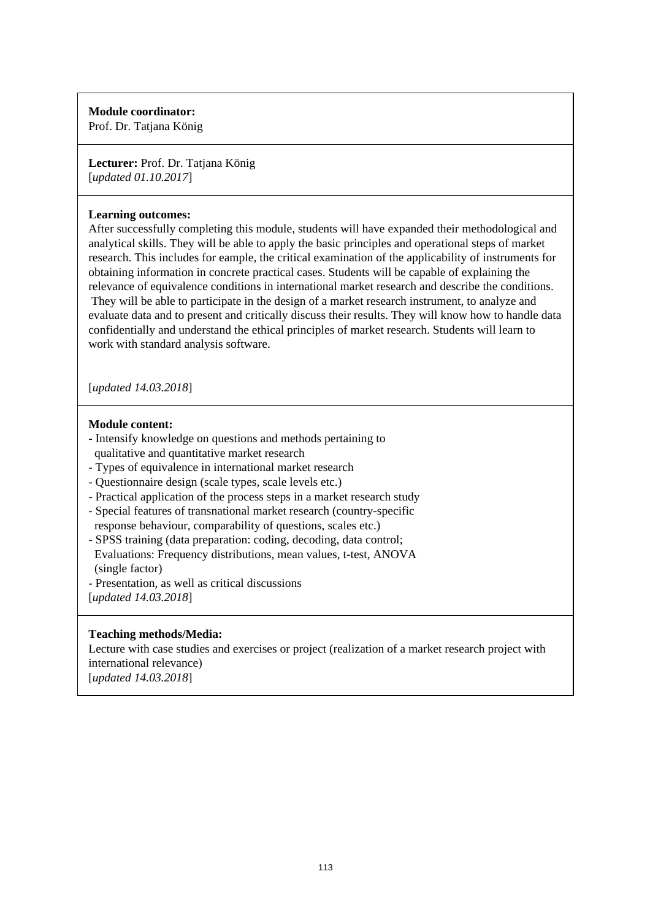Prof. Dr. Tatjana König

**Lecturer:** Prof. Dr. Tatjana König [*updated 01.10.2017*]

## **Learning outcomes:**

After successfully completing this module, students will have expanded their methodological and analytical skills. They will be able to apply the basic principles and operational steps of market research. This includes for eample, the critical examination of the applicability of instruments for obtaining information in concrete practical cases. Students will be capable of explaining the relevance of equivalence conditions in international market research and describe the conditions. They will be able to participate in the design of a market research instrument, to analyze and evaluate data and to present and critically discuss their results. They will know how to handle data confidentially and understand the ethical principles of market research. Students will learn to work with standard analysis software.

[*updated 14.03.2018*]

## **Module content:**

- Intensify knowledge on questions and methods pertaining to qualitative and quantitative market research
- Types of equivalence in international market research
- Questionnaire design (scale types, scale levels etc.)
- Practical application of the process steps in a market research study
- Special features of transnational market research (country-specific response behaviour, comparability of questions, scales etc.)
- SPSS training (data preparation: coding, decoding, data control; Evaluations: Frequency distributions, mean values, t-test, ANOVA (single factor)
- Presentation, as well as critical discussions

[*updated 14.03.2018*]

# **Teaching methods/Media:**

Lecture with case studies and exercises or project (realization of a market research project with international relevance) [*updated 14.03.2018*]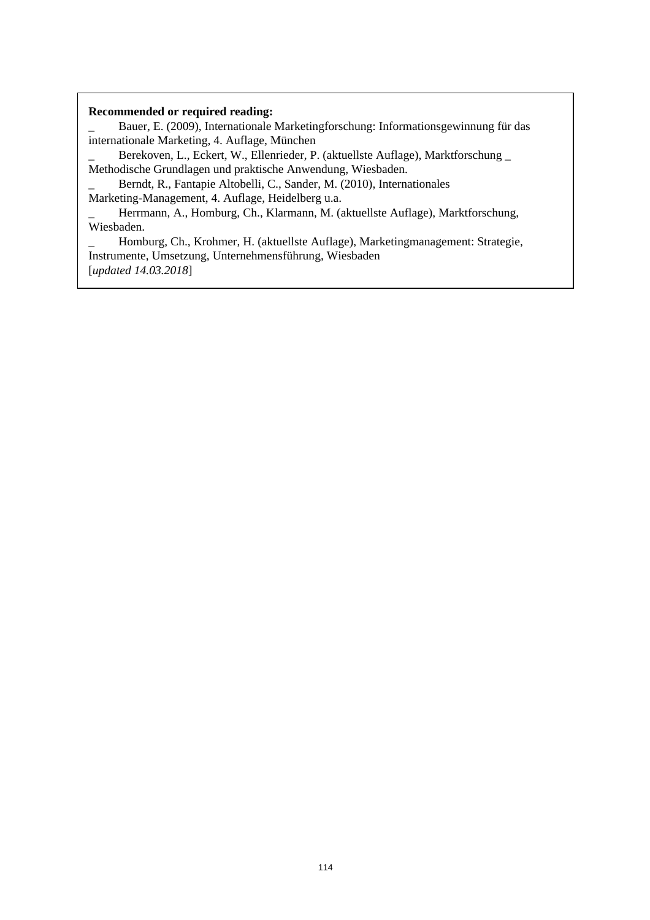\_ Bauer, E. (2009), Internationale Marketingforschung: Informationsgewinnung für das internationale Marketing, 4. Auflage, München

Berekoven, L., Eckert, W., Ellenrieder, P. (aktuellste Auflage), Marktforschung \_ Methodische Grundlagen und praktische Anwendung, Wiesbaden.

Berndt, R., Fantapie Altobelli, C., Sander, M. (2010), Internationales

Marketing-Management, 4. Auflage, Heidelberg u.a.

Herrmann, A., Homburg, Ch., Klarmann, M. (aktuellste Auflage), Marktforschung, Wiesbaden.

\_ Homburg, Ch., Krohmer, H. (aktuellste Auflage), Marketingmanagement: Strategie, Instrumente, Umsetzung, Unternehmensführung, Wiesbaden [*updated 14.03.2018*]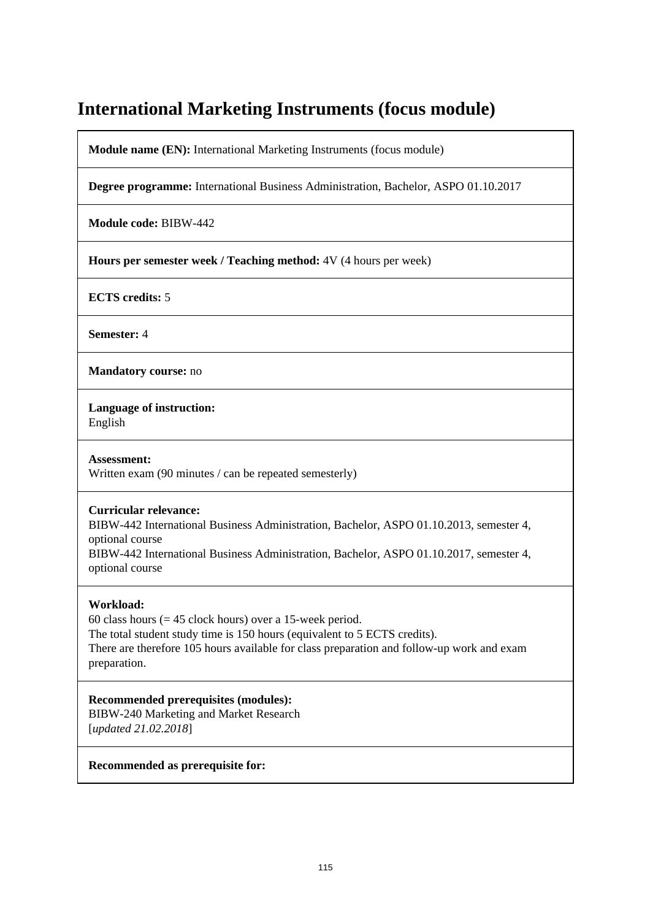# **International Marketing Instruments (focus module)**

**Module name (EN):** International Marketing Instruments (focus module)

**Degree programme:** International Business Administration, Bachelor, ASPO 01.10.2017

**Module code:** BIBW-442

**Hours per semester week / Teaching method:** 4V (4 hours per week)

**ECTS credits:** 5

**Semester:** 4

**Mandatory course:** no

**Language of instruction:**  English

**Assessment:**  Written exam (90 minutes / can be repeated semesterly)

## **Curricular relevance:**

BIBW-442 International Business Administration, Bachelor, ASPO 01.10.2013, semester 4, optional course

BIBW-442 International Business Administration, Bachelor, ASPO 01.10.2017, semester 4, optional course

## **Workload:**

60 class hours ( $= 45$  clock hours) over a 15-week period. The total student study time is 150 hours (equivalent to 5 ECTS credits). There are therefore 105 hours available for class preparation and follow-up work and exam preparation.

**Recommended prerequisites (modules):**  BIBW-240 Marketing and Market Research [*updated 21.02.2018*]

#### **Recommended as prerequisite for:**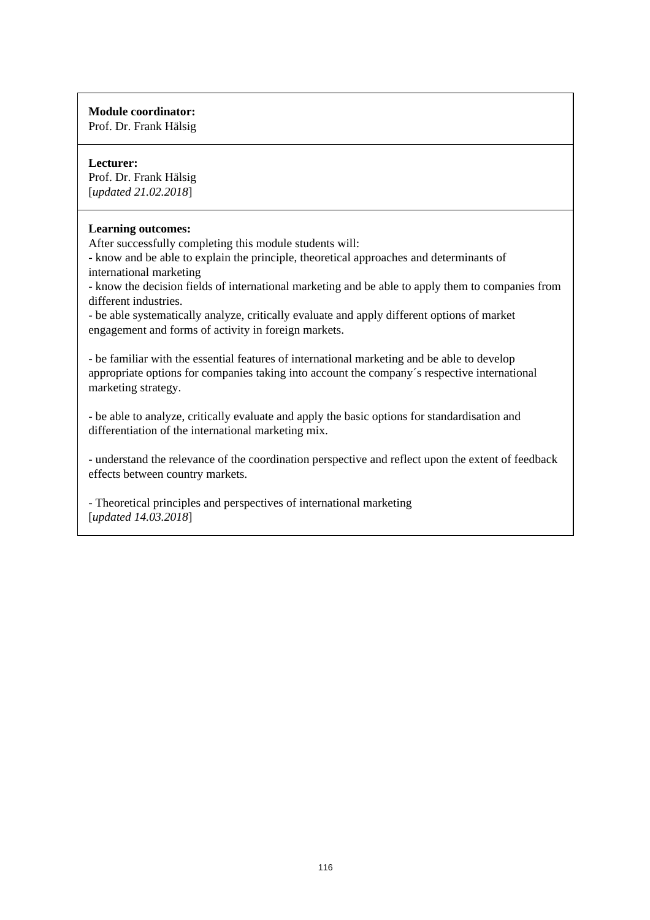Prof. Dr. Frank Hälsig

# **Lecturer:**

Prof. Dr. Frank Hälsig [*updated 21.02.2018*]

## **Learning outcomes:**

After successfully completing this module students will:

- know and be able to explain the principle, theoretical approaches and determinants of international marketing

- know the decision fields of international marketing and be able to apply them to companies from different industries.

- be able systematically analyze, critically evaluate and apply different options of market engagement and forms of activity in foreign markets.

- be familiar with the essential features of international marketing and be able to develop appropriate options for companies taking into account the company´s respective international marketing strategy.

- be able to analyze, critically evaluate and apply the basic options for standardisation and differentiation of the international marketing mix.

- understand the relevance of the coordination perspective and reflect upon the extent of feedback effects between country markets.

- Theoretical principles and perspectives of international marketing [*updated 14.03.2018*]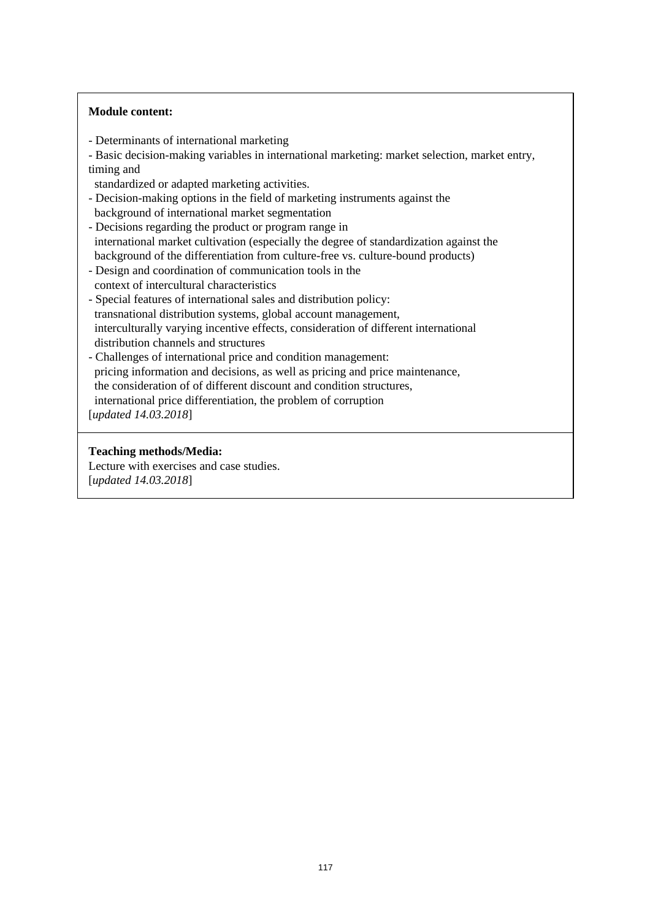## **Module content:**

- Determinants of international marketing
- Basic decision-making variables in international marketing: market selection, market entry, timing and
- standardized or adapted marketing activities.
- Decision-making options in the field of marketing instruments against the background of international market segmentation
- Decisions regarding the product or program range in international market cultivation (especially the degree of standardization against the background of the differentiation from culture-free vs. culture-bound products)
- Design and coordination of communication tools in the context of intercultural characteristics
- Special features of international sales and distribution policy: transnational distribution systems, global account management, interculturally varying incentive effects, consideration of different international distribution channels and structures
- Challenges of international price and condition management: pricing information and decisions, as well as pricing and price maintenance, the consideration of of different discount and condition structures, international price differentiation, the problem of corruption

[*updated 14.03.2018*]

## **Teaching methods/Media:**

Lecture with exercises and case studies. [*updated 14.03.2018*]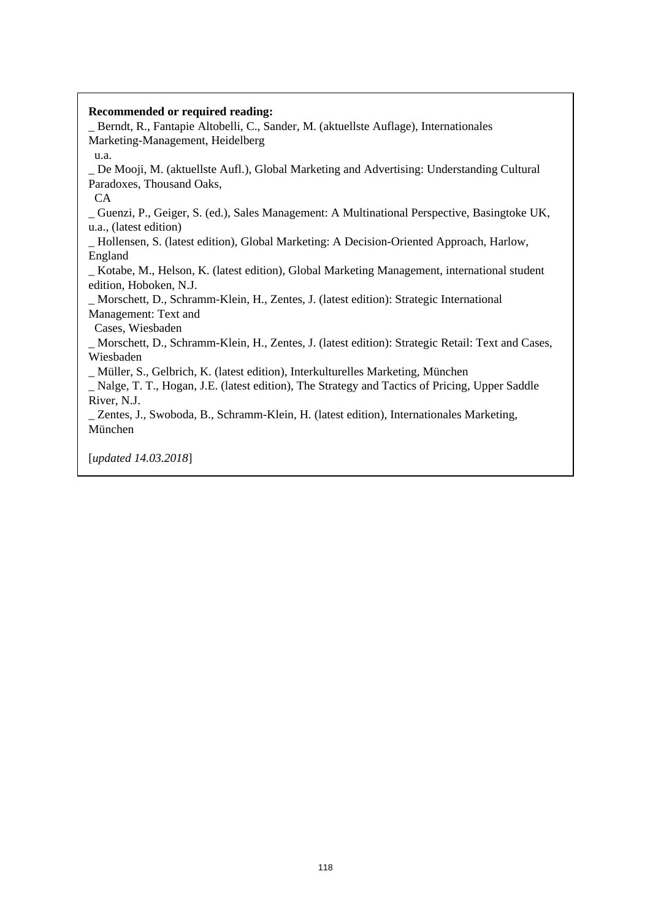\_ Berndt, R., Fantapie Altobelli, C., Sander, M. (aktuellste Auflage), Internationales Marketing-Management, Heidelberg

\_ De Mooji, M. (aktuellste Aufl.), Global Marketing and Advertising: Understanding Cultural Paradoxes, Thousand Oaks,

CA

u.a.

\_ Guenzi, P., Geiger, S. (ed.), Sales Management: A Multinational Perspective, Basingtoke UK, u.a., (latest edition)

\_ Hollensen, S. (latest edition), Global Marketing: A Decision-Oriented Approach, Harlow, England

\_ Kotabe, M., Helson, K. (latest edition), Global Marketing Management, international student edition, Hoboken, N.J.

\_ Morschett, D., Schramm-Klein, H., Zentes, J. (latest edition): Strategic International Management: Text and

Cases, Wiesbaden

\_ Morschett, D., Schramm-Klein, H., Zentes, J. (latest edition): Strategic Retail: Text and Cases, Wiesbaden

\_ Müller, S., Gelbrich, K. (latest edition), Interkulturelles Marketing, München

\_ Nalge, T. T., Hogan, J.E. (latest edition), The Strategy and Tactics of Pricing, Upper Saddle River, N.J.

\_ Zentes, J., Swoboda, B., Schramm-Klein, H. (latest edition), Internationales Marketing, München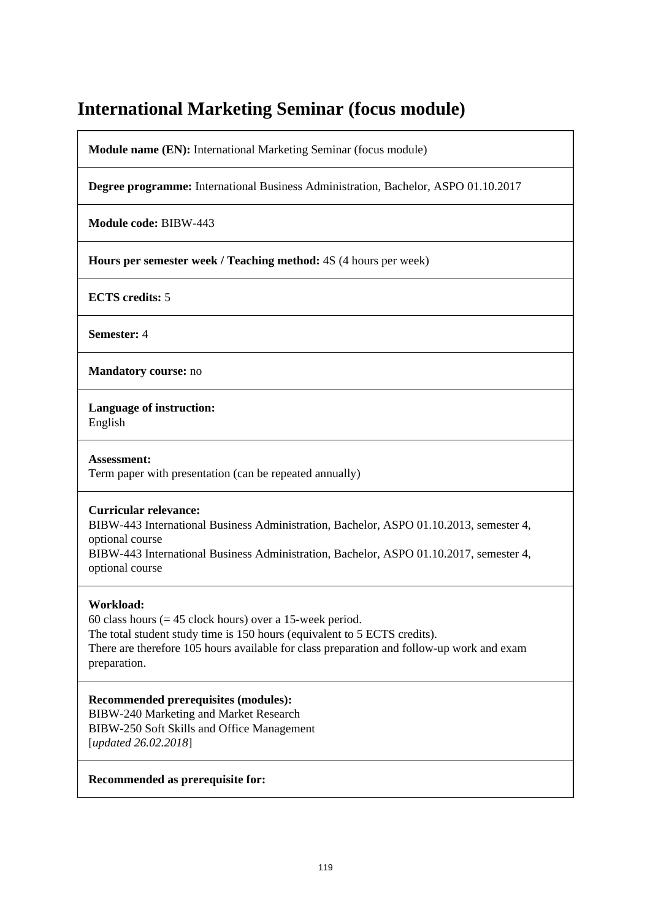# **International Marketing Seminar (focus module)**

**Module name (EN):** International Marketing Seminar (focus module)

**Degree programme:** International Business Administration, Bachelor, ASPO 01.10.2017

**Module code:** BIBW-443

**Hours per semester week / Teaching method:** 4S (4 hours per week)

**ECTS credits:** 5

**Semester:** 4

**Mandatory course:** no

**Language of instruction:** 

English

**Assessment:**  Term paper with presentation (can be repeated annually)

## **Curricular relevance:**

BIBW-443 International Business Administration, Bachelor, ASPO 01.10.2013, semester 4, optional course

BIBW-443 International Business Administration, Bachelor, ASPO 01.10.2017, semester 4, optional course

## **Workload:**

60 class hours ( $= 45$  clock hours) over a 15-week period. The total student study time is 150 hours (equivalent to 5 ECTS credits). There are therefore 105 hours available for class preparation and follow-up work and exam preparation.

**Recommended prerequisites (modules):**  BIBW-240 Marketing and Market Research BIBW-250 Soft Skills and Office Management [*updated 26.02.2018*]

## **Recommended as prerequisite for:**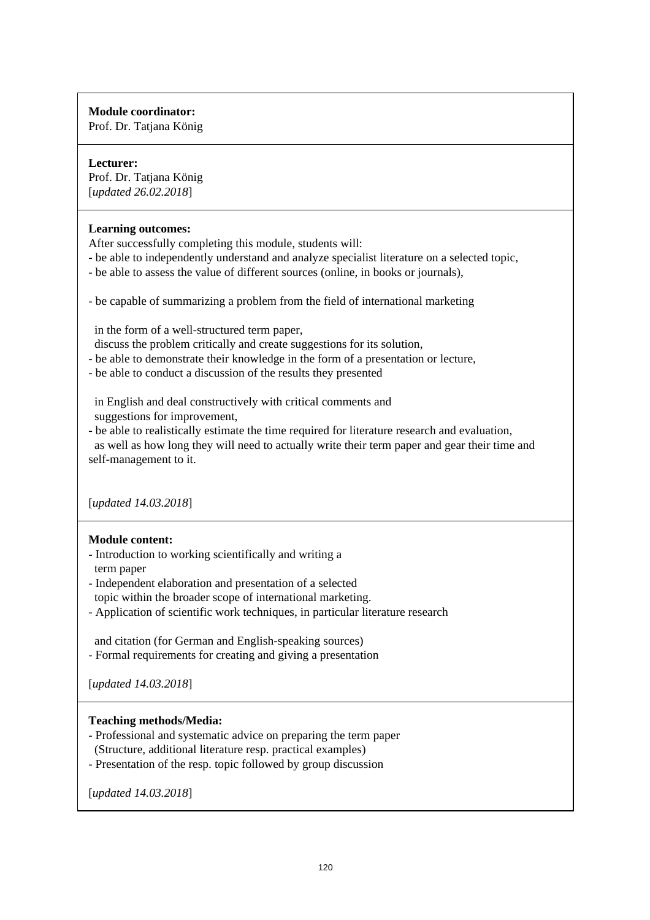Prof. Dr. Tatjana König

# **Lecturer:**

Prof. Dr. Tatjana König [*updated 26.02.2018*]

## **Learning outcomes:**

After successfully completing this module, students will:

- be able to independently understand and analyze specialist literature on a selected topic,
- be able to assess the value of different sources (online, in books or journals),
- be capable of summarizing a problem from the field of international marketing

in the form of a well-structured term paper,

- discuss the problem critically and create suggestions for its solution,
- be able to demonstrate their knowledge in the form of a presentation or lecture,
- be able to conduct a discussion of the results they presented

 in English and deal constructively with critical comments and suggestions for improvement,

- be able to realistically estimate the time required for literature research and evaluation, as well as how long they will need to actually write their term paper and gear their time and self-management to it.

[*updated 14.03.2018*]

# **Module content:**

- Introduction to working scientifically and writing a term paper
- Independent elaboration and presentation of a selected topic within the broader scope of international marketing.
- Application of scientific work techniques, in particular literature research

 and citation (for German and English-speaking sources) - Formal requirements for creating and giving a presentation

[*updated 14.03.2018*]

# **Teaching methods/Media:**

- Professional and systematic advice on preparing the term paper (Structure, additional literature resp. practical examples)
- Presentation of the resp. topic followed by group discussion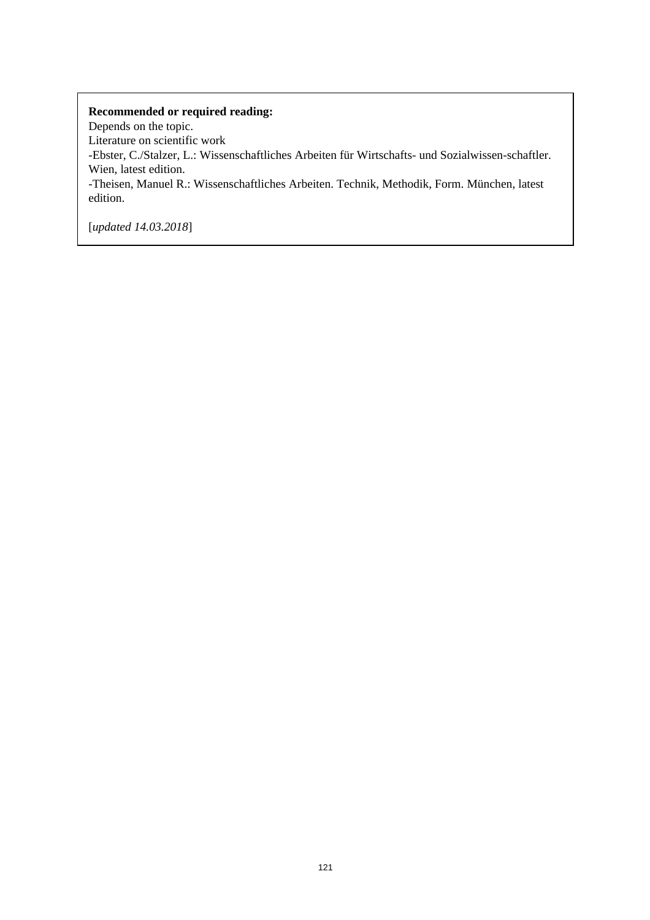Depends on the topic. Literature on scientific work -Ebster, C./Stalzer, L.: Wissenschaftliches Arbeiten für Wirtschafts- und Sozialwissen-schaftler. Wien, latest edition. -Theisen, Manuel R.: Wissenschaftliches Arbeiten. Technik, Methodik, Form. München, latest edition.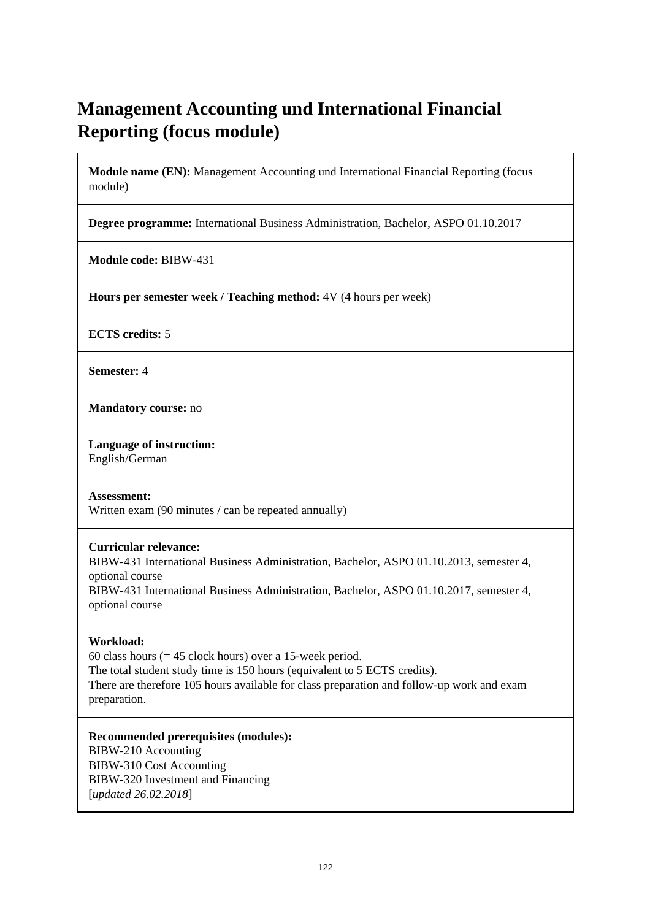# **Management Accounting und International Financial Reporting (focus module)**

**Module name (EN):** Management Accounting und International Financial Reporting (focus module)

**Degree programme:** International Business Administration, Bachelor, ASPO 01.10.2017

**Module code:** BIBW-431

**Hours per semester week / Teaching method:** 4V (4 hours per week)

**ECTS credits:** 5

**Semester:** 4

**Mandatory course:** no

**Language of instruction:** 

English/German

**Assessment:** 

Written exam (90 minutes / can be repeated annually)

## **Curricular relevance:**

BIBW-431 International Business Administration, Bachelor, ASPO 01.10.2013, semester 4, optional course BIBW-431 International Business Administration, Bachelor, ASPO 01.10.2017, semester 4, optional course

## **Workload:**

60 class hours ( $= 45$  clock hours) over a 15-week period. The total student study time is 150 hours (equivalent to 5 ECTS credits). There are therefore 105 hours available for class preparation and follow-up work and exam preparation.

**Recommended prerequisites (modules):**  BIBW-210 Accounting BIBW-310 Cost Accounting BIBW-320 Investment and Financing [*updated 26.02.2018*]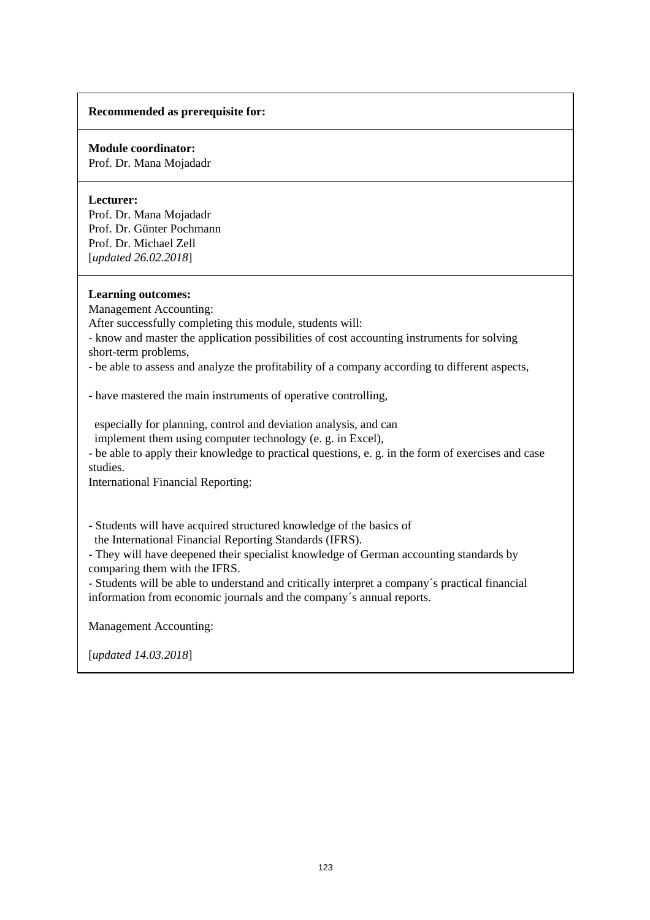## **Recommended as prerequisite for:**

## **Module coordinator:**

Prof. Dr. Mana Mojadadr

## **Lecturer:**

Prof. Dr. Mana Mojadadr Prof. Dr. Günter Pochmann Prof. Dr. Michael Zell [*updated 26.02.2018*]

#### **Learning outcomes:**

Management Accounting:

After successfully completing this module, students will:

- know and master the application possibilities of cost accounting instruments for solving short-term problems,

- be able to assess and analyze the profitability of a company according to different aspects,

- have mastered the main instruments of operative controlling,

 especially for planning, control and deviation analysis, and can implement them using computer technology (e. g. in Excel),

- be able to apply their knowledge to practical questions, e. g. in the form of exercises and case studies.

International Financial Reporting:

- Students will have acquired structured knowledge of the basics of the International Financial Reporting Standards (IFRS).

- They will have deepened their specialist knowledge of German accounting standards by comparing them with the IFRS.

- Students will be able to understand and critically interpret a company´s practical financial information from economic journals and the company´s annual reports.

Management Accounting: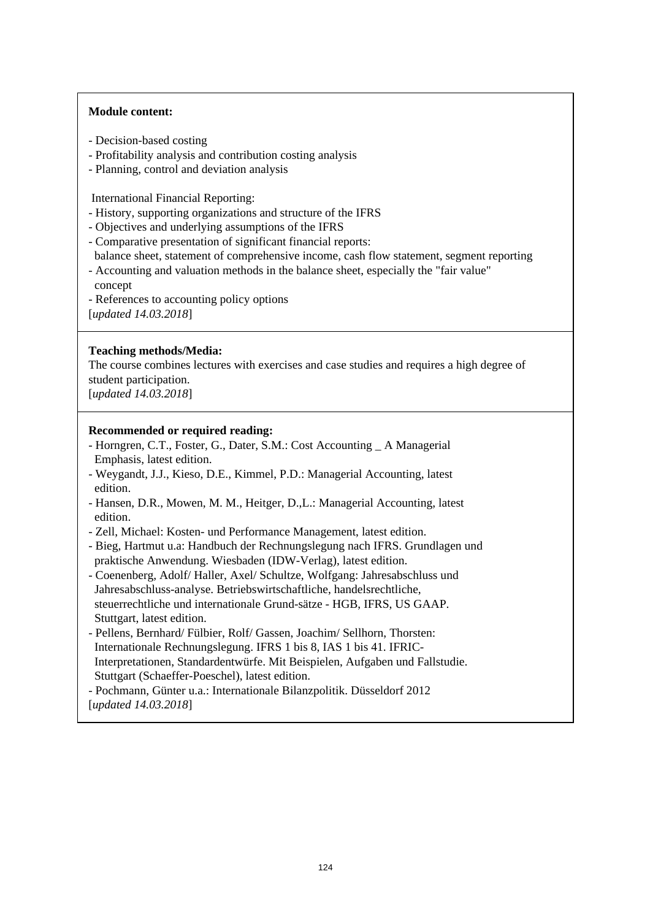## **Module content:**

- Decision-based costing
- Profitability analysis and contribution costing analysis
- Planning, control and deviation analysis

International Financial Reporting:

- History, supporting organizations and structure of the IFRS
- Objectives and underlying assumptions of the IFRS
- Comparative presentation of significant financial reports: balance sheet, statement of comprehensive income, cash flow statement, segment reporting
- Accounting and valuation methods in the balance sheet, especially the "fair value" concept
- References to accounting policy options
- [*updated 14.03.2018*]

## **Teaching methods/Media:**

The course combines lectures with exercises and case studies and requires a high degree of student participation.

[*updated 14.03.2018*]

## **Recommended or required reading:**

- Horngren, C.T., Foster, G., Dater, S.M.: Cost Accounting \_ A Managerial Emphasis, latest edition.
- Weygandt, J.J., Kieso, D.E., Kimmel, P.D.: Managerial Accounting, latest edition.
- Hansen, D.R., Mowen, M. M., Heitger, D.,L.: Managerial Accounting, latest edition.
- Zell, Michael: Kosten- und Performance Management, latest edition.
- Bieg, Hartmut u.a: Handbuch der Rechnungslegung nach IFRS. Grundlagen und praktische Anwendung. Wiesbaden (IDW-Verlag), latest edition.
- Coenenberg, Adolf/ Haller, Axel/ Schultze, Wolfgang: Jahresabschluss und Jahresabschluss-analyse. Betriebswirtschaftliche, handelsrechtliche, steuerrechtliche und internationale Grund-sätze - HGB, IFRS, US GAAP. Stuttgart, latest edition.
- Pellens, Bernhard/ Fülbier, Rolf/ Gassen, Joachim/ Sellhorn, Thorsten: Internationale Rechnungslegung. IFRS 1 bis 8, IAS 1 bis 41. IFRIC- Interpretationen, Standardentwürfe. Mit Beispielen, Aufgaben und Fallstudie. Stuttgart (Schaeffer-Poeschel), latest edition.
- Pochmann, Günter u.a.: Internationale Bilanzpolitik. Düsseldorf 2012 [*updated 14.03.2018*]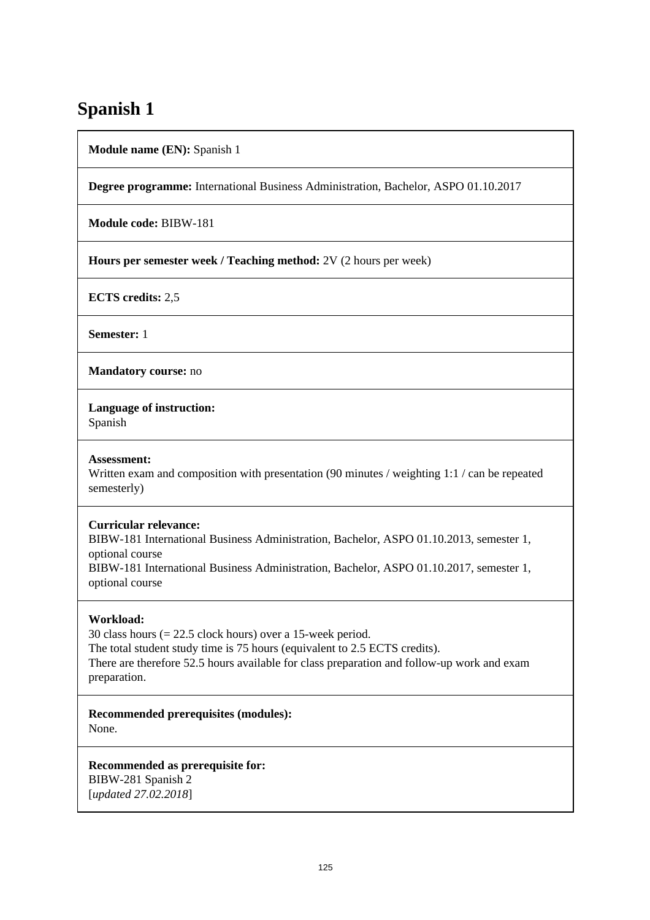# **Spanish 1**

**Module name (EN):** Spanish 1

**Degree programme:** International Business Administration, Bachelor, ASPO 01.10.2017

**Module code:** BIBW-181

**Hours per semester week / Teaching method:** 2V (2 hours per week)

**ECTS credits:** 2,5

**Semester:** 1

**Mandatory course:** no

**Language of instruction:** 

Spanish

## **Assessment:**

Written exam and composition with presentation (90 minutes / weighting 1:1 / can be repeated semesterly)

## **Curricular relevance:**

BIBW-181 International Business Administration, Bachelor, ASPO 01.10.2013, semester 1, optional course BIBW-181 International Business Administration, Bachelor, ASPO 01.10.2017, semester 1, optional course

# **Workload:**

30 class hours (= 22.5 clock hours) over a 15-week period. The total student study time is 75 hours (equivalent to 2.5 ECTS credits). There are therefore 52.5 hours available for class preparation and follow-up work and exam preparation.

**Recommended prerequisites (modules):**  None.

**Recommended as prerequisite for:**  BIBW-281 Spanish 2 [*updated 27.02.2018*]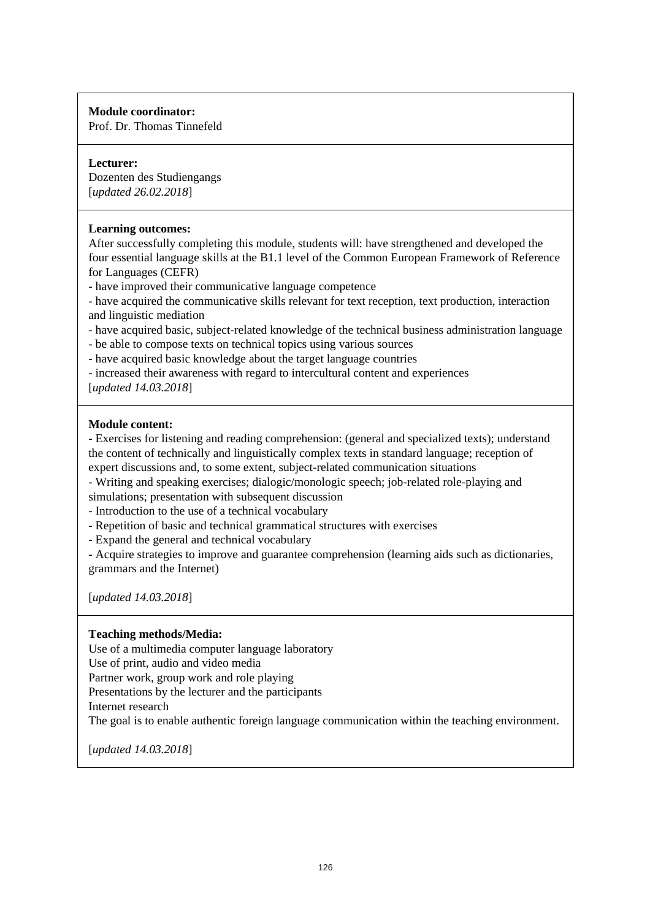Prof. Dr. Thomas Tinnefeld

## **Lecturer:**

Dozenten des Studiengangs [*updated 26.02.2018*]

## **Learning outcomes:**

After successfully completing this module, students will: have strengthened and developed the four essential language skills at the B1.1 level of the Common European Framework of Reference for Languages (CEFR)

- have improved their communicative language competence

- have acquired the communicative skills relevant for text reception, text production, interaction and linguistic mediation

- have acquired basic, subject-related knowledge of the technical business administration language
- be able to compose texts on technical topics using various sources
- have acquired basic knowledge about the target language countries
- increased their awareness with regard to intercultural content and experiences

[*updated 14.03.2018*]

## **Module content:**

- Exercises for listening and reading comprehension: (general and specialized texts); understand the content of technically and linguistically complex texts in standard language; reception of expert discussions and, to some extent, subject-related communication situations

- Writing and speaking exercises; dialogic/monologic speech; job-related role-playing and

simulations; presentation with subsequent discussion

- Introduction to the use of a technical vocabulary

- Repetition of basic and technical grammatical structures with exercises
- Expand the general and technical vocabulary

- Acquire strategies to improve and guarantee comprehension (learning aids such as dictionaries, grammars and the Internet)

[*updated 14.03.2018*]

# **Teaching methods/Media:**

Use of a multimedia computer language laboratory

Use of print, audio and video media

Partner work, group work and role playing

Presentations by the lecturer and the participants

Internet research

The goal is to enable authentic foreign language communication within the teaching environment.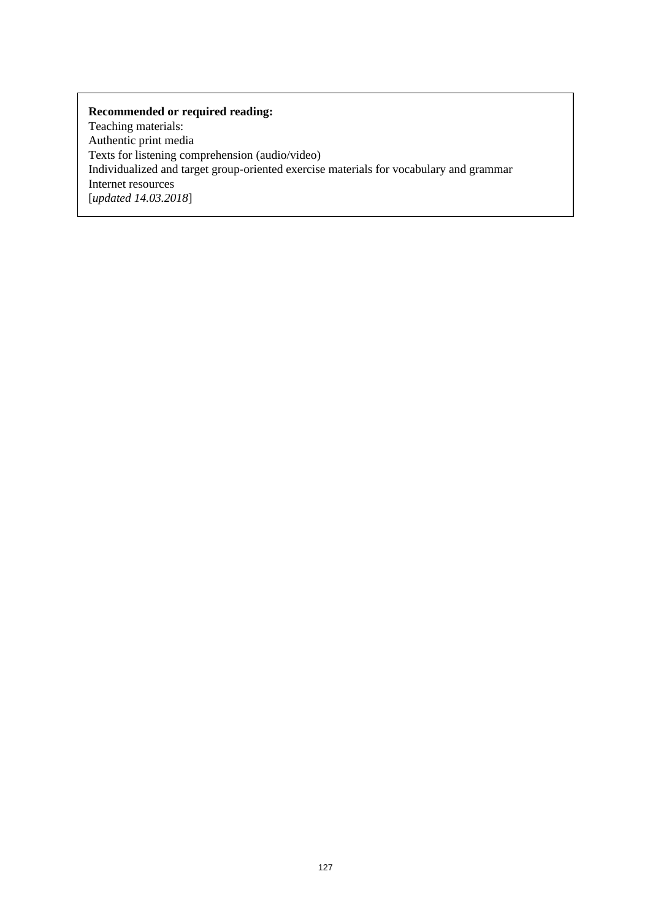Teaching materials: Authentic print media Texts for listening comprehension (audio/video) Individualized and target group-oriented exercise materials for vocabulary and grammar Internet resources [*updated 14.03.2018*]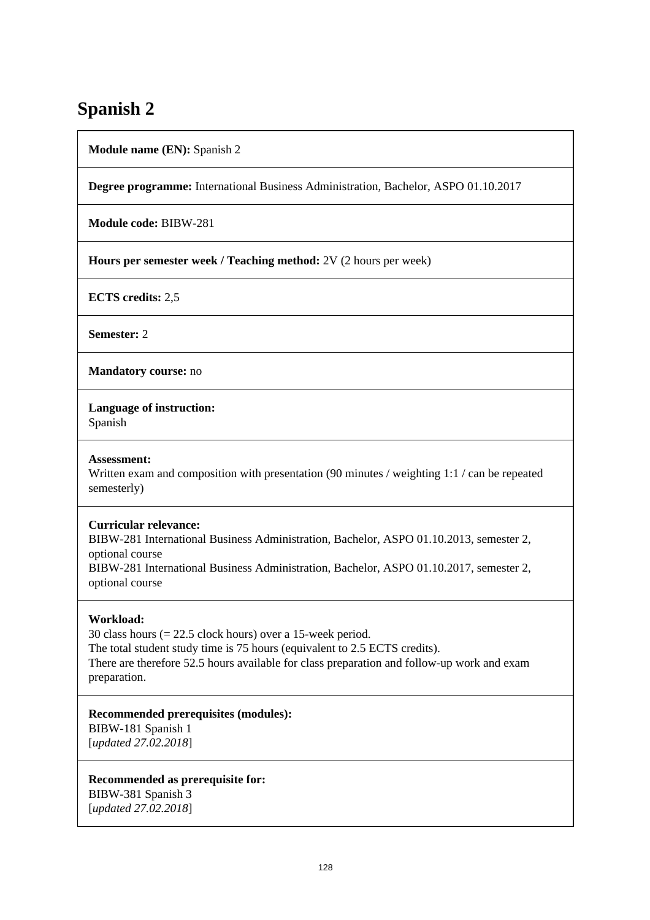# **Spanish 2**

**Module name (EN):** Spanish 2

**Degree programme:** International Business Administration, Bachelor, ASPO 01.10.2017

**Module code:** BIBW-281

**Hours per semester week / Teaching method:** 2V (2 hours per week)

**ECTS credits:** 2,5

**Semester:** 2

**Mandatory course:** no

**Language of instruction:** 

Spanish

## **Assessment:**

Written exam and composition with presentation (90 minutes / weighting 1:1 / can be repeated semesterly)

## **Curricular relevance:**

BIBW-281 International Business Administration, Bachelor, ASPO 01.10.2013, semester 2, optional course BIBW-281 International Business Administration, Bachelor, ASPO 01.10.2017, semester 2, optional course

# **Workload:**

30 class hours (= 22.5 clock hours) over a 15-week period. The total student study time is 75 hours (equivalent to 2.5 ECTS credits). There are therefore 52.5 hours available for class preparation and follow-up work and exam preparation.

# **Recommended prerequisites (modules):**

BIBW-181 Spanish 1 [*updated 27.02.2018*]

**Recommended as prerequisite for:**  BIBW-381 Spanish 3 [*updated 27.02.2018*]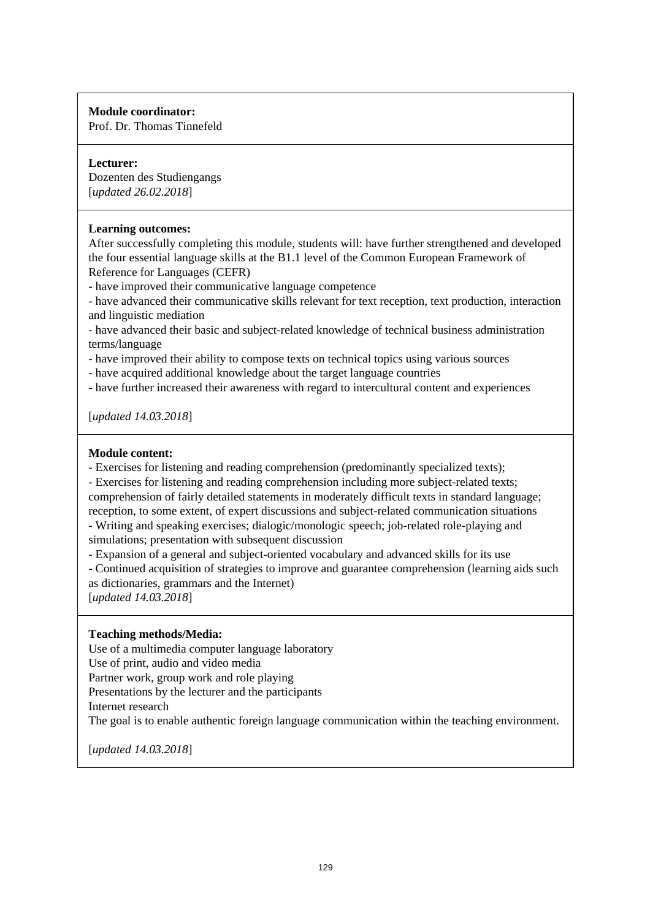Prof. Dr. Thomas Tinnefeld

# **Lecturer:**

Dozenten des Studiengangs [*updated 26.02.2018*]

## **Learning outcomes:**

After successfully completing this module, students will: have further strengthened and developed the four essential language skills at the B1.1 level of the Common European Framework of Reference for Languages (CEFR)

- have improved their communicative language competence

- have advanced their communicative skills relevant for text reception, text production, interaction and linguistic mediation

- have advanced their basic and subject-related knowledge of technical business administration terms/language

- have improved their ability to compose texts on technical topics using various sources

- have acquired additional knowledge about the target language countries

- have further increased their awareness with regard to intercultural content and experiences

[*updated 14.03.2018*]

## **Module content:**

- Exercises for listening and reading comprehension (predominantly specialized texts);

- Exercises for listening and reading comprehension including more subject-related texts; comprehension of fairly detailed statements in moderately difficult texts in standard language; reception, to some extent, of expert discussions and subject-related communication situations

- Writing and speaking exercises; dialogic/monologic speech; job-related role-playing and simulations; presentation with subsequent discussion

- Expansion of a general and subject-oriented vocabulary and advanced skills for its use

- Continued acquisition of strategies to improve and guarantee comprehension (learning aids such as dictionaries, grammars and the Internet)

[*updated 14.03.2018*]

# **Teaching methods/Media:**

Use of a multimedia computer language laboratory

Use of print, audio and video media

Partner work, group work and role playing

Presentations by the lecturer and the participants

Internet research

The goal is to enable authentic foreign language communication within the teaching environment.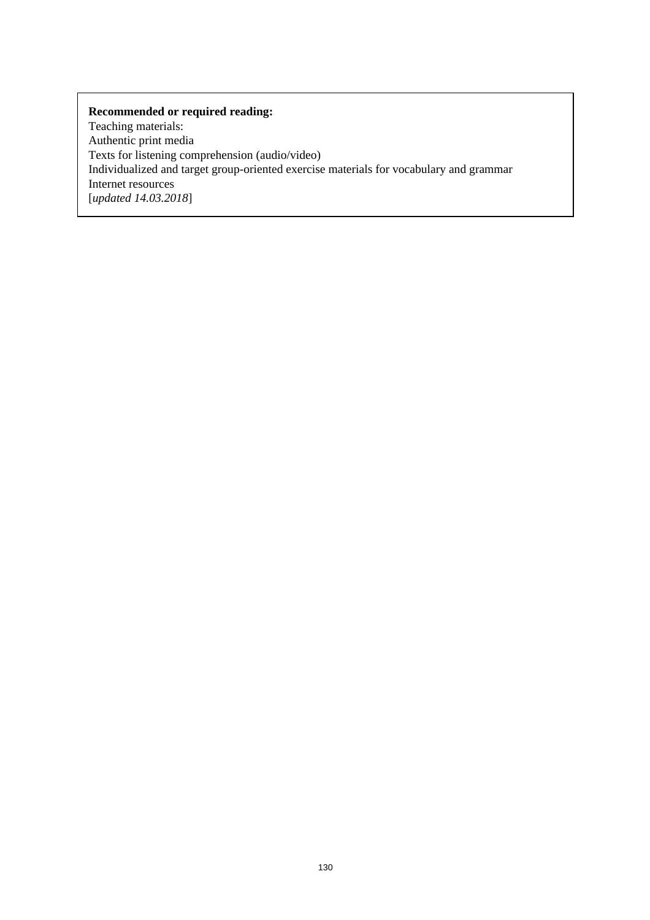Teaching materials: Authentic print media Texts for listening comprehension (audio/video) Individualized and target group-oriented exercise materials for vocabulary and grammar Internet resources [*updated 14.03.2018*]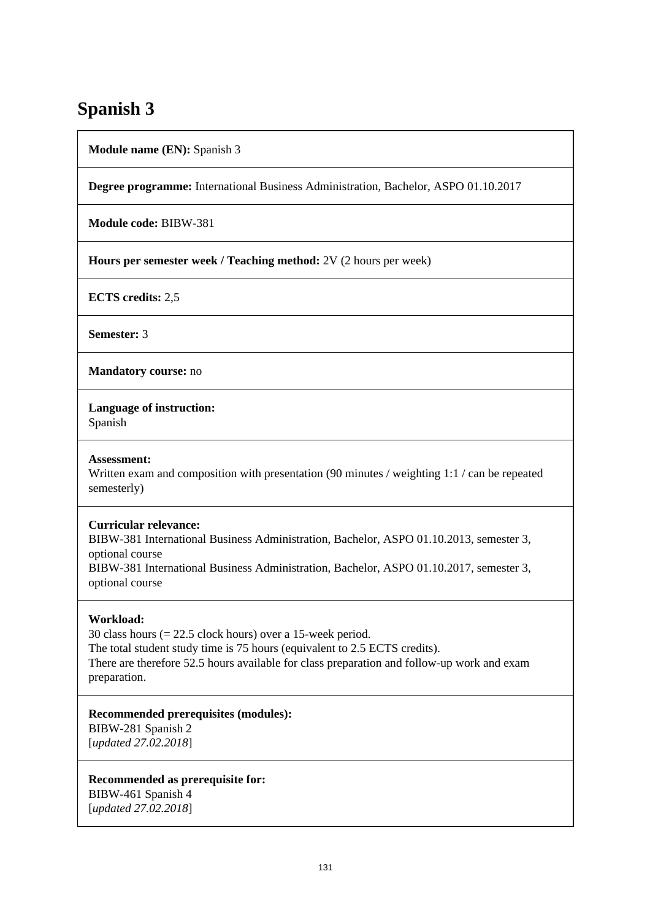# **Spanish 3**

**Module name (EN):** Spanish 3

**Degree programme:** International Business Administration, Bachelor, ASPO 01.10.2017

**Module code:** BIBW-381

**Hours per semester week / Teaching method:** 2V (2 hours per week)

**ECTS credits:** 2,5

**Semester:** 3

**Mandatory course:** no

**Language of instruction:** 

Spanish

## **Assessment:**

Written exam and composition with presentation (90 minutes / weighting 1:1 / can be repeated semesterly)

## **Curricular relevance:**

BIBW-381 International Business Administration, Bachelor, ASPO 01.10.2013, semester 3, optional course BIBW-381 International Business Administration, Bachelor, ASPO 01.10.2017, semester 3, optional course

# **Workload:**

30 class hours (= 22.5 clock hours) over a 15-week period. The total student study time is 75 hours (equivalent to 2.5 ECTS credits). There are therefore 52.5 hours available for class preparation and follow-up work and exam preparation.

## **Recommended prerequisites (modules):**

BIBW-281 Spanish 2 [*updated 27.02.2018*]

**Recommended as prerequisite for:**  BIBW-461 Spanish 4 [*updated 27.02.2018*]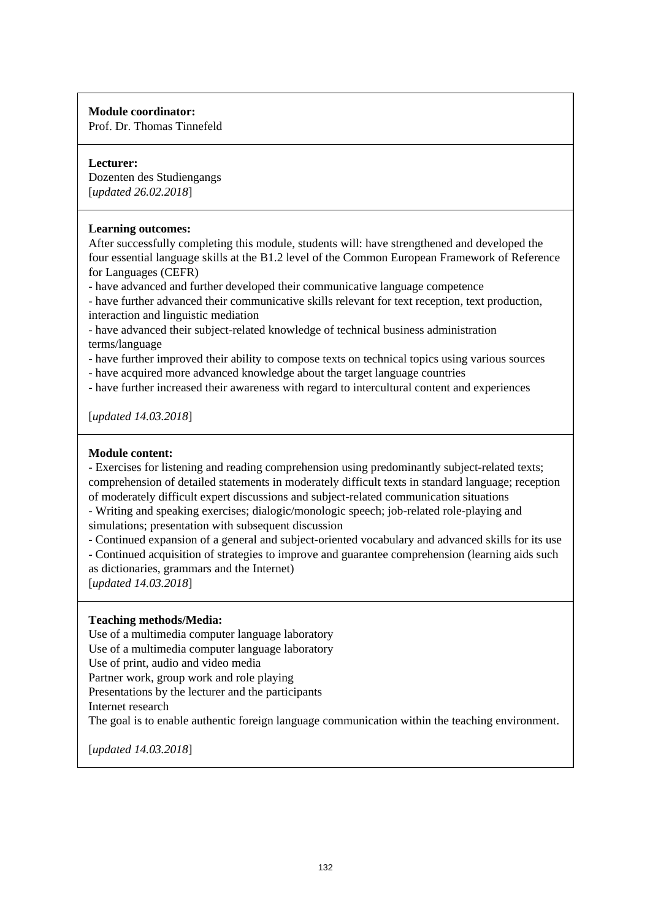Prof. Dr. Thomas Tinnefeld

## **Lecturer:**

Dozenten des Studiengangs [*updated 26.02.2018*]

## **Learning outcomes:**

After successfully completing this module, students will: have strengthened and developed the four essential language skills at the B1.2 level of the Common European Framework of Reference for Languages (CEFR)

- have advanced and further developed their communicative language competence

- have further advanced their communicative skills relevant for text reception, text production, interaction and linguistic mediation

- have advanced their subject-related knowledge of technical business administration terms/language

- have further improved their ability to compose texts on technical topics using various sources

- have acquired more advanced knowledge about the target language countries

- have further increased their awareness with regard to intercultural content and experiences

[*updated 14.03.2018*]

## **Module content:**

- Exercises for listening and reading comprehension using predominantly subject-related texts; comprehension of detailed statements in moderately difficult texts in standard language; reception of moderately difficult expert discussions and subject-related communication situations

- Writing and speaking exercises; dialogic/monologic speech; job-related role-playing and simulations; presentation with subsequent discussion

- Continued expansion of a general and subject-oriented vocabulary and advanced skills for its use

- Continued acquisition of strategies to improve and guarantee comprehension (learning aids such as dictionaries, grammars and the Internet)

[*updated 14.03.2018*]

# **Teaching methods/Media:**

Use of a multimedia computer language laboratory

Use of a multimedia computer language laboratory

Use of print, audio and video media

Partner work, group work and role playing

Presentations by the lecturer and the participants

Internet research

The goal is to enable authentic foreign language communication within the teaching environment.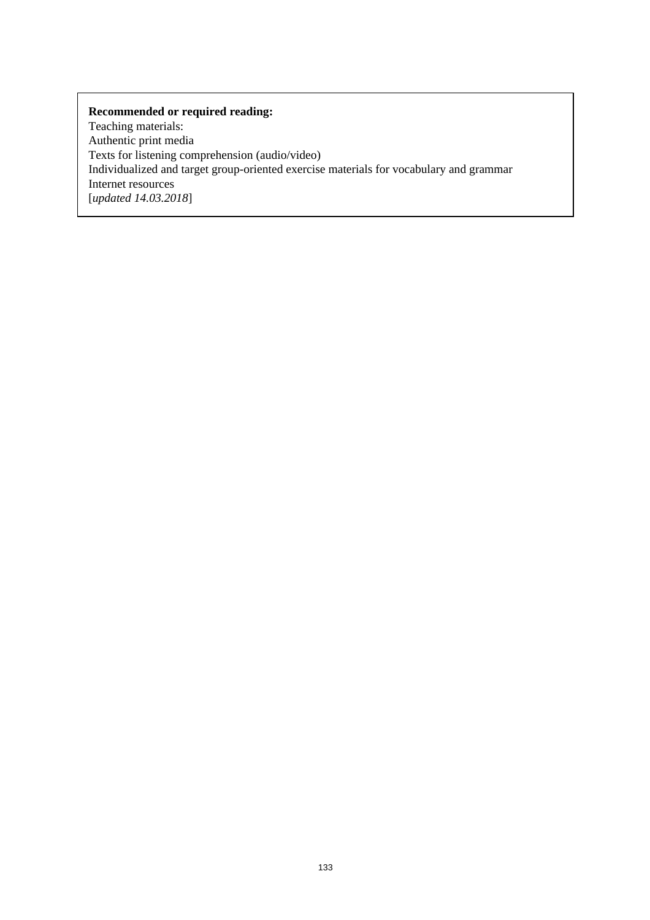Teaching materials: Authentic print media Texts for listening comprehension (audio/video) Individualized and target group-oriented exercise materials for vocabulary and grammar Internet resources [*updated 14.03.2018*]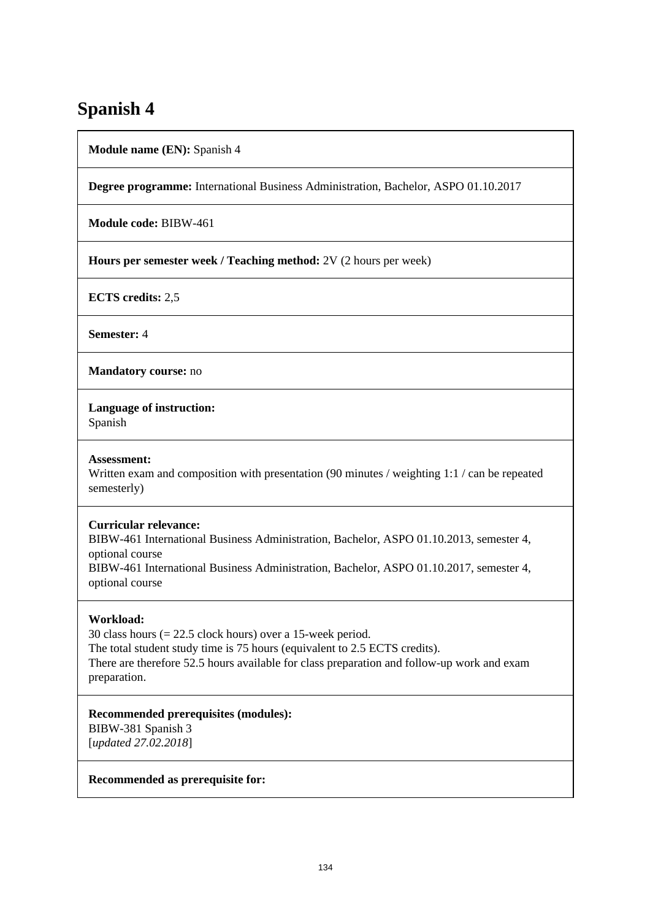# **Spanish 4**

**Module name (EN):** Spanish 4

**Degree programme:** International Business Administration, Bachelor, ASPO 01.10.2017

**Module code:** BIBW-461

**Hours per semester week / Teaching method:** 2V (2 hours per week)

**ECTS credits:** 2,5

**Semester:** 4

**Mandatory course:** no

**Language of instruction:** 

Spanish

## **Assessment:**

Written exam and composition with presentation (90 minutes / weighting 1:1 / can be repeated semesterly)

## **Curricular relevance:**

BIBW-461 International Business Administration, Bachelor, ASPO 01.10.2013, semester 4, optional course BIBW-461 International Business Administration, Bachelor, ASPO 01.10.2017, semester 4, optional course

# **Workload:**

30 class hours (= 22.5 clock hours) over a 15-week period. The total student study time is 75 hours (equivalent to 2.5 ECTS credits). There are therefore 52.5 hours available for class preparation and follow-up work and exam preparation.

## **Recommended prerequisites (modules):**

BIBW-381 Spanish 3 [*updated 27.02.2018*]

## **Recommended as prerequisite for:**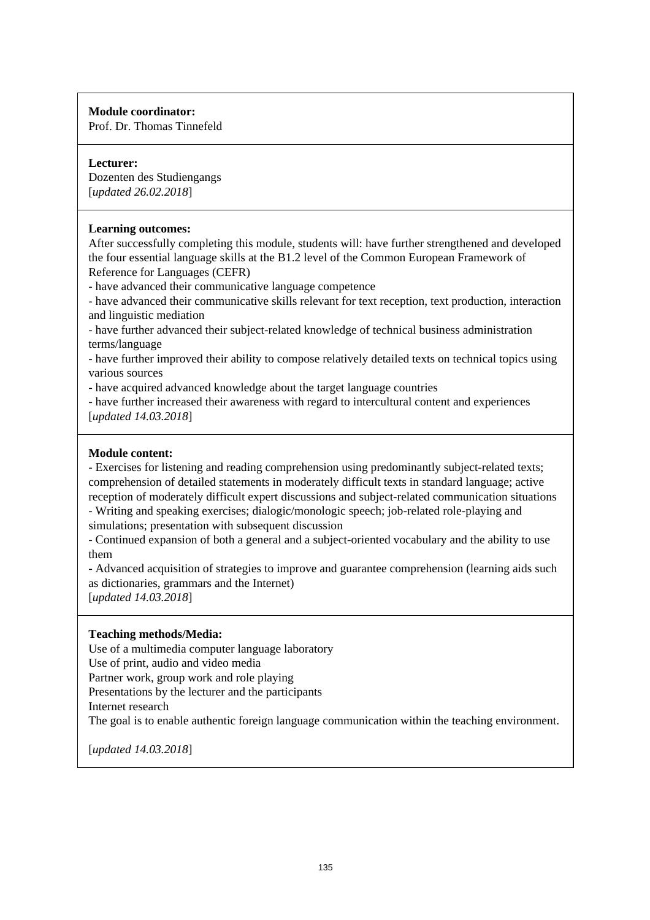Prof. Dr. Thomas Tinnefeld

# **Lecturer:**

Dozenten des Studiengangs [*updated 26.02.2018*]

## **Learning outcomes:**

After successfully completing this module, students will: have further strengthened and developed the four essential language skills at the B1.2 level of the Common European Framework of Reference for Languages (CEFR)

- have advanced their communicative language competence

- have advanced their communicative skills relevant for text reception, text production, interaction and linguistic mediation

- have further advanced their subject-related knowledge of technical business administration terms/language

- have further improved their ability to compose relatively detailed texts on technical topics using various sources

- have acquired advanced knowledge about the target language countries

- have further increased their awareness with regard to intercultural content and experiences [*updated 14.03.2018*]

## **Module content:**

- Exercises for listening and reading comprehension using predominantly subject-related texts; comprehension of detailed statements in moderately difficult texts in standard language; active reception of moderately difficult expert discussions and subject-related communication situations

- Writing and speaking exercises; dialogic/monologic speech; job-related role-playing and simulations; presentation with subsequent discussion

- Continued expansion of both a general and a subject-oriented vocabulary and the ability to use them

- Advanced acquisition of strategies to improve and guarantee comprehension (learning aids such as dictionaries, grammars and the Internet)

[*updated 14.03.2018*]

# **Teaching methods/Media:**

Use of a multimedia computer language laboratory

Use of print, audio and video media

Partner work, group work and role playing

Presentations by the lecturer and the participants

Internet research

The goal is to enable authentic foreign language communication within the teaching environment.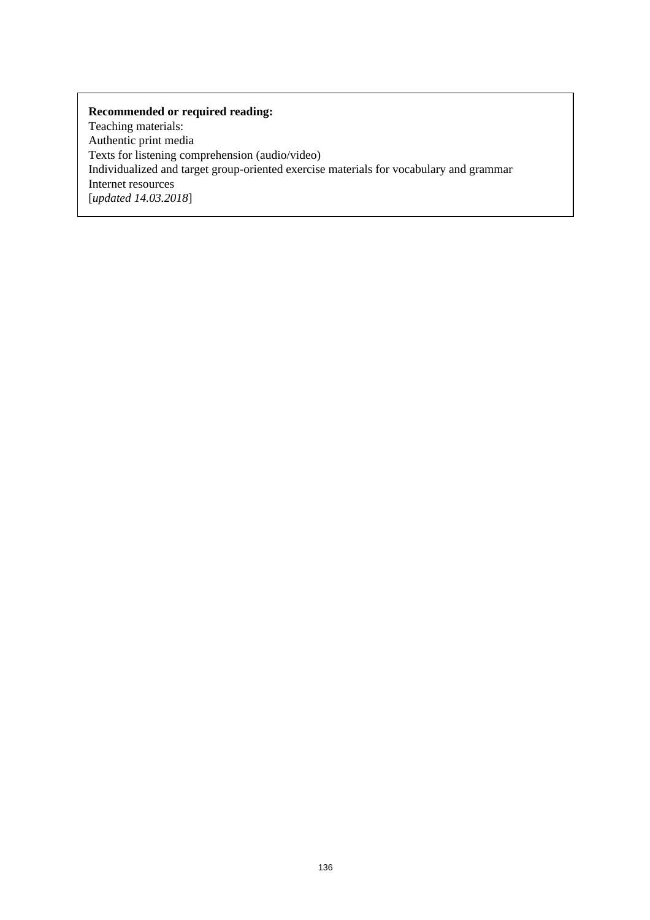Teaching materials: Authentic print media Texts for listening comprehension (audio/video) Individualized and target group-oriented exercise materials for vocabulary and grammar Internet resources [*updated 14.03.2018*]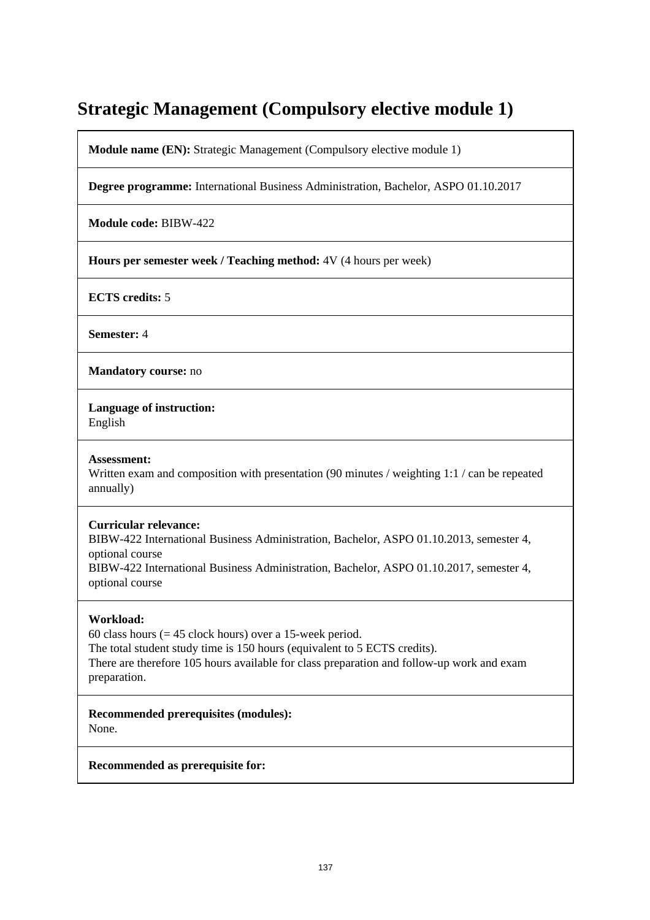# **Strategic Management (Compulsory elective module 1)**

**Module name (EN):** Strategic Management (Compulsory elective module 1)

**Degree programme:** International Business Administration, Bachelor, ASPO 01.10.2017

**Module code:** BIBW-422

**Hours per semester week / Teaching method:** 4V (4 hours per week)

**ECTS credits:** 5

**Semester:** 4

**Mandatory course:** no

**Language of instruction:** 

English

#### **Assessment:**

Written exam and composition with presentation (90 minutes / weighting 1:1 / can be repeated annually)

## **Curricular relevance:**

BIBW-422 International Business Administration, Bachelor, ASPO 01.10.2013, semester 4, optional course BIBW-422 International Business Administration, Bachelor, ASPO 01.10.2017, semester 4, optional course

## **Workload:**

60 class hours  $(= 45$  clock hours) over a 15-week period. The total student study time is 150 hours (equivalent to 5 ECTS credits). There are therefore 105 hours available for class preparation and follow-up work and exam preparation.

**Recommended prerequisites (modules):**  None.

**Recommended as prerequisite for:**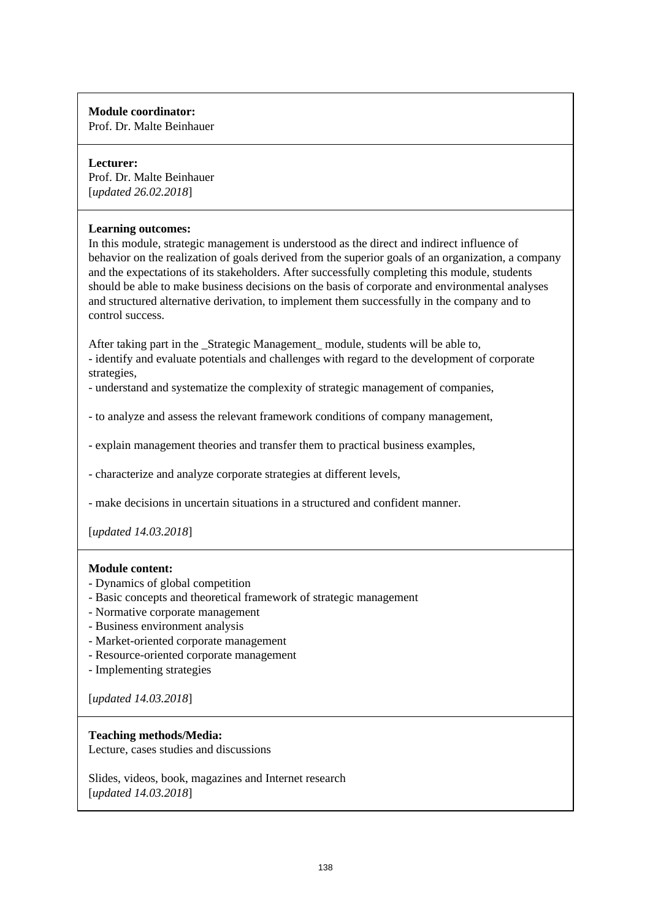Prof. Dr. Malte Beinhauer

# **Lecturer:**

Prof. Dr. Malte Beinhauer [*updated 26.02.2018*]

## **Learning outcomes:**

In this module, strategic management is understood as the direct and indirect influence of behavior on the realization of goals derived from the superior goals of an organization, a company and the expectations of its stakeholders. After successfully completing this module, students should be able to make business decisions on the basis of corporate and environmental analyses and structured alternative derivation, to implement them successfully in the company and to control success.

After taking part in the \_Strategic Management\_ module, students will be able to, - identify and evaluate potentials and challenges with regard to the development of corporate strategies,

- understand and systematize the complexity of strategic management of companies,

- to analyze and assess the relevant framework conditions of company management,

- explain management theories and transfer them to practical business examples,

- characterize and analyze corporate strategies at different levels,

- make decisions in uncertain situations in a structured and confident manner.

[*updated 14.03.2018*]

## **Module content:**

- Dynamics of global competition
- Basic concepts and theoretical framework of strategic management
- Normative corporate management
- Business environment analysis
- Market-oriented corporate management
- Resource-oriented corporate management
- Implementing strategies

[*updated 14.03.2018*]

## **Teaching methods/Media:**

Lecture, cases studies and discussions

Slides, videos, book, magazines and Internet research [*updated 14.03.2018*]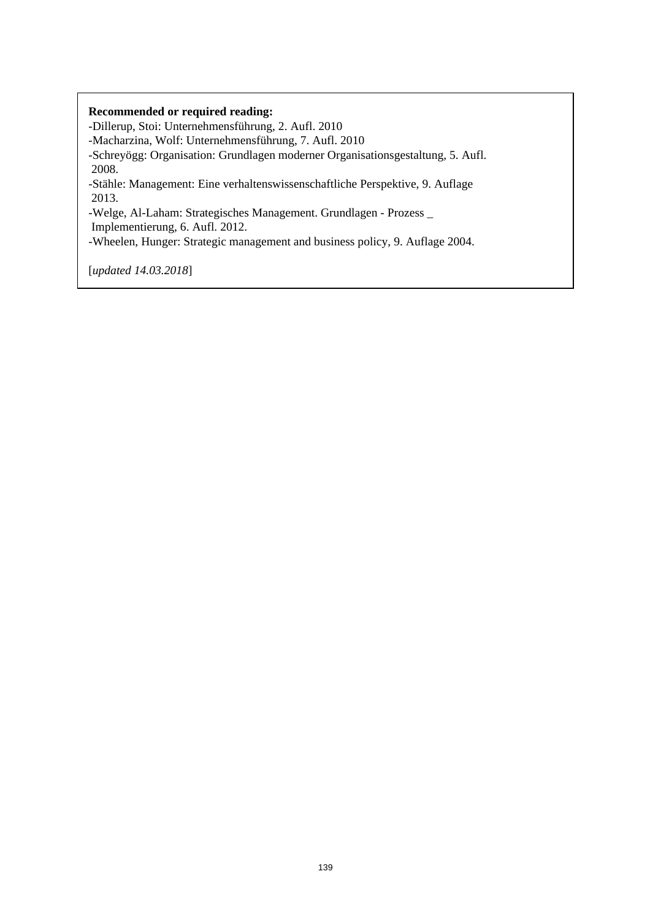-Dillerup, Stoi: Unternehmensführung, 2. Aufl. 2010 -Macharzina, Wolf: Unternehmensführung, 7. Aufl. 2010 -Schreyögg: Organisation: Grundlagen moderner Organisationsgestaltung, 5. Aufl. 2008. -Stähle: Management: Eine verhaltenswissenschaftliche Perspektive, 9. Auflage 2013.

-Welge, Al-Laham: Strategisches Management. Grundlagen - Prozess \_

Implementierung, 6. Aufl. 2012.

-Wheelen, Hunger: Strategic management and business policy, 9. Auflage 2004.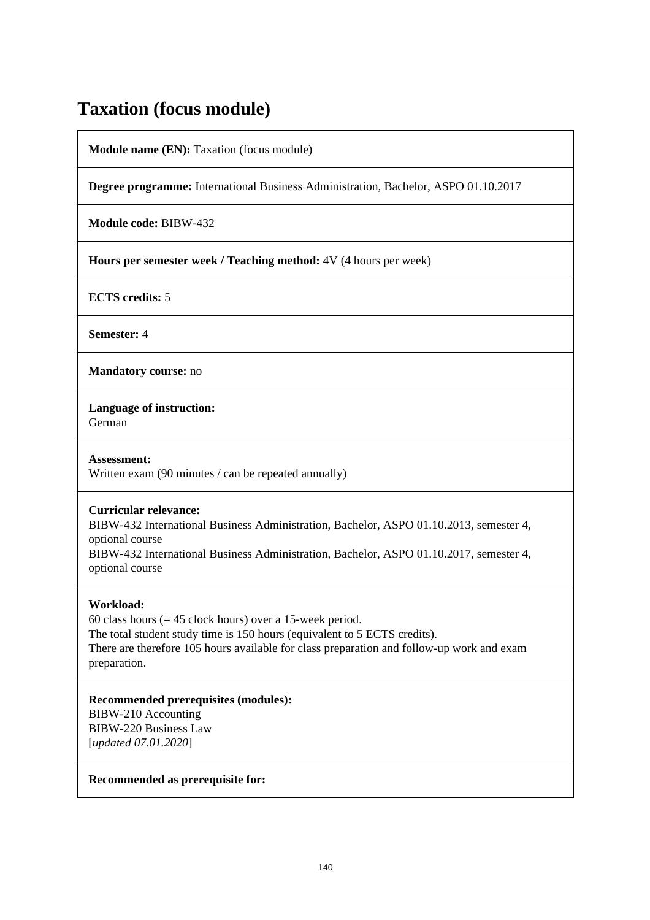# **Taxation (focus module)**

**Module name (EN):** Taxation (focus module)

**Degree programme:** International Business Administration, Bachelor, ASPO 01.10.2017

**Module code:** BIBW-432

**Hours per semester week / Teaching method:** 4V (4 hours per week)

**ECTS credits:** 5

**Semester:** 4

**Mandatory course:** no

**Language of instruction:** 

German

**Assessment:**  Written exam (90 minutes / can be repeated annually)

## **Curricular relevance:**

BIBW-432 International Business Administration, Bachelor, ASPO 01.10.2013, semester 4, optional course

BIBW-432 International Business Administration, Bachelor, ASPO 01.10.2017, semester 4, optional course

## **Workload:**

60 class hours  $(= 45$  clock hours) over a 15-week period. The total student study time is 150 hours (equivalent to 5 ECTS credits). There are therefore 105 hours available for class preparation and follow-up work and exam preparation.

**Recommended prerequisites (modules):**  BIBW-210 Accounting BIBW-220 Business Law [*updated 07.01.2020*]

**Recommended as prerequisite for:**